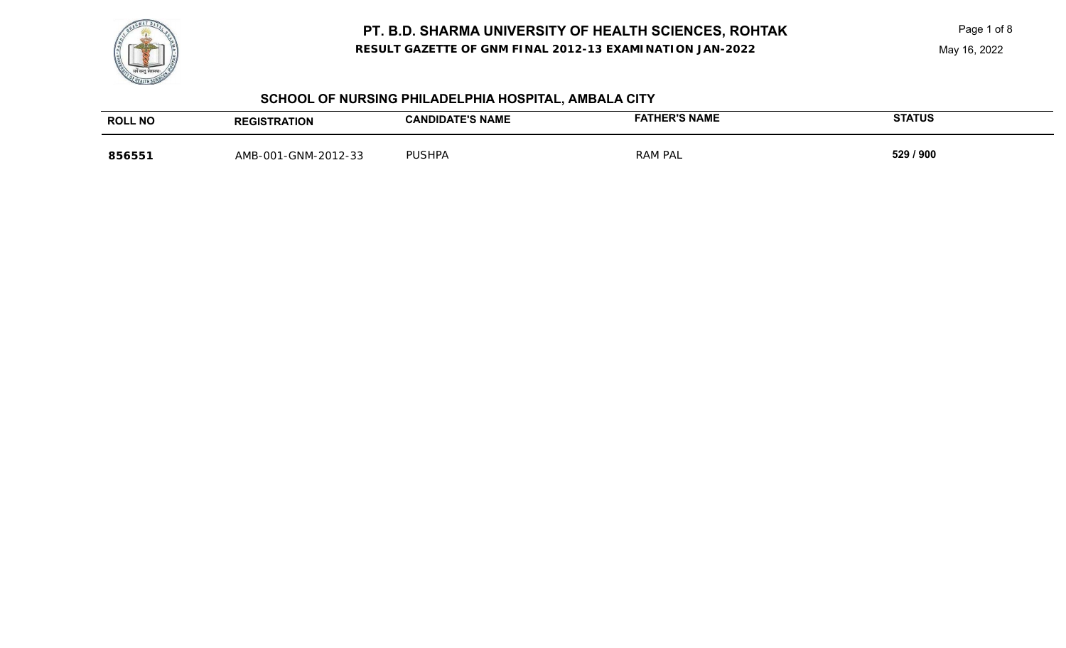**RESULT GAZETTE OF GNM FINAL 2012-13 EXAMINATION JAN-2022**



## **SCHOOL OF NURSING PHILADELPHIA HOSPITAL, AMBALA CITY**

| <b>ROLL NO</b> | <b>REGISTRATION</b> | <b>CANDIDATE'S NAME</b> | <b>FATHER'S NAME</b> | <b>STATUS</b> |
|----------------|---------------------|-------------------------|----------------------|---------------|
| 856551         | AMB-001-GNM-2012-33 | <b>PUSHPA</b>           | RAM PAL              | 529 / 900     |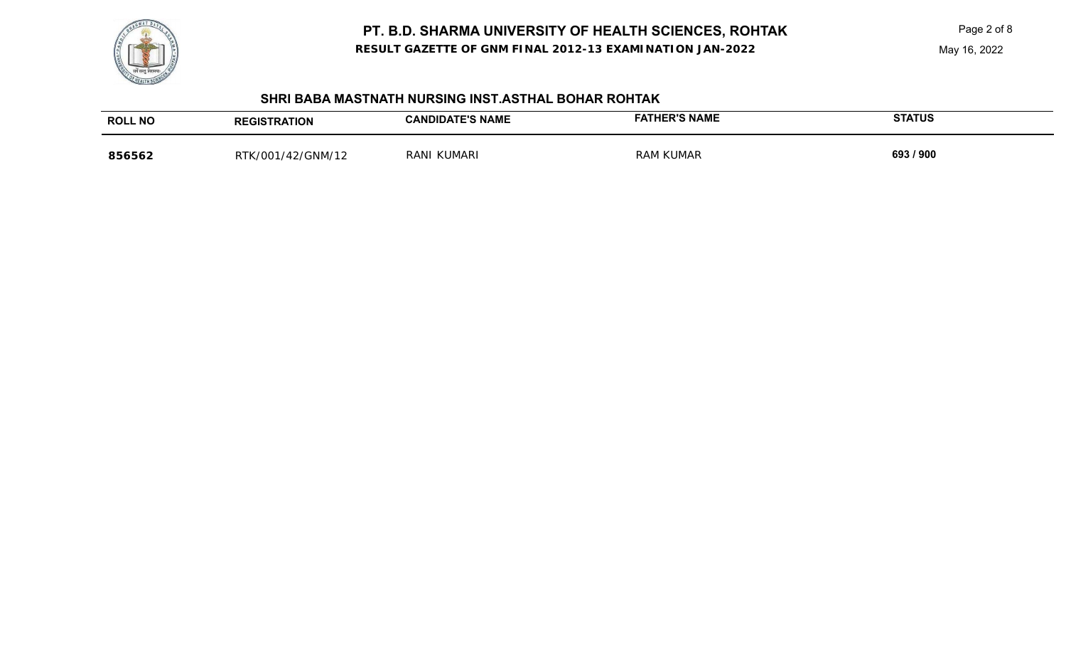**RESULT GAZETTE OF GNM FINAL 2012-13 EXAMINATION JAN-2022**



### **SHRI BABA MASTNATH NURSING INST.ASTHAL BOHAR ROHTAK**

| <b>ROLL NO</b> | <b>REGISTRATION</b> | <b>ATE'S NAME</b><br>CANDIDA1 | ER'S NAME | <b>STATUS</b> |
|----------------|---------------------|-------------------------------|-----------|---------------|
| 856562         | $2/GNM/1^{\circ}$   | RANI                          | 1 KUMAR   |               |
|                |                     | <b>UMARI</b>                  | RAM       | 693 / 900     |
|                |                     |                               |           |               |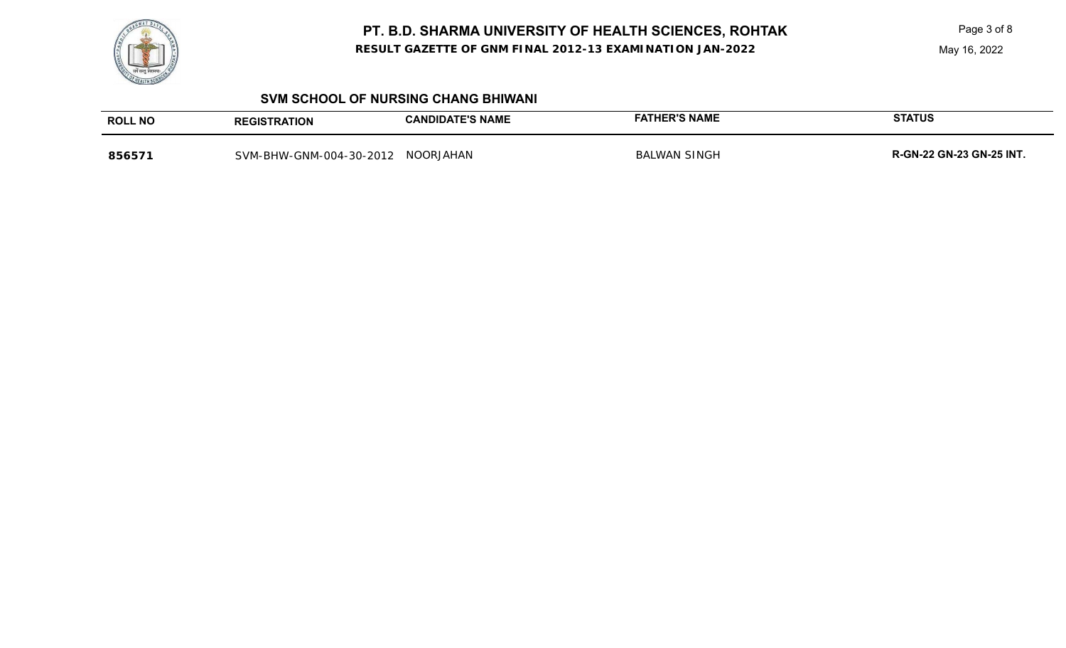

**RESULT GAZETTE OF GNM FINAL 2012-13 EXAMINATION JAN-2022**

Page 3 of 8 May 16, 2022

### **SVM SCHOOL OF NURSING CHANG BHIWANI**

| <b>ROLL NO</b> | <b>REGISTRATION</b>     | <b>CANDIDATE'S NAME</b> | <b>FATHER'S NAME</b> | <b>STATUS</b>                   |
|----------------|-------------------------|-------------------------|----------------------|---------------------------------|
| 856571         | SVM-BHW-GNM-004-30-2012 | NOORJAHAN               | <b>BALWAN SINGH</b>  | <b>R-GN-22 GN-23 GN-25 INT.</b> |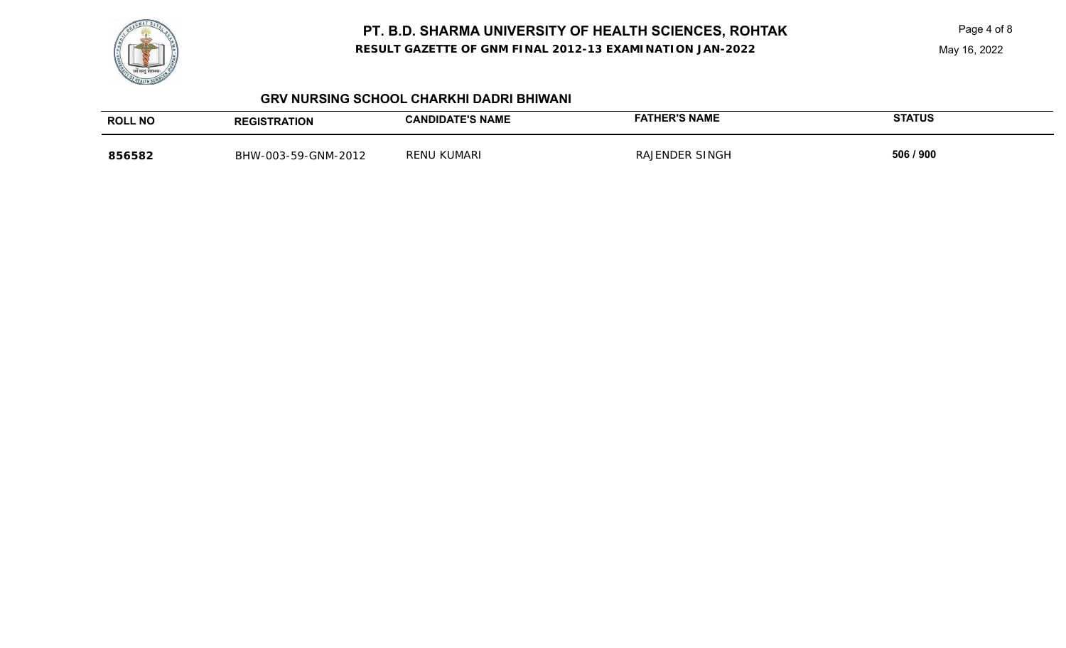

**RESULT GAZETTE OF GNM FINAL 2012-13 EXAMINATION JAN-2022**

Page 4 of 8 May 16, 2022

### **GRV NURSING SCHOOL CHARKHI DADRI BHIWANI**

| <b>ROLL NO</b> | <b>REGISTRATION</b> | <b>CANDIDATE'S NAME</b> | <b>HER'S NAME</b><br>FATH | <b>STATUS</b> |
|----------------|---------------------|-------------------------|---------------------------|---------------|
| 856582         | BHW-003-59-GNM-2012 | <b>RENU KUMARI</b>      | `SINGh<br>RAJENDER        | 506 / 900     |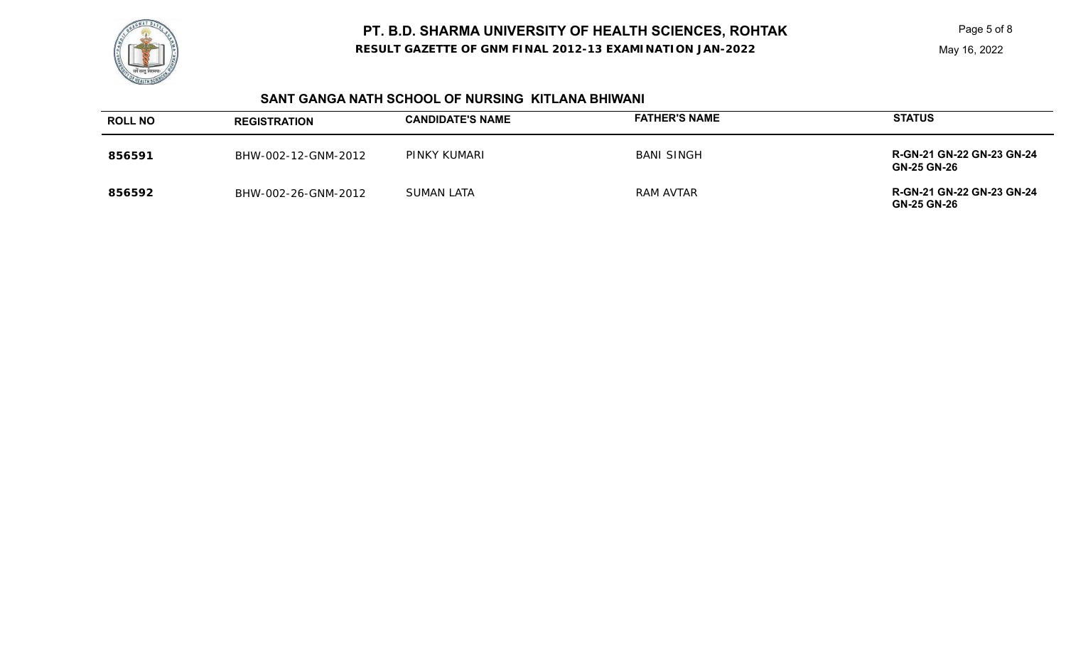**RESULT GAZETTE OF GNM FINAL 2012-13 EXAMINATION JAN-2022**

Page 5 of 8 May 16, 2022

### **SANT GANGA NATH SCHOOL OF NURSING KITLANA BHIWANI**

| <b>ROLL NO</b> | <b>REGISTRATION</b> | <b>CANDIDATE'S NAME</b> | <b>FATHER'S NAME</b> | <b>STATUS</b>                                          |
|----------------|---------------------|-------------------------|----------------------|--------------------------------------------------------|
| 856591         | BHW-002-12-GNM-2012 | PINKY KUMARI            | <b>BANI SINGH</b>    | <b>R-GN-21 GN-22 GN-23 GN-24</b><br><b>GN-25 GN-26</b> |
| 856592         | BHW-002-26-GNM-2012 | SUMAN LATA              | RAM AVTAR            | <b>R-GN-21 GN-22 GN-23 GN-24</b><br><b>GN-25 GN-26</b> |

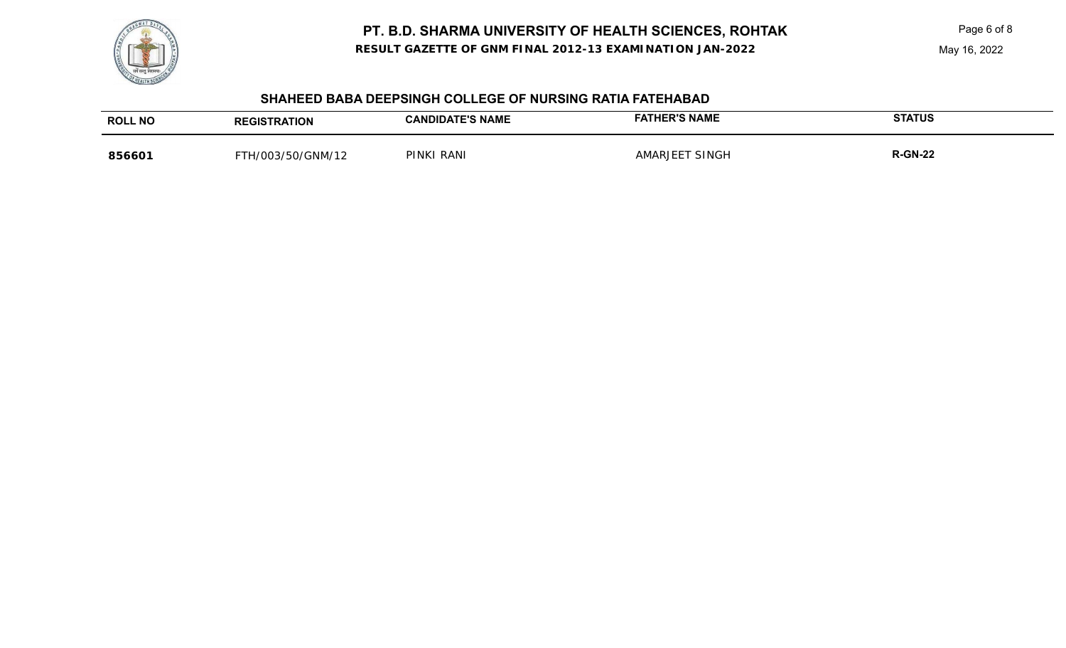**RESULT GAZETTE OF GNM FINAL 2012-13 EXAMINATION JAN-2022**

### **SHAHEED BABA DEEPSINGH COLLEGE OF NURSING RATIA FATEHABAD**

| <b>ROLL NO</b> | <b>FRATION</b><br><b>REGIS</b>        | <b>ATE'S NAME</b><br><b>ANDIDAL</b> | 'S NAME<br><b>EATHER'S</b> | <b>STATUS</b>  |
|----------------|---------------------------------------|-------------------------------------|----------------------------|----------------|
| 856601         | /GNM/12<br>` <sup>Τ</sup> Η/Ωω<br>''' | <b>PINKI</b><br>RANI                | <b>SING</b><br>RIF         | <b>R-GN-22</b> |

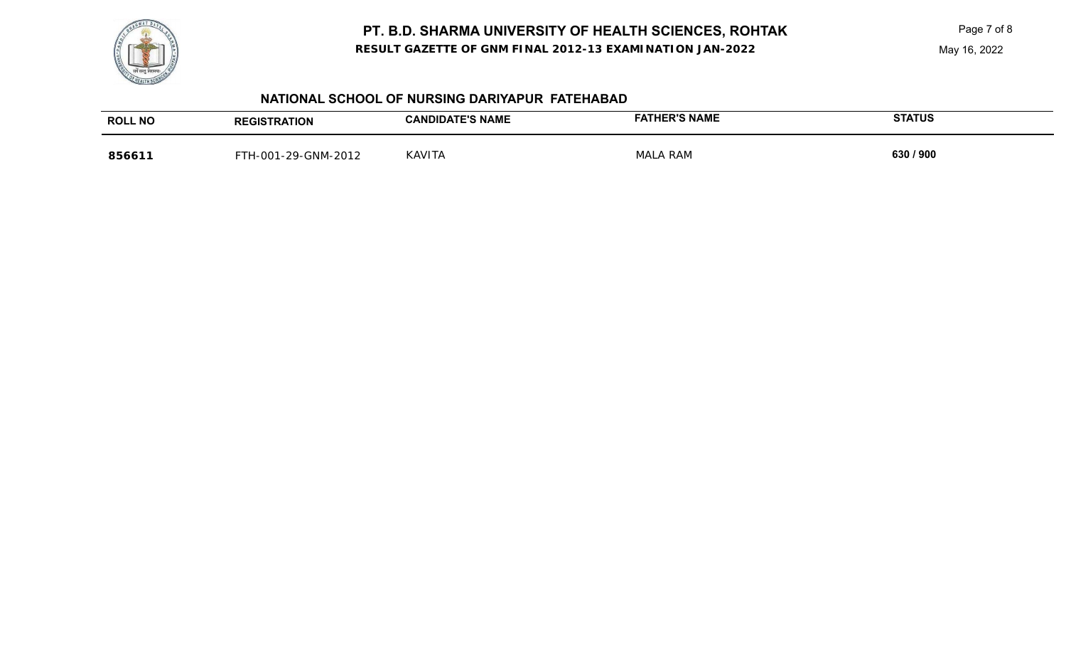**RESULT GAZETTE OF GNM FINAL 2012-13 EXAMINATION JAN-2022**

## **NATIONAL SCHOOL OF NURSING DARIYAPUR FATEHABAD**

| <b>ROLL NO</b> | <b>REGISTRATION</b> | <b>CANDIDATE'S NAME</b> | <b>FATHER'S NAME</b> | <b>STATUS</b> |
|----------------|---------------------|-------------------------|----------------------|---------------|
| 856611         | FTH-001-29-GNM-2012 | <b>KAVITA</b>           | <b>MALA RAM</b>      | 630 / 900     |

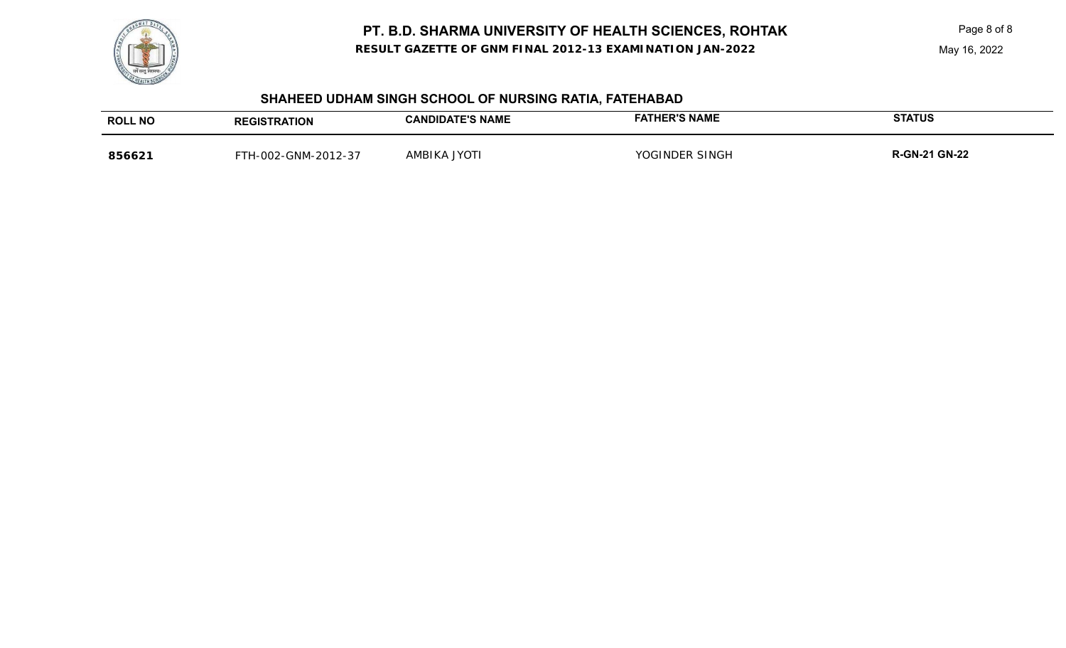**RESULT GAZETTE OF GNM FINAL 2012-13 EXAMINATION JAN-2022**



## **SHAHEED UDHAM SINGH SCHOOL OF NURSING RATIA, FATEHABAD**

| <b>ROLL NO</b> | <b>ATION</b><br><b>REGIS</b>                   | <b>E'S NAME</b><br><b>LAND</b><br>IDA | <b>FATHER'S NAME</b> | <b>STATUS</b>             |
|----------------|------------------------------------------------|---------------------------------------|----------------------|---------------------------|
| 856621         | -GNM-20<br>2-37<br>ററാ<br>$\sim$ $\sim$ $\sim$ | <b>JYOT</b><br>MRIKA                  | SINGF<br>$\Omega$    | <b>GN-22</b><br>'-GN<br>. |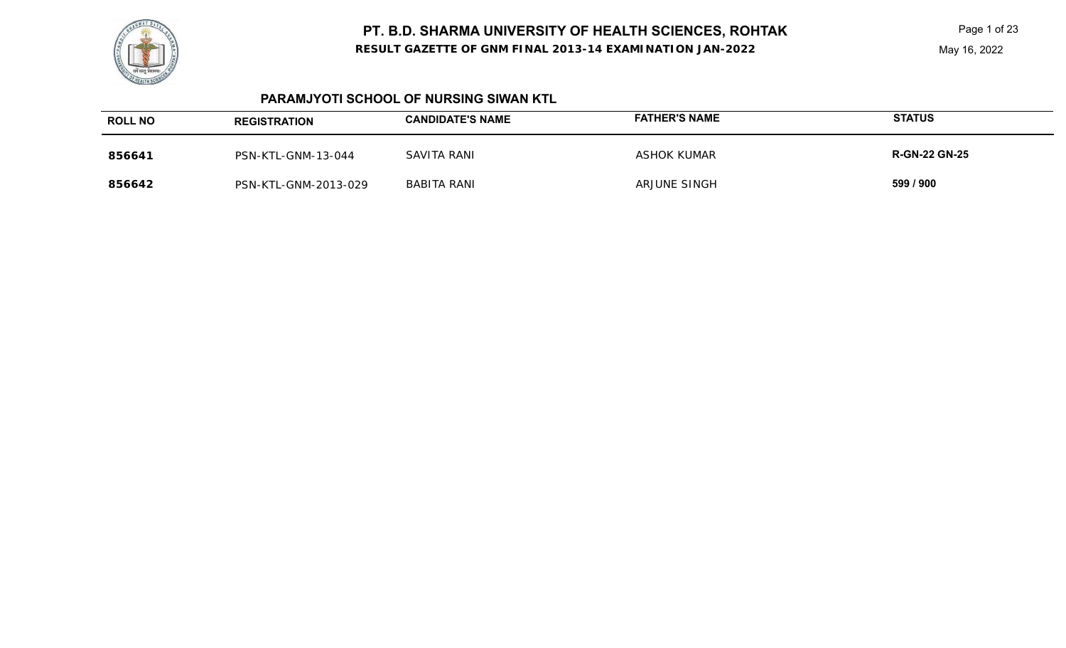

Page 1 of 23 May 16, 2022

### **PARAMJYOTI SCHOOL OF NURSING SIWAN KTL**

| <b>ROLL NO</b> | <b>REGISTRATION</b>  | <b>CANDIDATE'S NAME</b> | <b>FATHER'S NAME</b> | <b>STATUS</b>        |
|----------------|----------------------|-------------------------|----------------------|----------------------|
| 856641         | PSN-KTL-GNM-13-044   | SAVITA RANI             | ASHOK KUMAR          | <b>R-GN-22 GN-25</b> |
| 856642         | PSN-KTL-GNM-2013-029 | BABITA RANI             | <b>ARJUNE SINGH</b>  | 599 / 900            |

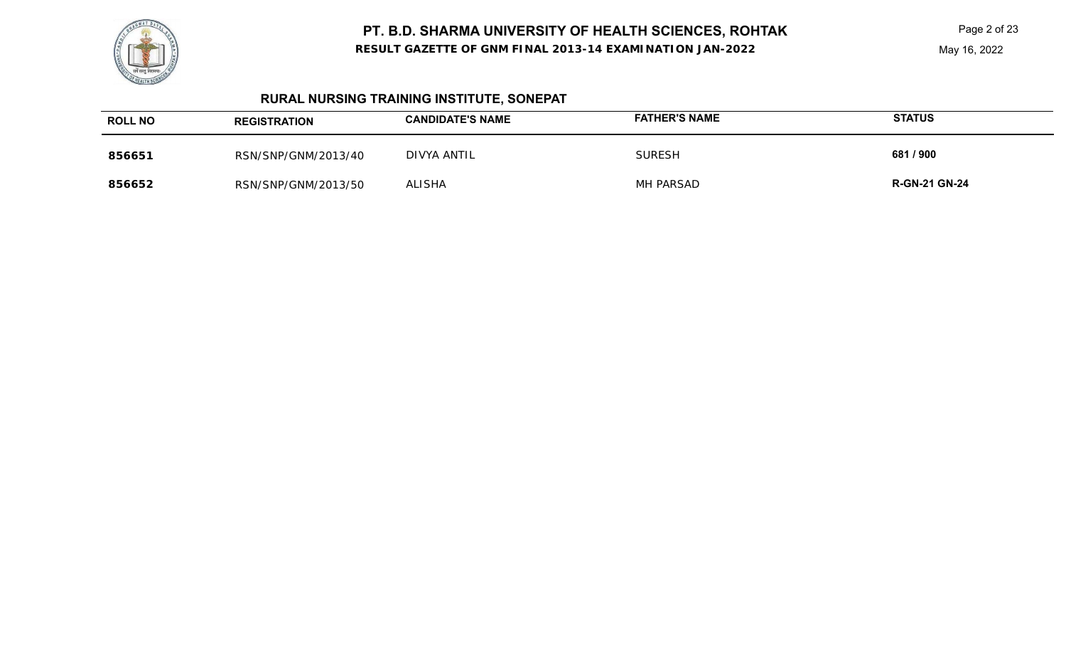**RESULT GAZETTE OF GNM FINAL 2013-14 EXAMINATION JAN-2022**

## **RURAL NURSING TRAINING INSTITUTE, SONEPAT**

| <b>ROLL NO</b> | <b>REGISTRATION</b> | <b>CANDIDATE'S NAME</b> | <b>FATHER'S NAME</b> | <b>STATUS</b>        |
|----------------|---------------------|-------------------------|----------------------|----------------------|
| 856651         | RSN/SNP/GNM/2013/40 | DIVYA ANTIL             | <b>SURESH</b>        | 681 / 900            |
| 856652         | RSN/SNP/GNM/2013/50 | ALISHA                  | MH PARSAD            | <b>R-GN-21 GN-24</b> |

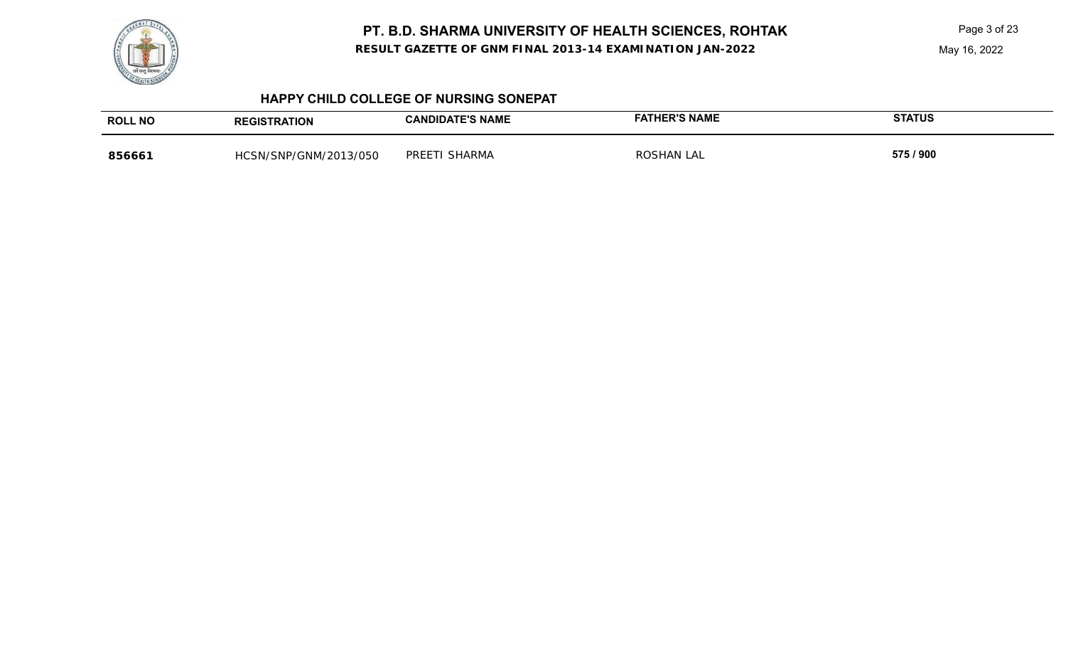

**RESULT GAZETTE OF GNM FINAL 2013-14 EXAMINATION JAN-2022**

Page 3 of 23

May 16, 2022

### **HAPPY CHILD COLLEGE OF NURSING SONEPAT**

| <b>ROLL NO</b> | <b>RATION</b>         | <b>ATE'S NAME</b> | <b>FATHER'S NAME</b> | <b>STATUS</b> |
|----------------|-----------------------|-------------------|----------------------|---------------|
|                | ilS                   | CANDIDATI         |                      |               |
| 856661         | HCSN/SNP/GNM/2013/050 | PRE<br>ARMA<br>∼  | ROSHAN LAI           | 575 / 900     |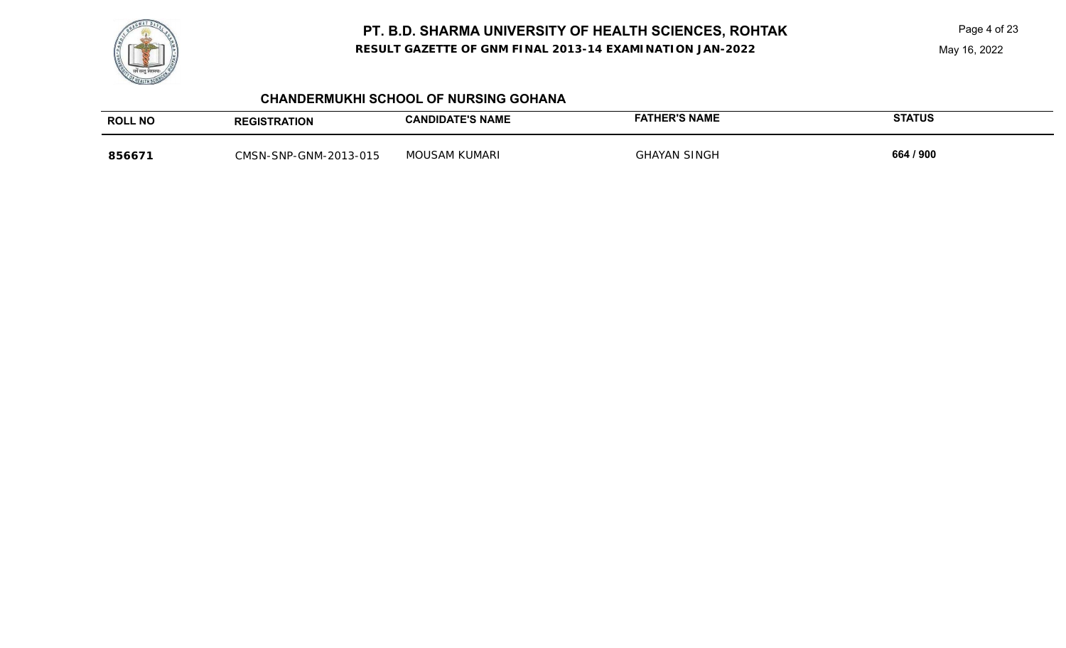

**RESULT GAZETTE OF GNM FINAL 2013-14 EXAMINATION JAN-2022**

Page 4 of 23

May 16, 2022

### **CHANDERMUKHI SCHOOL OF NURSING GOHANA**

| <b>ROLL NO</b> | <b>REGISTRATION</b>   | <b>CANDIDATE'S NAME</b> | <b>FATHER'S NAME</b> | <b>STATUS</b> |
|----------------|-----------------------|-------------------------|----------------------|---------------|
| 856671         | CMSN-SNP-GNM-2013-015 | MOUSAM KUMARI           | <b>GHAYAN SINGH</b>  | 664 / 900     |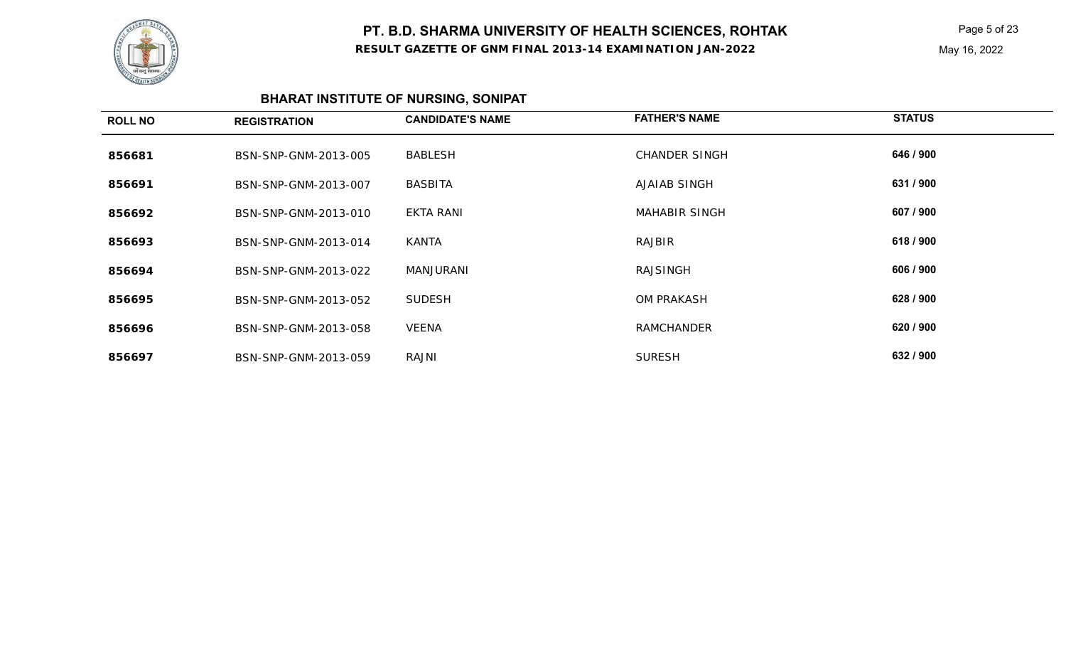

Page 5 of 23



## **BHARAT INSTITUTE OF NURSING, SONIPAT**

| <b>ROLL NO</b> | <b>REGISTRATION</b>  | <b>CANDIDATE'S NAME</b> | <b>FATHER'S NAME</b> | <b>STATUS</b> |  |
|----------------|----------------------|-------------------------|----------------------|---------------|--|
| 856681         | BSN-SNP-GNM-2013-005 | <b>BABLESH</b>          | <b>CHANDER SINGH</b> | 646 / 900     |  |
| 856691         | BSN-SNP-GNM-2013-007 | BASBITA                 | AJAIAB SINGH         | 631 / 900     |  |
| 856692         | BSN-SNP-GNM-2013-010 | EKTA RANI               | <b>MAHABIR SINGH</b> | 607 / 900     |  |
| 856693         | BSN-SNP-GNM-2013-014 | <b>KANTA</b>            | RAJBIR               | 618 / 900     |  |
| 856694         | BSN-SNP-GNM-2013-022 | MANJURANI               | RAJSINGH             | 606 / 900     |  |
| 856695         | BSN-SNP-GNM-2013-052 | <b>SUDESH</b>           | <b>OM PRAKASH</b>    | 628 / 900     |  |
| 856696         | BSN-SNP-GNM-2013-058 | <b>VEENA</b>            | <b>RAMCHANDER</b>    | 620 / 900     |  |
| 856697         | BSN-SNP-GNM-2013-059 | <b>RAJNI</b>            | <b>SURESH</b>        | 632 / 900     |  |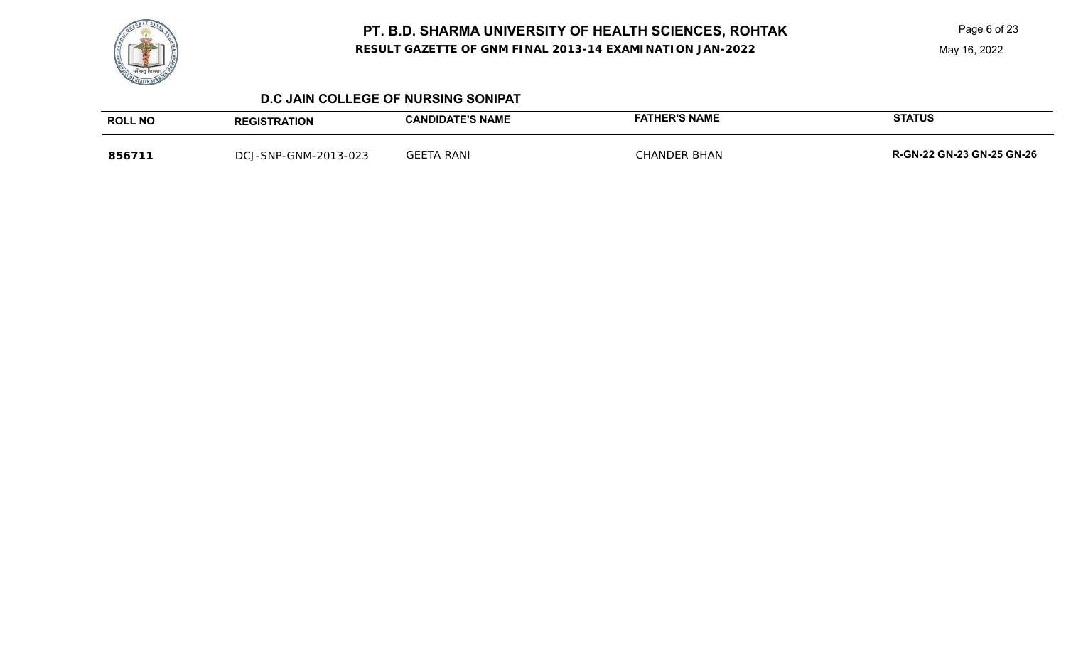

Page 6 of 23



### **D.C JAIN COLLEGE OF NURSING SONIPAT**

| <b>ROLL NO</b> | <b>REGISTRATION</b>       | <b>CANDIDATE'S NAME</b>      | <b>FATHER'S NAME</b> | <b>STATUS</b>                    |
|----------------|---------------------------|------------------------------|----------------------|----------------------------------|
| 856711         | -GNM-2013-023<br>DCJ-SNP- | GEE <sup>-</sup><br>.TA RANI | <b>CHANDER BHAN</b>  | <b>R-GN-22 GN-23 GN-25 GN-26</b> |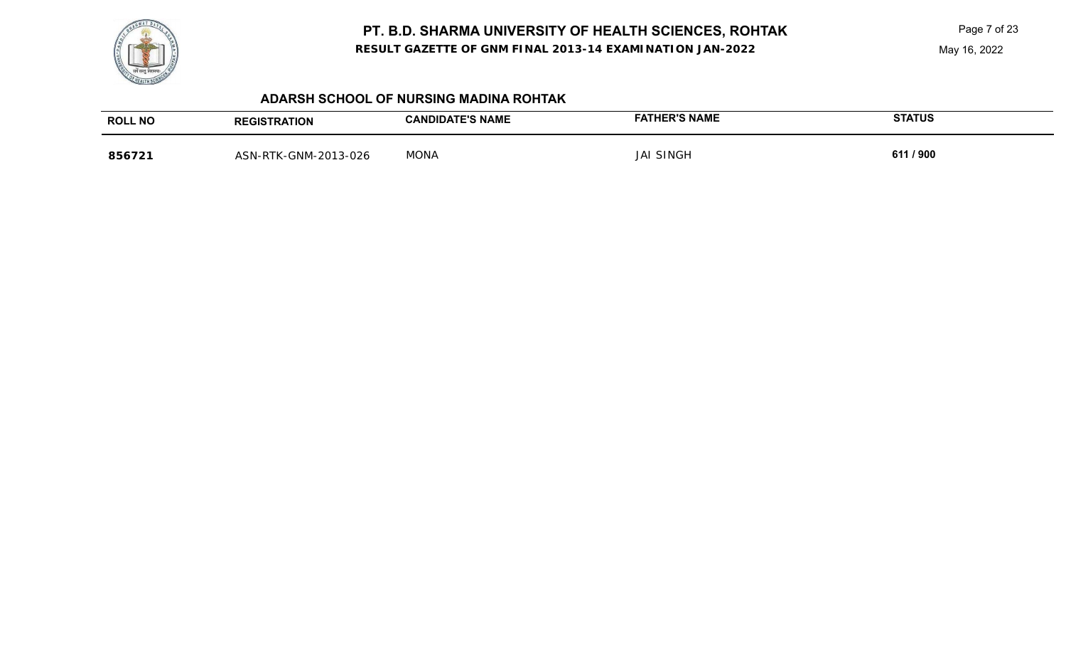

**RESULT GAZETTE OF GNM FINAL 2013-14 EXAMINATION JAN-2022**

Page 7 of 23 May 16, 2022

### **ADARSH SCHOOL OF NURSING MADINA ROHTAK**

| <b>ROLL NO</b> | <b>REGISTRATION</b>  | <b>CANDIDATE'S NAME</b> | FATHER'S NAME | <b>STATUS</b> |
|----------------|----------------------|-------------------------|---------------|---------------|
| 856721         | ASN-RTK-GNM-2013-026 | <b>MONA</b>             | JAI SINGH     | 611 / 900     |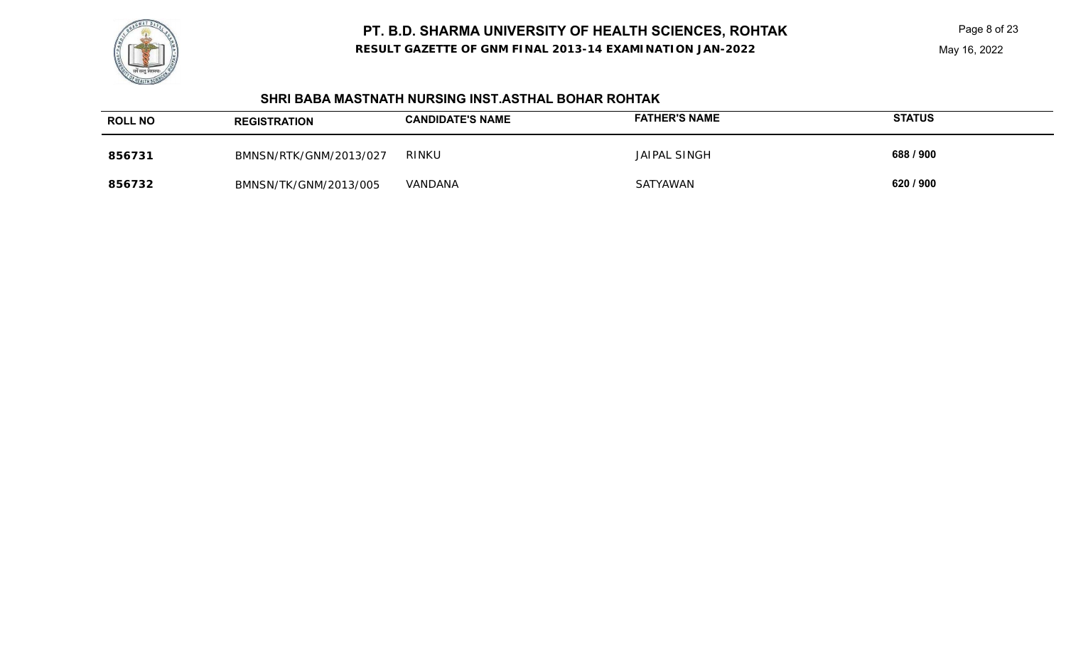**RESULT GAZETTE OF GNM FINAL 2013-14 EXAMINATION JAN-2022**

### **SHRI BABA MASTNATH NURSING INST.ASTHAL BOHAR ROHTAK**

| <b>ROLL NO</b> | <b>REGISTRATION</b>    | <b>CANDIDATE'S NAME</b> | <b>FATHER'S NAME</b> | <b>STATUS</b> |
|----------------|------------------------|-------------------------|----------------------|---------------|
| 856731         | BMNSN/RTK/GNM/2013/027 | RINKU                   | JAIPAL SINGH         | 688 / 900     |
| 856732         | BMNSN/TK/GNM/2013/005  | VANDANA                 | SATYAWAN             | 620 / 900     |

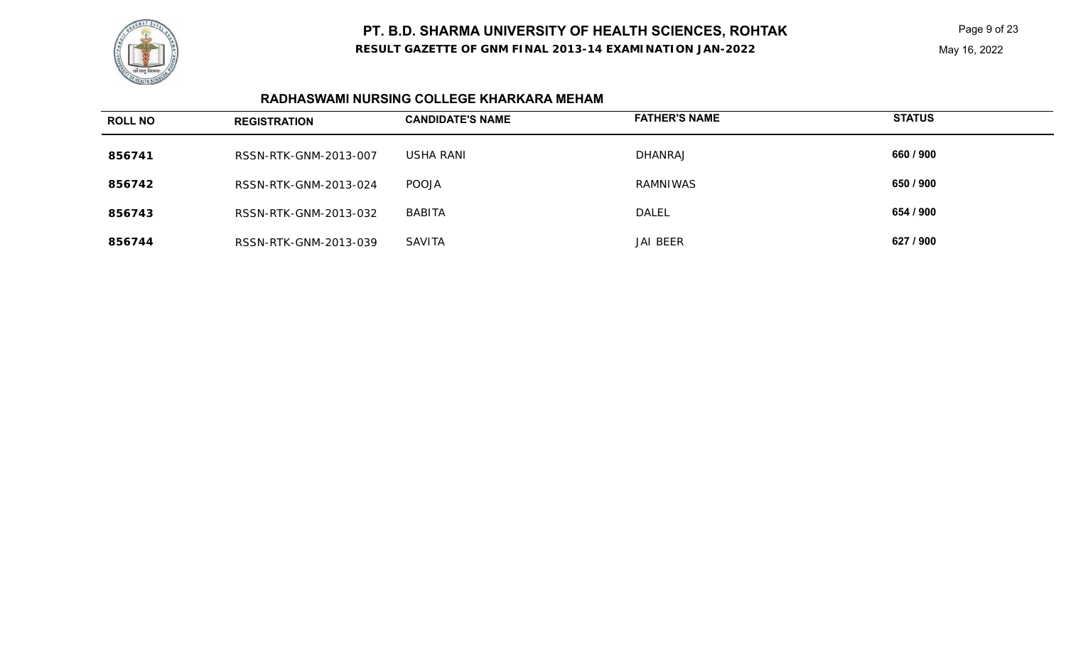**RESULT GAZETTE OF GNM FINAL 2013-14 EXAMINATION JAN-2022**

Page 9 of 23 May 16, 2022

| <b>ROLL NO</b> | <b>REGISTRATION</b>   | <b>CANDIDATE'S NAME</b> | <b>FATHER'S NAME</b> | <b>STATUS</b> |
|----------------|-----------------------|-------------------------|----------------------|---------------|
| 856741         | RSSN-RTK-GNM-2013-007 | USHA RANI               | <b>DHANRAJ</b>       | 660 / 900     |
| 856742         | RSSN-RTK-GNM-2013-024 | <b>POOJA</b>            | RAMNIWAS             | 650 / 900     |
| 856743         | RSSN-RTK-GNM-2013-032 | BABITA                  | <b>DALEL</b>         | 654 / 900     |
| 856744         | RSSN-RTK-GNM-2013-039 | <b>SAVITA</b>           | JAI BEER             | 627 / 900     |

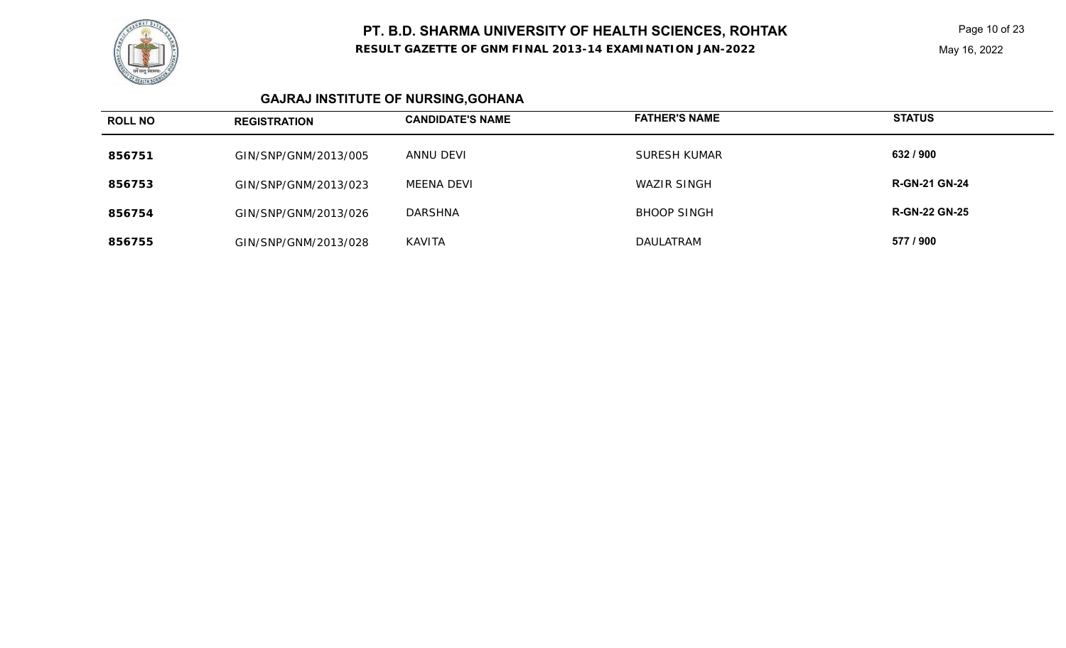

Page 10 of 23



## **GAJRAJ INSTITUTE OF NURSING,GOHANA**

| <b>ROLL NO</b> | <b>REGISTRATION</b>  | <b>CANDIDATE'S NAME</b> | <b>FATHER'S NAME</b> | <b>STATUS</b>        |
|----------------|----------------------|-------------------------|----------------------|----------------------|
| 856751         | GIN/SNP/GNM/2013/005 | ANNU DEVI               | <b>SURESH KUMAR</b>  | 632 / 900            |
| 856753         | GIN/SNP/GNM/2013/023 | MEENA DEVI              | WAZIR SINGH          | <b>R-GN-21 GN-24</b> |
| 856754         | GIN/SNP/GNM/2013/026 | <b>DARSHNA</b>          | <b>BHOOP SINGH</b>   | <b>R-GN-22 GN-25</b> |
| 856755         | GIN/SNP/GNM/2013/028 | KAVITA                  | <b>DAULATRAM</b>     | 577 / 900            |

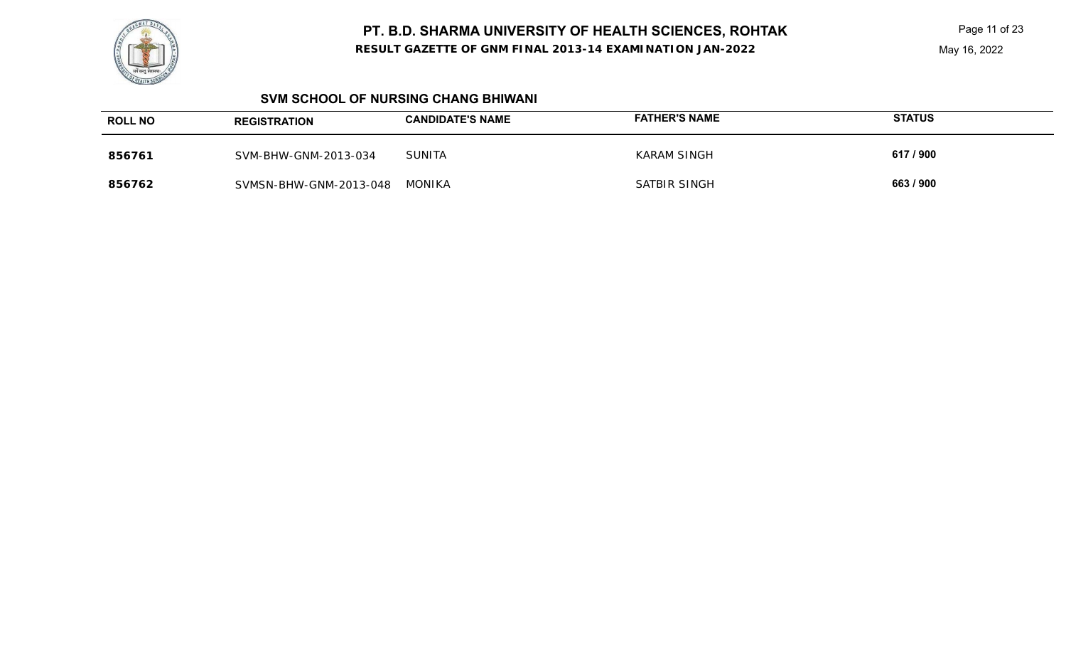

Page 11 of 23 May 16, 2022

### **SVM SCHOOL OF NURSING CHANG BHIWANI**

| <b>ROLL NO</b> | <b>REGISTRATION</b>    | <b>CANDIDATE'S NAME</b> | <b>FATHER'S NAME</b> | <b>STATUS</b> |
|----------------|------------------------|-------------------------|----------------------|---------------|
| 856761         | SVM-BHW-GNM-2013-034   | <b>SUNITA</b>           | KARAM SINGH          | 617 / 900     |
| 856762         | SVMSN-BHW-GNM-2013-048 | <b>MONIKA</b>           | SATBIR SINGH         | 663 / 900     |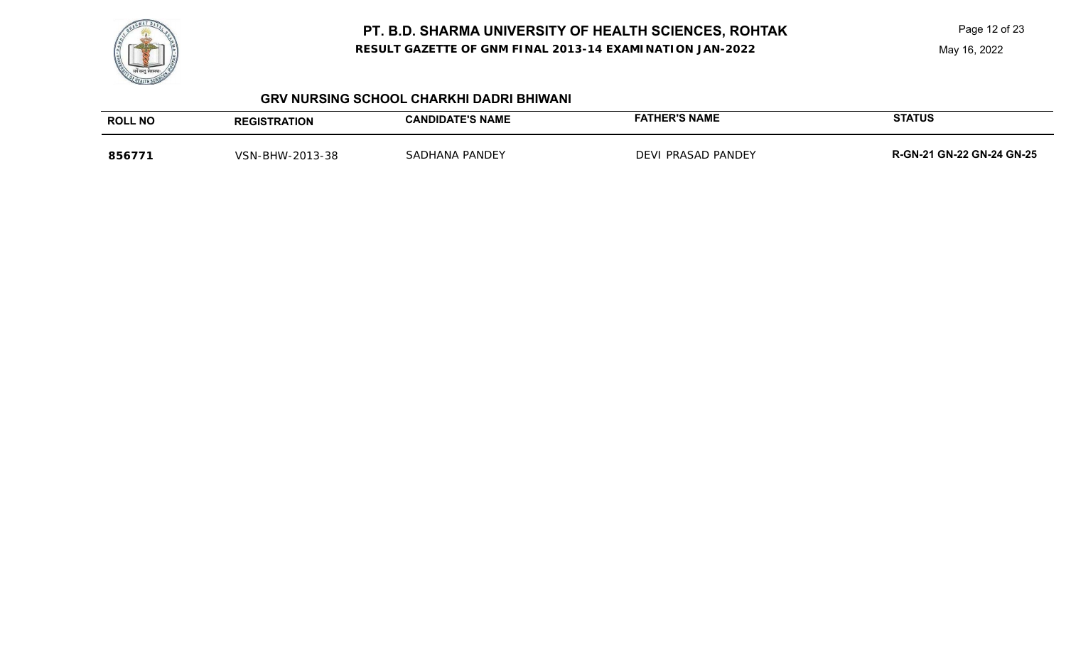

**RESULT GAZETTE OF GNM FINAL 2013-14 EXAMINATION JAN-2022**

Page 12 of 23

May 16, 2022

### **GRV NURSING SCHOOL CHARKHI DADRI BHIWANI**

| <b>ROLL NO</b> | <b>REGISTRATION</b> | CANDIDATE'S NAME      | <b>FATHER'S NAME</b>        | <b>STATUS</b>                    |
|----------------|---------------------|-----------------------|-----------------------------|----------------------------------|
| 856771         | VSN-BHW-2013-38     | <b>SADHANA PANDEY</b> | <b>PRASAD PANDEY</b><br>DEV | <b>R-GN-21 GN-22 GN-24 GN-25</b> |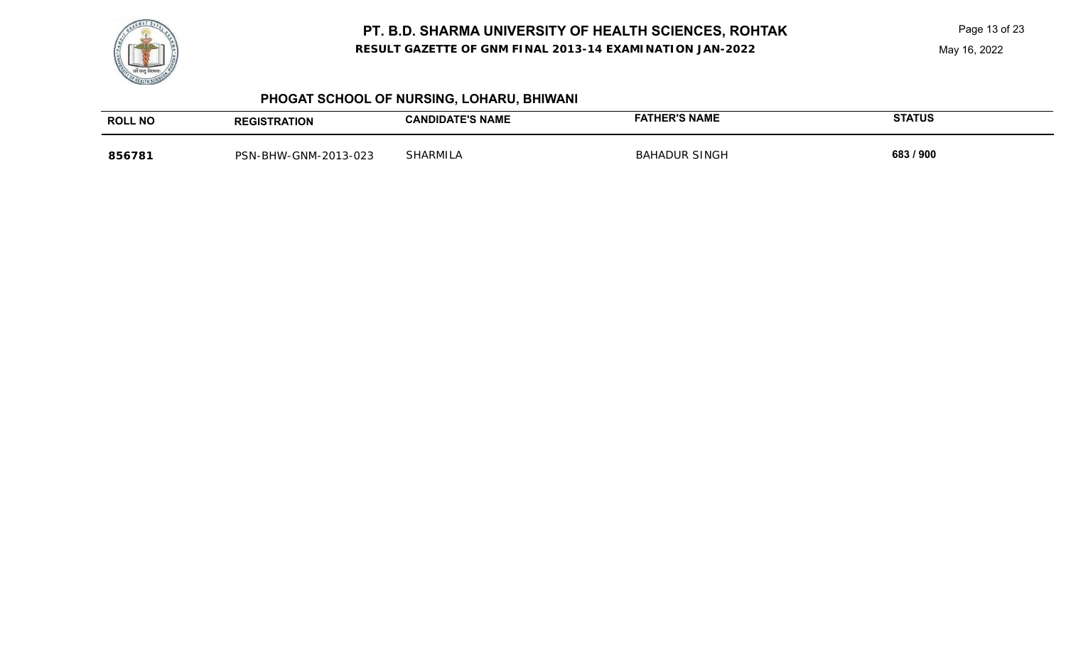

**RESULT GAZETTE OF GNM FINAL 2013-14 EXAMINATION JAN-2022**

Page 13 of 23

May 16, 2022

## **PHOGAT SCHOOL OF NURSING, LOHARU, BHIWANI**

| <b>ROLL NO</b> | <b>TRATION</b>                           | <b>CANDIDATE'S NAME:</b> | ER'S NAME           | <b>STATUS</b> |
|----------------|------------------------------------------|--------------------------|---------------------|---------------|
|                | REGIS                                    |                          |                     |               |
| 856781         | $-023$<br>$GMM -$<br>.<br><b>PSN-BHW</b> | <b>SHARMILA</b>          | SINGH<br>RAHA<br>וח | 683 / 900     |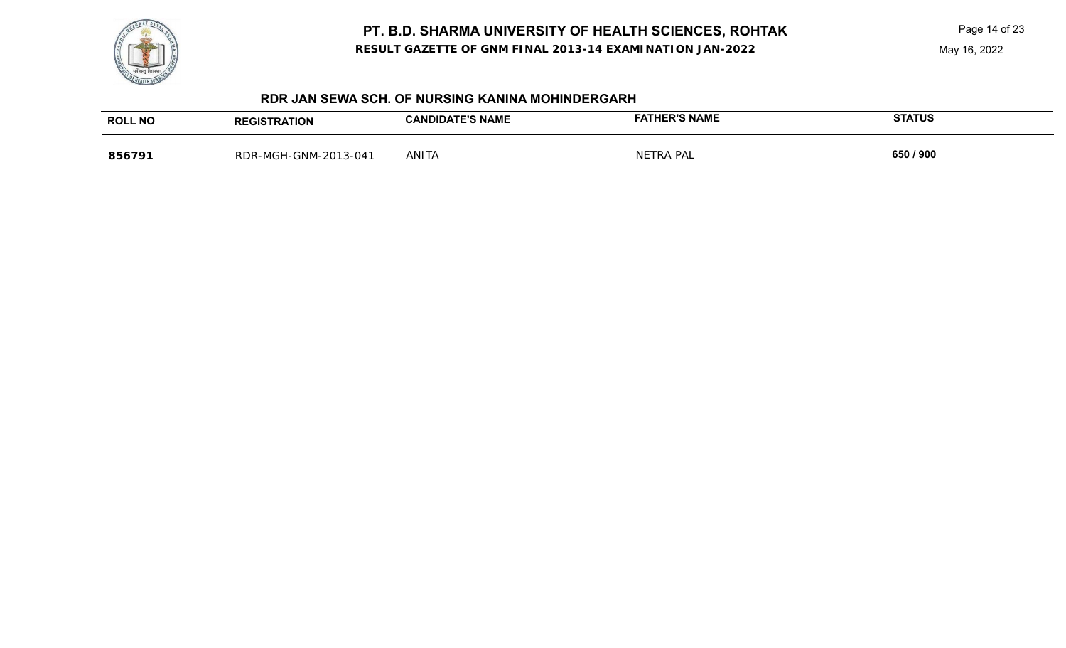**RESULT GAZETTE OF GNM FINAL 2013-14 EXAMINATION JAN-2022**

May 16, 2022



### **RDR JAN SEWA SCH. OF NURSING KANINA MOHINDERGARH**

| <b>ROLL NO</b> | <b>ATION</b><br>GIS      | <b>ATE'S NAME</b><br><b>LANL</b><br>IDА | <b>FATHER'S NAME</b> | <b>STATUS</b> |
|----------------|--------------------------|-----------------------------------------|----------------------|---------------|
| 856791         | $3 - 04^{\circ}$<br>RDR. | ANITA                                   | . PAI<br>NFTRA       | 650 / 900     |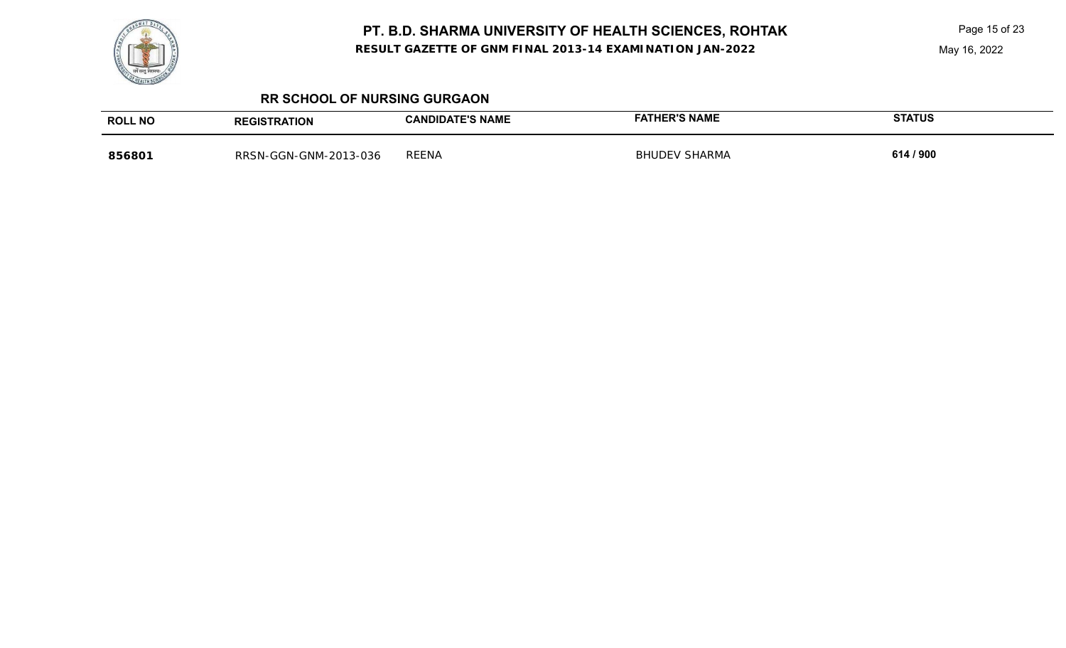

Page 15 of 23

### **RR SCHOOL OF NURSING GURGAON**

| <b>ROLL NO</b> | REGISTRATION          | <b>TE'S NAME</b><br><b>:ANDIDATE</b> | ER'S NAME     | <b>STATUS</b> |
|----------------|-----------------------|--------------------------------------|---------------|---------------|
| 856801         | RRSN-GGN-GNM-2013-036 | <b>REENA</b>                         | <b>SHARMA</b> | 614 / 900     |

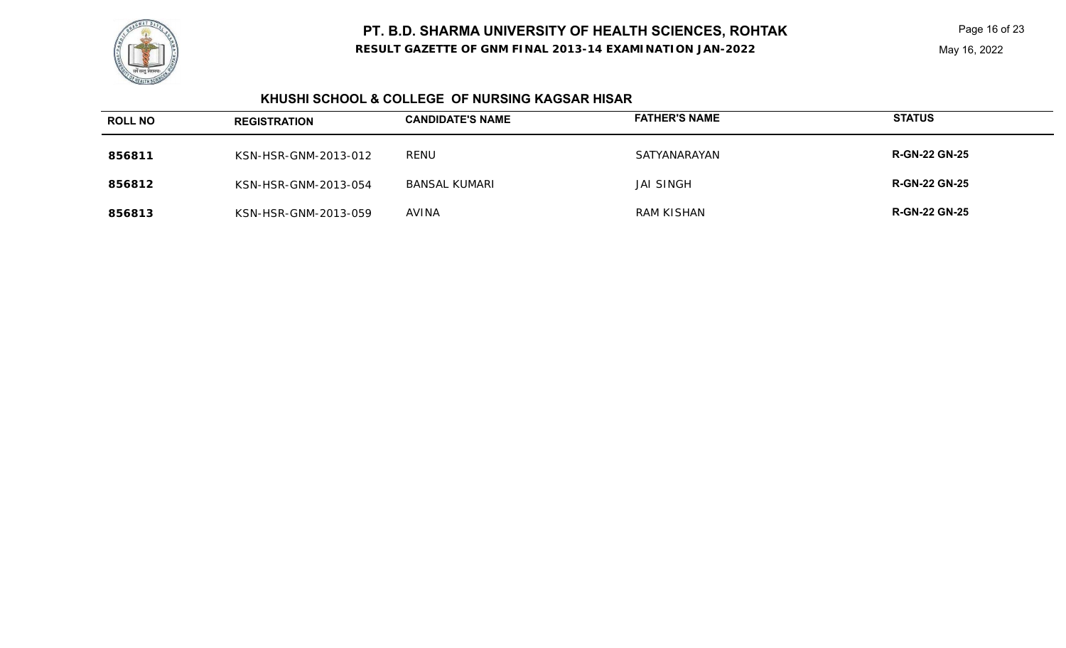**RESULT GAZETTE OF GNM FINAL 2013-14 EXAMINATION JAN-2022**

### **KHUSHI SCHOOL & COLLEGE OF NURSING KAGSAR HISAR**

| <b>ROLL NO</b> | <b>REGISTRATION</b>  | <b>CANDIDATE'S NAME</b> | <b>FATHER'S NAME</b> | <b>STATUS</b>        |
|----------------|----------------------|-------------------------|----------------------|----------------------|
| 856811         | KSN-HSR-GNM-2013-012 | <b>RENU</b>             | SATYANARAYAN         | <b>R-GN-22 GN-25</b> |
| 856812         | KSN-HSR-GNM-2013-054 | <b>BANSAL KUMARI</b>    | <b>JAI SINGH</b>     | <b>R-GN-22 GN-25</b> |
| 856813         | KSN-HSR-GNM-2013-059 | <b>AVINA</b>            | RAM KISHAN           | <b>R-GN-22 GN-25</b> |

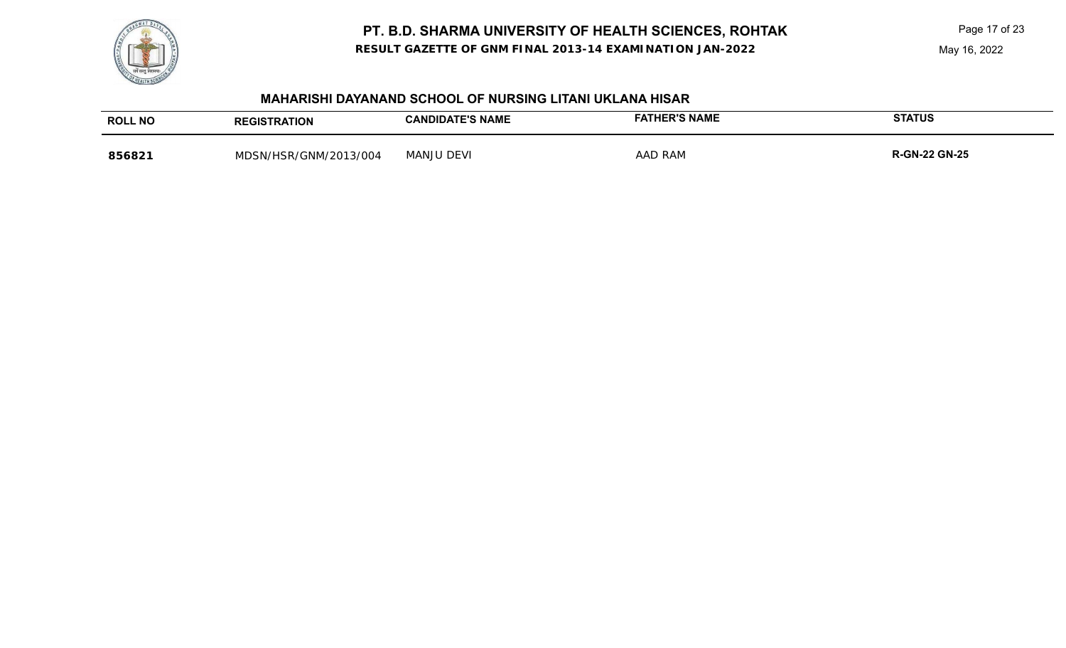**RESULT GAZETTE OF GNM FINAL 2013-14 EXAMINATION JAN-2022**



### **MAHARISHI DAYANAND SCHOOL OF NURSING LITANI UKLANA HISAR**

| <b>ROLL NO</b> | <b>REGISTRATION</b> | <b>CANDIDATE'S NAME</b> | <b>FATHER'S NAME</b> | <b>STATUS</b>        |
|----------------|---------------------|-------------------------|----------------------|----------------------|
| 856821         | HSR/GNM/2013/004    | <b>MANJU DEVI</b>       | AAD RAM              | <b>R-GN-22 GN-25</b> |
|                | <b>MDSN</b>         |                         |                      |                      |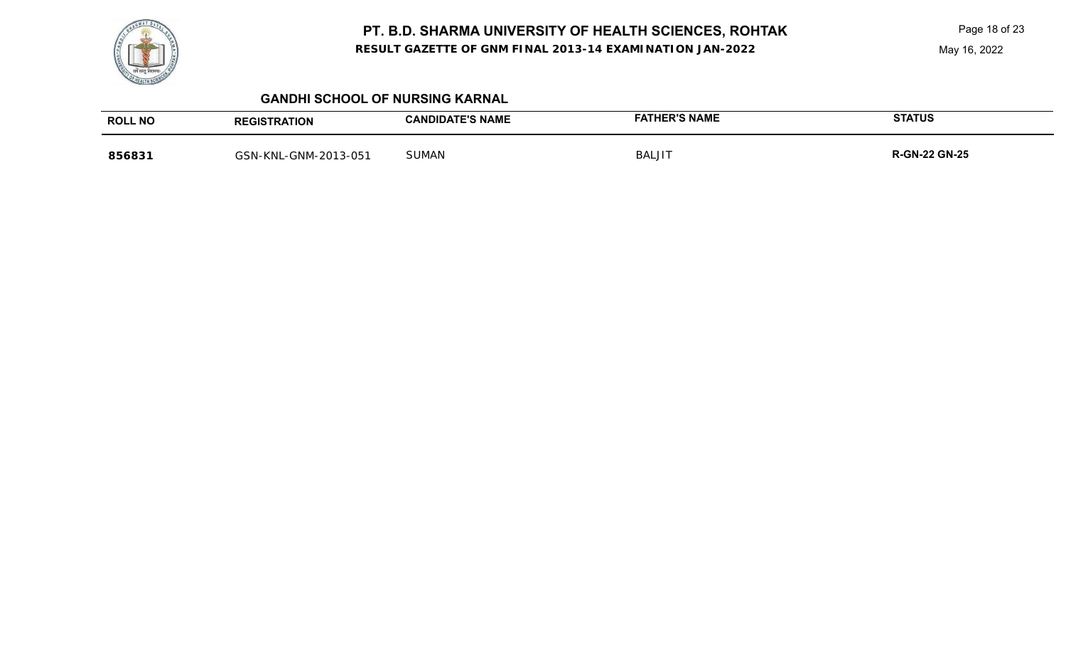**RESULT GAZETTE OF GNM FINAL 2013-14 EXAMINATION JAN-2022**

Page 18 of 23

May 16, 2022

### **GANDHI SCHOOL OF NURSING KARNAL**

| <b>ROLL NO</b> | <b>REGISTRATION</b>                        | <b>CANDIDATE'S NAME</b> | FATHER'S NAME | <b>STATUS</b>        |
|----------------|--------------------------------------------|-------------------------|---------------|----------------------|
| 856831         | $-2013 - 051$<br>GNM-2<br>$-KNI-G$<br>GSN- | <b>SUMAN</b>            | <b>BALJI</b>  | <b>R-GN-22 GN-25</b> |

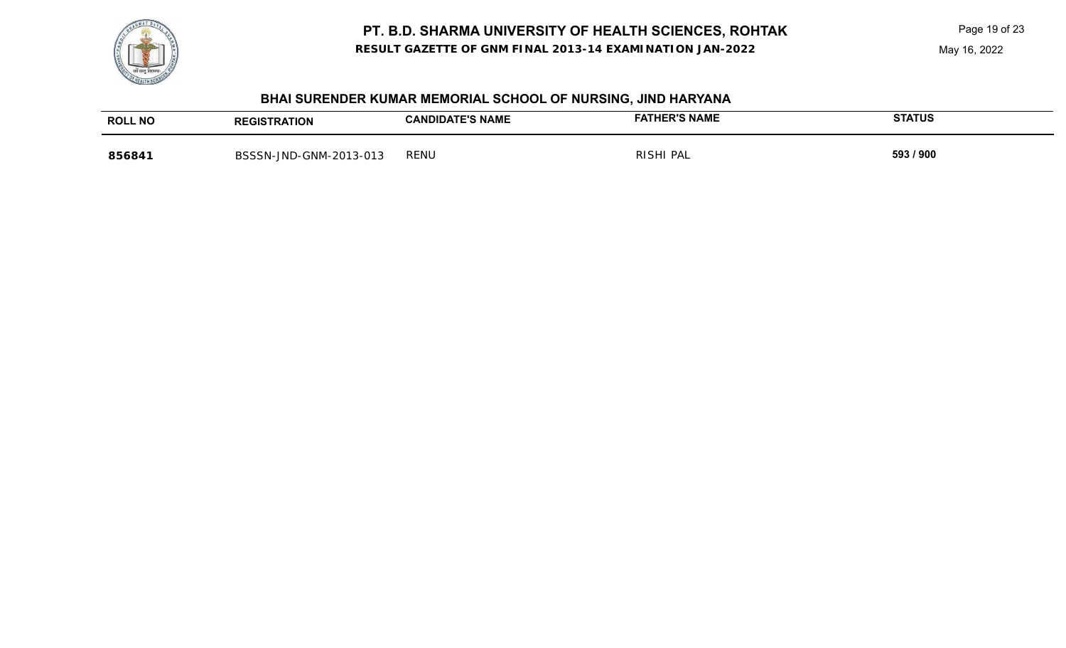**RESULT GAZETTE OF GNM FINAL 2013-14 EXAMINATION JAN-2022**



## **BHAI SURENDER KUMAR MEMORIAL SCHOOL OF NURSING, JIND HARYANA**

| <b>ROLL NO</b> | <b>TRATION</b><br><b>REGIST</b> | <b>DIDATE'S NAME</b><br><b>CAND</b> | <b>FATHER'S NAME</b> | <b>STATUS</b> |
|----------------|---------------------------------|-------------------------------------|----------------------|---------------|
| 856841         | GNM-2013-013-<br>RSSSN.<br>JNF  | RENU                                | RISH<br>PAL          | 593 / 900     |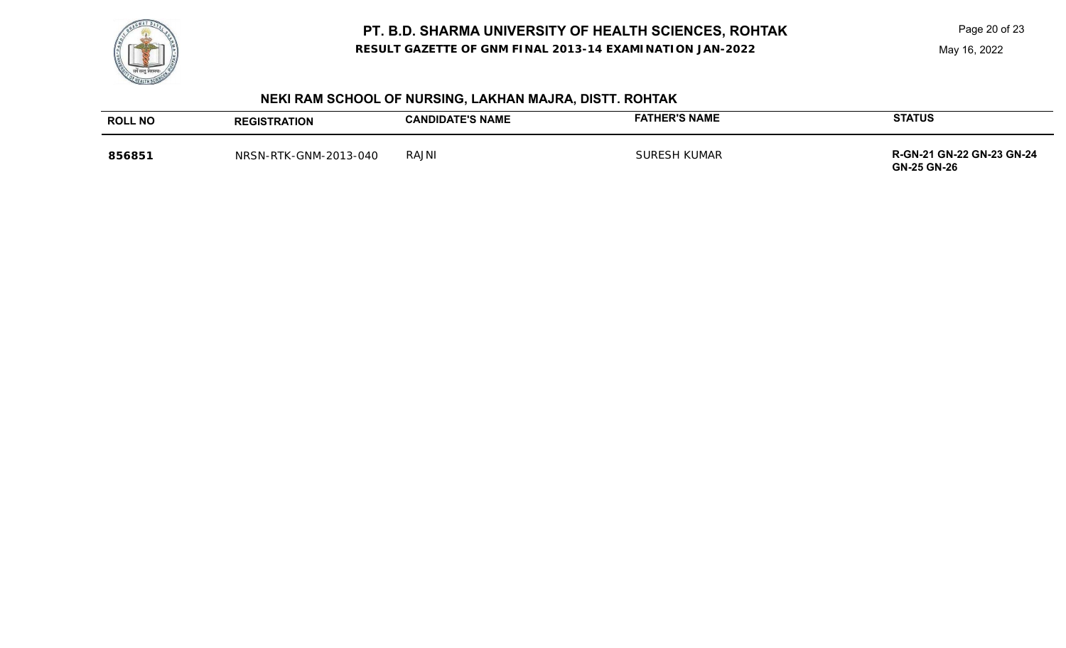

Page 20 of 23



## **NEKI RAM SCHOOL OF NURSING, LAKHAN MAJRA, DISTT. ROHTAK**

| <b>ROLL NO</b> | <b>REGISTRATION</b>   | <b>CANDIDATE'S NAME</b> | <b>FATHER'S NAME</b> | <b>STATUS</b>                                          |
|----------------|-----------------------|-------------------------|----------------------|--------------------------------------------------------|
| 856851         | NRSN-RTK-GNM-2013-040 | RAJNI                   | <b>SURESH KUMAR</b>  | <b>R-GN-21 GN-22 GN-23 GN-24</b><br><b>GN-25 GN-26</b> |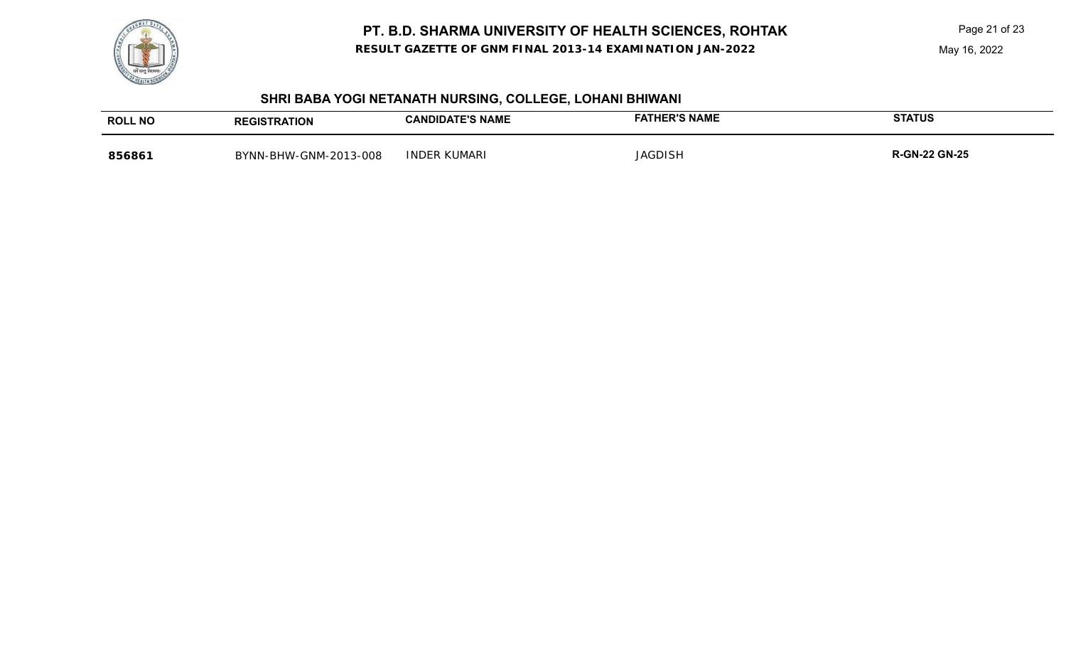



## **SHRI BABA YOGI NETANATH NURSING, COLLEGE, LOHANI BHIWANI**

| <b>ROLL NO</b> | <b>REGISTRATION</b>   | <b>CANDIDATE'S NAME</b> | <b>FATHER'S NAME</b> | <b>STATUS</b>        |
|----------------|-----------------------|-------------------------|----------------------|----------------------|
| 856861         | BYNN-BHW-GNM-2013-008 | <b>INDER KUMARI</b>     | JAGDISI              | <b>R-GN-22 GN-25</b> |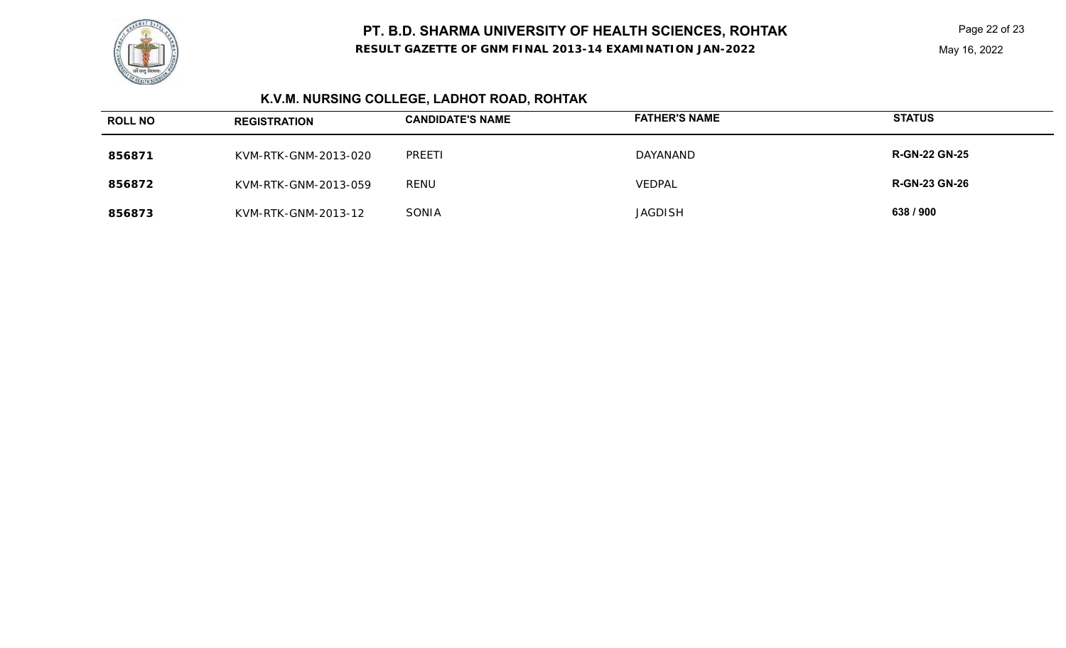**RESULT GAZETTE OF GNM FINAL 2013-14 EXAMINATION JAN-2022**

Page 22 of 23

# **K.V.M. NURSING COLLEGE, LADHOT ROAD, ROHTAK**

| <b>ROLL NO</b> | <b>REGISTRATION</b>  | <b>CANDIDATE'S NAME</b> | <b>FATHER'S NAME</b> | <b>STATUS</b>        |
|----------------|----------------------|-------------------------|----------------------|----------------------|
| 856871         | KVM-RTK-GNM-2013-020 | PREETI                  | DAYANAND             | <b>R-GN-22 GN-25</b> |
| 856872         | KVM-RTK-GNM-2013-059 | <b>RENU</b>             | <b>VEDPAL</b>        | <b>R-GN-23 GN-26</b> |
| 856873         | KVM-RTK-GNM-2013-12  | SONIA                   | <b>JAGDISH</b>       | 638 / 900            |

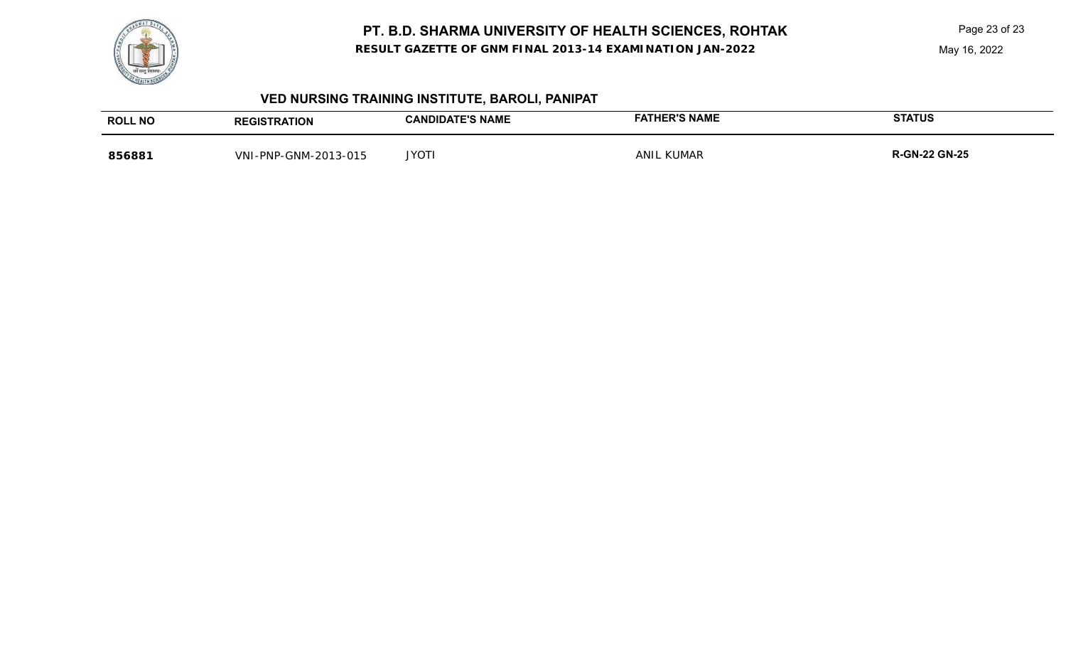

**RESULT GAZETTE OF GNM FINAL 2013-14 EXAMINATION JAN-2022**

Page 23 of 23

May 16, 2022

## **VED NURSING TRAINING INSTITUTE, BAROLI, PANIPAT**

| <b>ROLL NO</b> | <b>REGISTRATION</b>  | <b>CANDIDATE'S NAME</b> | <b>FATHER'S NAME</b> | <b>STATUS</b>        |
|----------------|----------------------|-------------------------|----------------------|----------------------|
| 856881         | VNI-PNP-GNM-2013-015 | <b>IYOT</b>             | <b>ANIL KUMAR</b>    | <b>R-GN-22 GN-25</b> |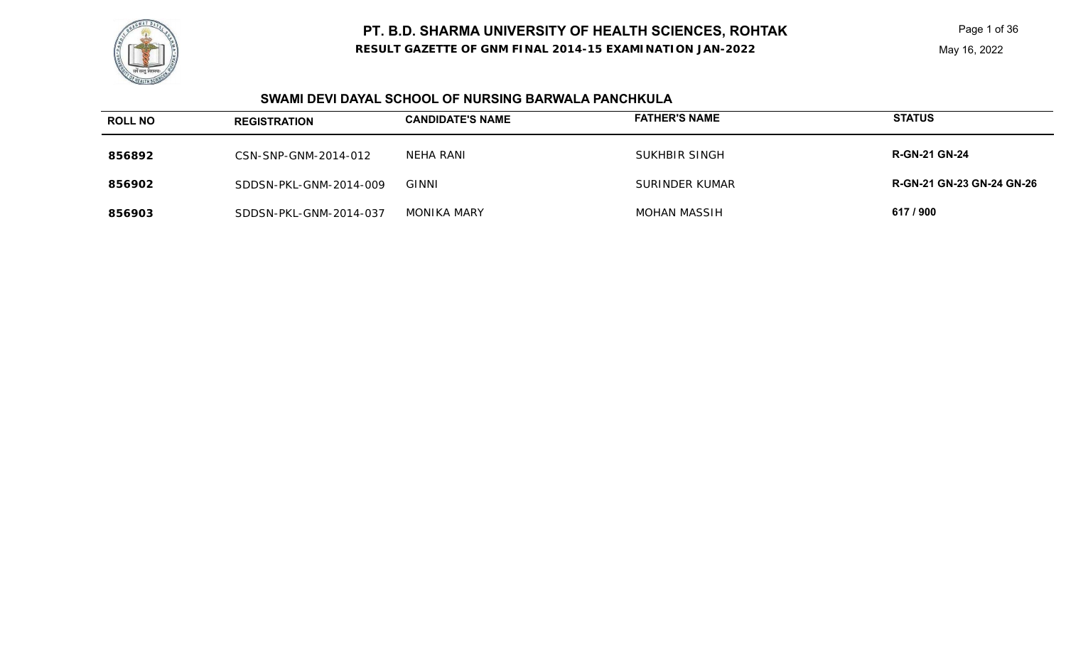**RESULT GAZETTE OF GNM FINAL 2014-15 EXAMINATION JAN-2022**



### **SWAMI DEVI DAYAL SCHOOL OF NURSING BARWALA PANCHKULA**

| <b>ROLL NO</b> | <b>REGISTRATION</b>    | <b>CANDIDATE'S NAME</b> | <b>FATHER'S NAME</b> | <b>STATUS</b>                    |
|----------------|------------------------|-------------------------|----------------------|----------------------------------|
| 856892         | CSN-SNP-GNM-2014-012   | NEHA RANI               | <b>SUKHBIR SINGH</b> | <b>R-GN-21 GN-24</b>             |
| 856902         | SDDSN-PKL-GNM-2014-009 | GINNI                   | SURINDER KUMAR       | <b>R-GN-21 GN-23 GN-24 GN-26</b> |
| 856903         | SDDSN-PKL-GNM-2014-037 | <b>MONIKA MARY</b>      | MOHAN MASSIH         | 617 / 900                        |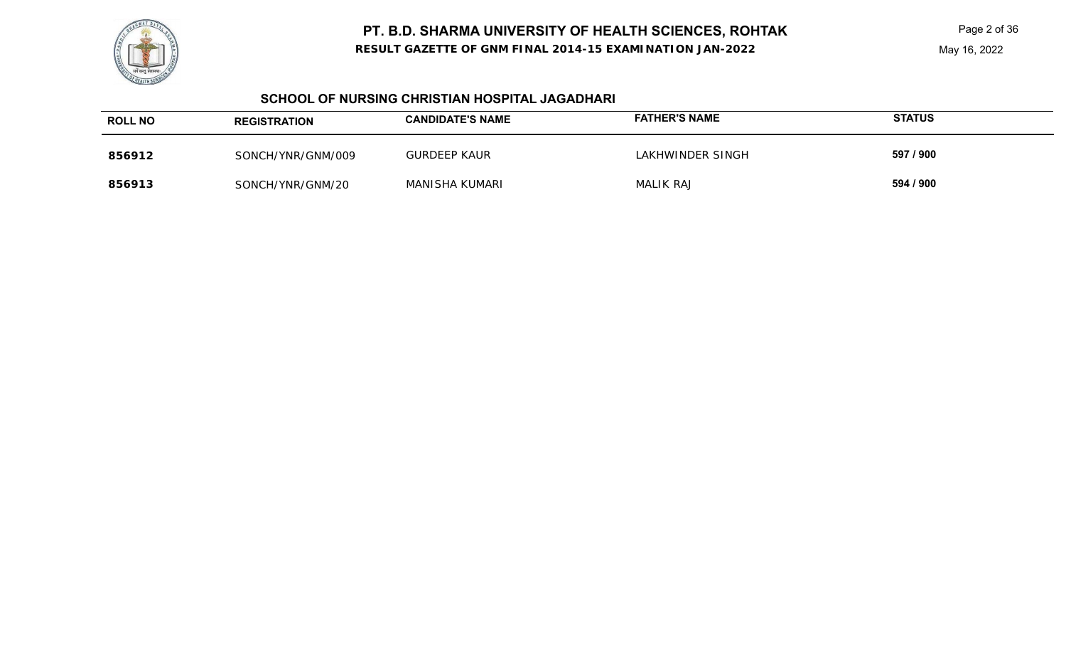**RESULT GAZETTE OF GNM FINAL 2014-15 EXAMINATION JAN-2022**

## **SCHOOL OF NURSING CHRISTIAN HOSPITAL JAGADHARI**

| <b>ROLL NO</b> | <b>REGISTRATION</b> | <b>CANDIDATE'S NAME</b> | <b>FATHER'S NAME</b> | <b>STATUS</b> |
|----------------|---------------------|-------------------------|----------------------|---------------|
| 856912         | SONCH/YNR/GNM/009   | <b>GURDEEP KAUR</b>     | LAKHWINDER SINGH     | 597 / 900     |
| 856913         | SONCH/YNR/GNM/20    | MANISHA KUMARI          | <b>MALIK RAJ</b>     | 594 / 900     |

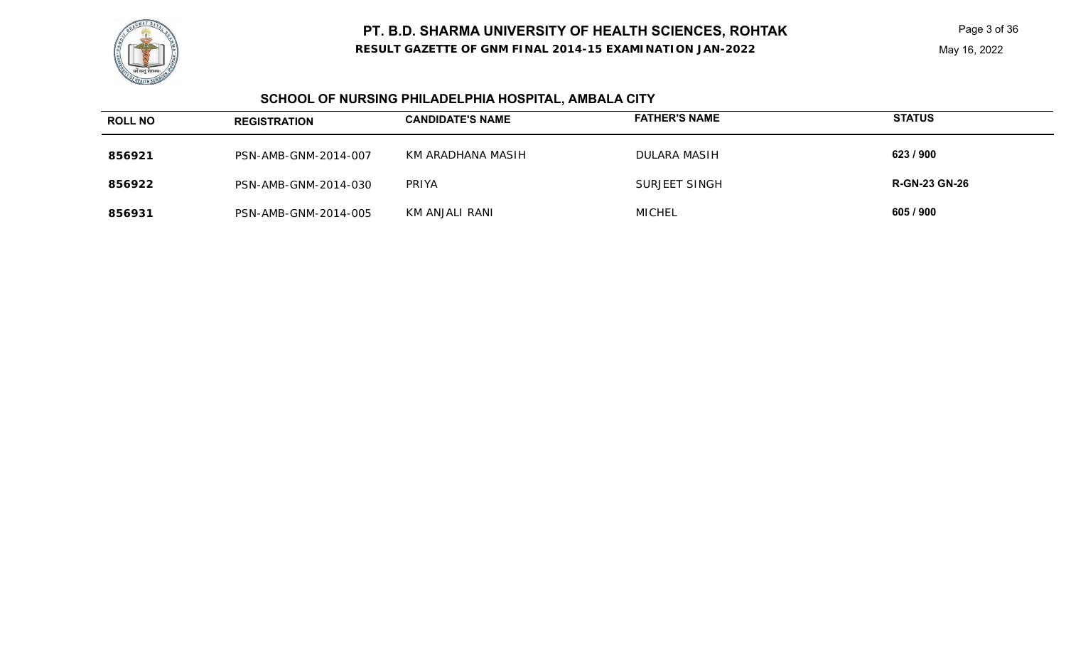**RESULT GAZETTE OF GNM FINAL 2014-15 EXAMINATION JAN-2022**



## **SCHOOL OF NURSING PHILADELPHIA HOSPITAL, AMBALA CITY**

| <b>ROLL NO</b> | <b>REGISTRATION</b>  | <b>CANDIDATE'S NAME</b> | <b>FATHER'S NAME</b> | <b>STATUS</b>        |
|----------------|----------------------|-------------------------|----------------------|----------------------|
| 856921         | PSN-AMB-GNM-2014-007 | KM ARADHANA MASIH       | DULARA MASIH         | 623 / 900            |
| 856922         | PSN-AMB-GNM-2014-030 | <b>PRIYA</b>            | SURJEET SINGH        | <b>R-GN-23 GN-26</b> |
| 856931         | PSN-AMB-GNM-2014-005 | KM ANJALI RANI          | <b>MICHEL</b>        | 605 / 900            |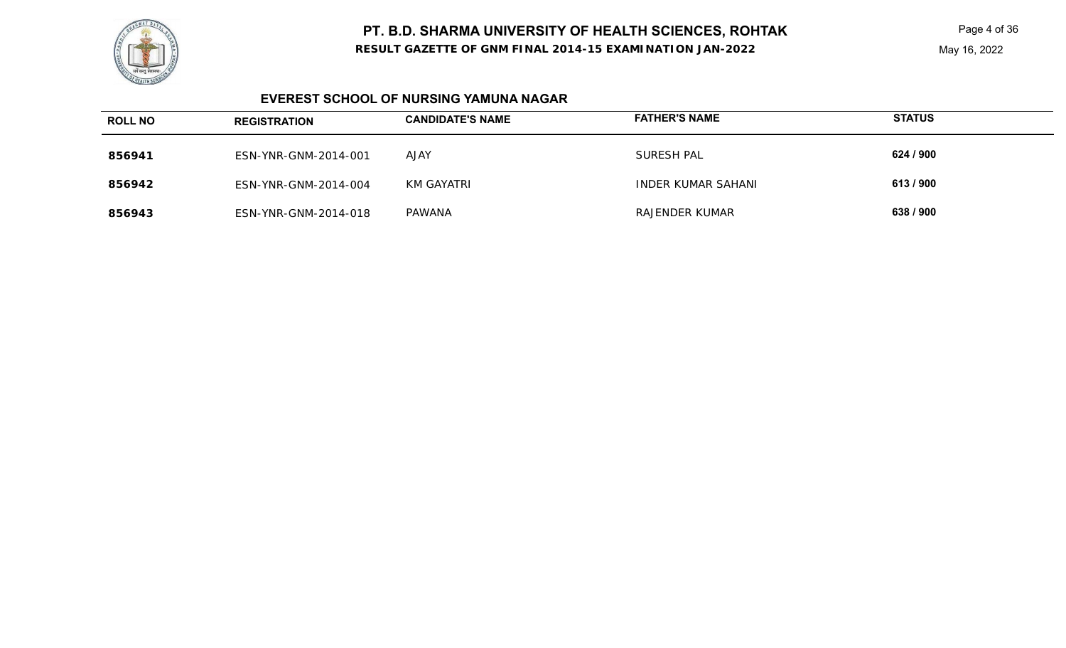

Page 4 of 36 May 16, 2022

| <b>ROLL NO</b> | <b>REGISTRATION</b>  | <b>CANDIDATE'S NAME</b> | <b>FATHER'S NAME</b> | <b>STATUS</b> |  |
|----------------|----------------------|-------------------------|----------------------|---------------|--|
| 856941         | ESN-YNR-GNM-2014-001 | AJAY                    | SURESH PAL           | 624 / 900     |  |
| 856942         | ESN-YNR-GNM-2014-004 | KM GAYATRI              | INDER KUMAR SAHANI   | 613/900       |  |
| 856943         | ESN-YNR-GNM-2014-018 | PAWANA                  | RAJENDER KUMAR       | 638 / 900     |  |

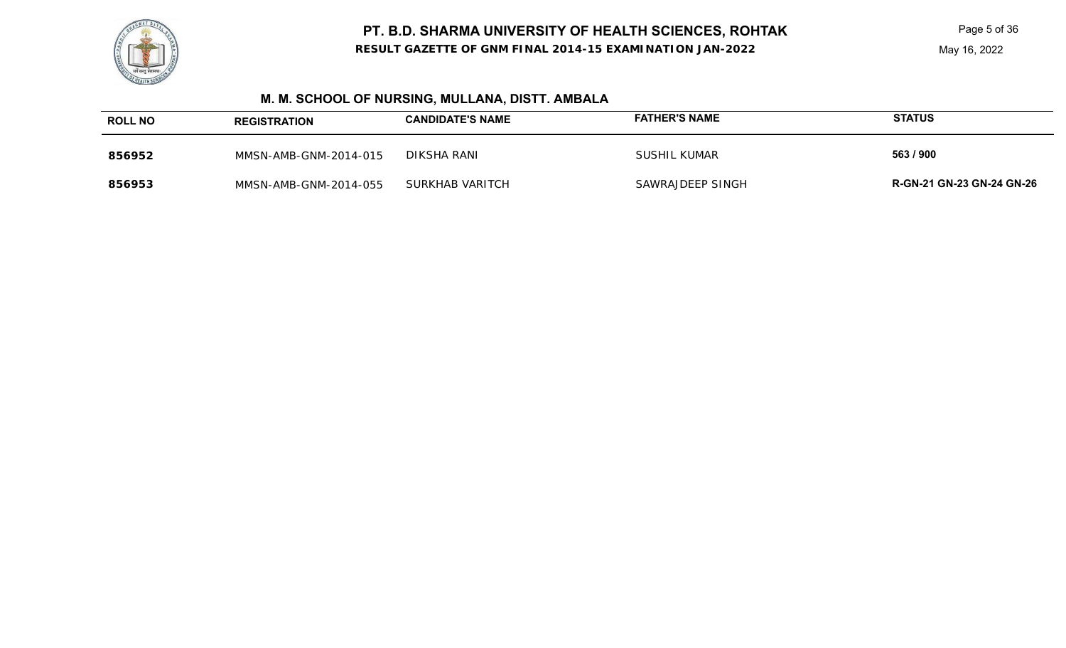**RESULT GAZETTE OF GNM FINAL 2014-15 EXAMINATION JAN-2022**

May 16, 2022



## **M. M. SCHOOL OF NURSING, MULLANA, DISTT. AMBALA**

| <b>ROLL NO</b> | <b>REGISTRATION</b>   | <b>CANDIDATE'S NAME</b> | <b>FATHER'S NAME</b> | <b>STATUS</b>                    |
|----------------|-----------------------|-------------------------|----------------------|----------------------------------|
| 856952         | MMSN-AMB-GNM-2014-015 | DIKSHA RANI             | <b>SUSHIL KUMAR</b>  | 563 / 900                        |
| 856953         | MMSN-AMB-GNM-2014-055 | SURKHAB VARITCH         | SAWRAJDEEP SINGH     | <b>R-GN-21 GN-23 GN-24 GN-26</b> |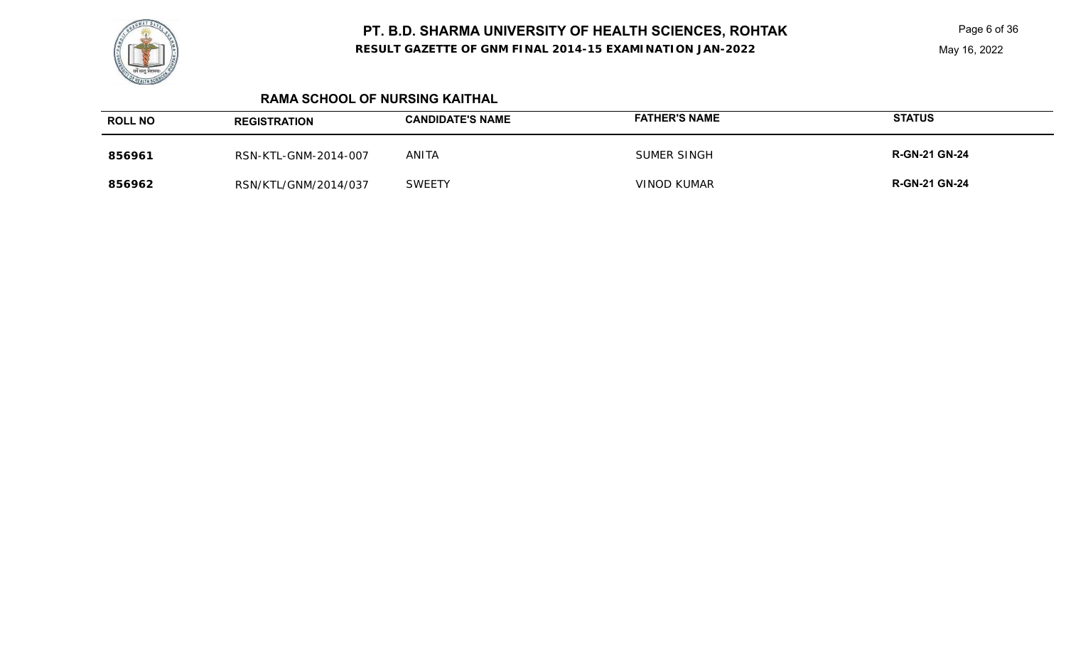#### **RESULT GAZETTE OF GNM FINAL 2014-15 EXAMINATION JAN-2022**

Page 6 of 36

#### **RAMA SCHOOL OF NURSING KAITHAL**

| <b>ROLL NO</b> | <b>REGISTRATION</b>  | <b>CANDIDATE'S NAME</b> | <b>FATHER'S NAME</b> | <b>STATUS</b>        |
|----------------|----------------------|-------------------------|----------------------|----------------------|
| 856961         | RSN-KTL-GNM-2014-007 | <b>ANITA</b>            | SUMER SINGH          | <b>R-GN-21 GN-24</b> |
| 856962         | RSN/KTL/GNM/2014/037 | <b>SWEETY</b>           | VINOD KUMAR          | <b>R-GN-21 GN-24</b> |

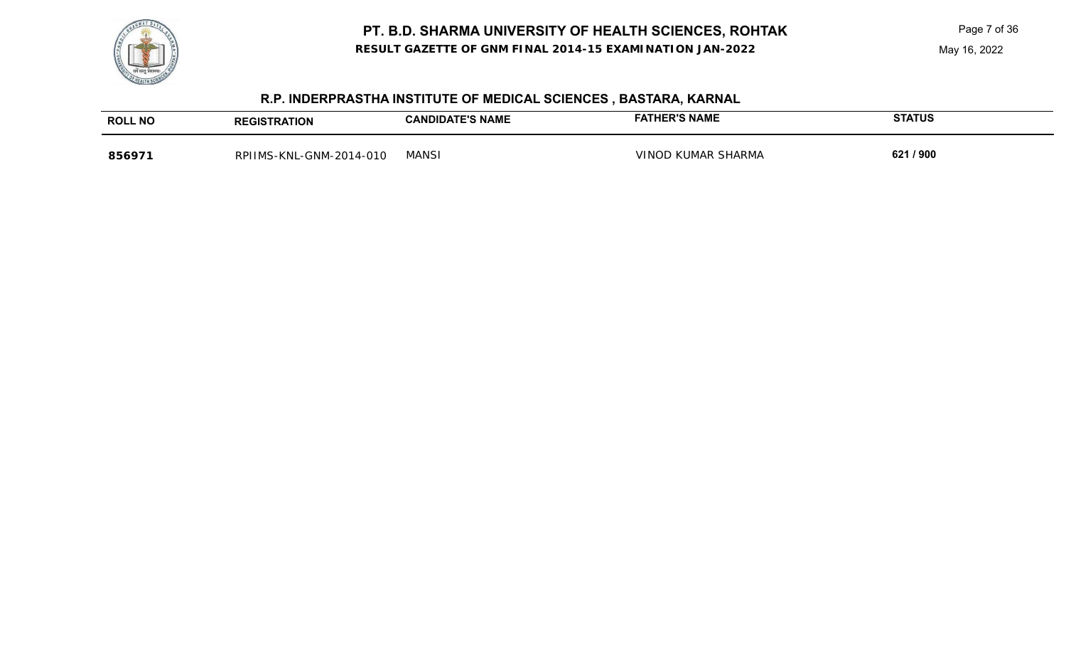**RESULT GAZETTE OF GNM FINAL 2014-15 EXAMINATION JAN-2022**

## **R.P. INDERPRASTHA INSTITUTE OF MEDICAL SCIENCES , BASTARA, KARNAL**

| <b>ROLL NO</b> | <b>REGISTRATION</b>     | <b>CANDIDATE'S NAME</b> | <b>FATHER'S NAME</b> | <b>STATUS</b> |
|----------------|-------------------------|-------------------------|----------------------|---------------|
| 856971         | RPIIMS-KNL-GNM-2014-010 | <b>MANSI</b>            | VINOD KUMAR SHARMA   | 621 / 900     |

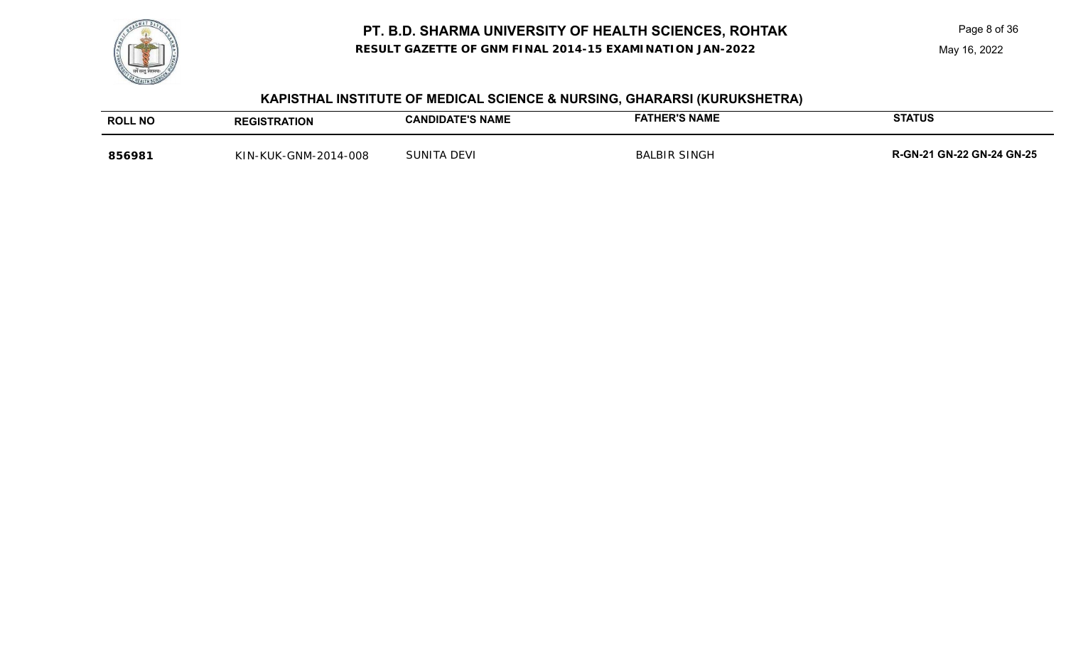**RESULT GAZETTE OF GNM FINAL 2014-15 EXAMINATION JAN-2022**

Page 8 of 36

May 16, 2022



# **KAPISTHAL INSTITUTE OF MEDICAL SCIENCE & NURSING, GHARARSI (KURUKSHETRA)**

| <b>ROLL NO</b> | <b>REGISTRATION</b>  | <b>CANDIDATE'S NAME</b> | <b>FATHER'S NAME</b> | <b>STATUS</b>                    |
|----------------|----------------------|-------------------------|----------------------|----------------------------------|
| 856981         | KIN-KUK-GNM-2014-008 | <b>SUNITA DEVI</b>      | <b>BALBIR SINGH</b>  | <b>R-GN-21 GN-22 GN-24 GN-25</b> |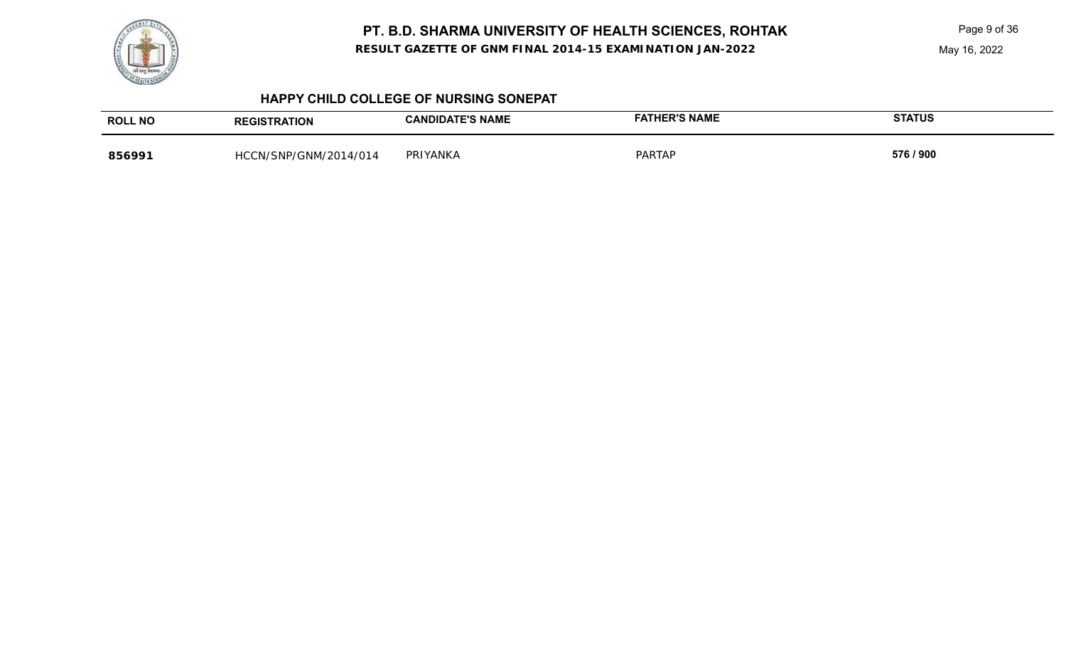

**RESULT GAZETTE OF GNM FINAL 2014-15 EXAMINATION JAN-2022**

Page 9 of 36

May 16, 2022

#### **HAPPY CHILD COLLEGE OF NURSING SONEPAT**

| <b>ROLL NO</b> | <b>TRATION</b><br><b>REGIS</b> | <b>CANDIDATE'S NAME</b> | FATHER'S NAME | <b>STATUS</b> |
|----------------|--------------------------------|-------------------------|---------------|---------------|
| 856991         | HCCN/SNP/GNM/2014/014          | PRIYANKA                | <b>PARTAP</b> | 576 / 900     |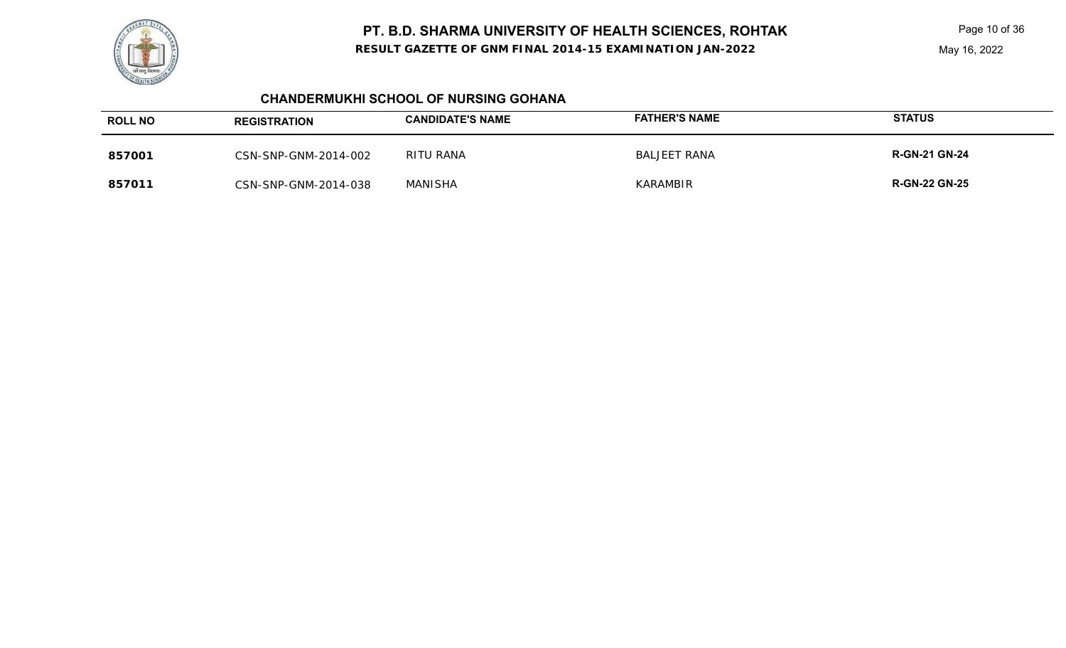**RESULT GAZETTE OF GNM FINAL 2014-15 EXAMINATION JAN-2022**

Page 10 of 36

## **CHANDERMUKHI SCHOOL OF NURSING GOHANA**

| <b>ROLL NO</b> | <b>REGISTRATION</b>  | <b>CANDIDATE'S NAME</b> | <b>FATHER'S NAME</b> | <b>STATUS</b>        |
|----------------|----------------------|-------------------------|----------------------|----------------------|
| 857001         | CSN-SNP-GNM-2014-002 | RITU RANA               | <b>BALJEET RANA</b>  | <b>R-GN-21 GN-24</b> |
| 857011         | CSN-SNP-GNM-2014-038 | MANISHA                 | KARAMBIR             | <b>R-GN-22 GN-25</b> |

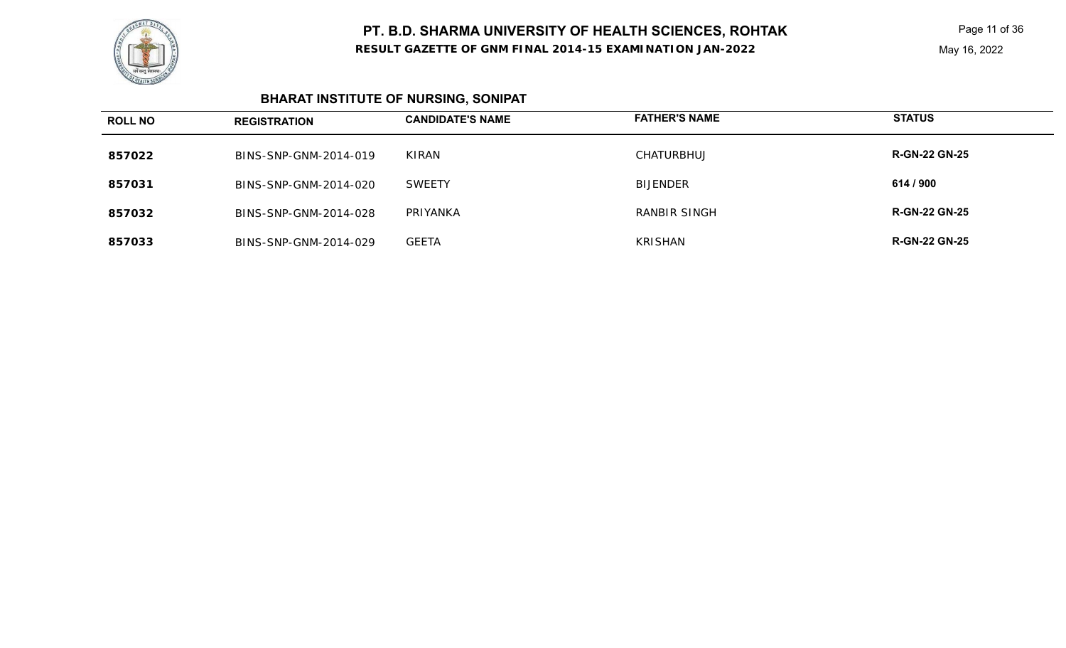

Page 11 of 36 May 16, 2022

# **BHARAT INSTITUTE OF NURSING, SONIPAT**

| <b>ROLL NO</b> | <b>REGISTRATION</b>   | <b>CANDIDATE'S NAME</b> | <b>FATHER'S NAME</b> | <b>STATUS</b>        |
|----------------|-----------------------|-------------------------|----------------------|----------------------|
| 857022         | BINS-SNP-GNM-2014-019 | KIRAN                   | CHATURBHUJ           | <b>R-GN-22 GN-25</b> |
| 857031         | BINS-SNP-GNM-2014-020 | <b>SWEETY</b>           | <b>BIJENDER</b>      | 614 / 900            |
| 857032         | BINS-SNP-GNM-2014-028 | PRIYANKA                | RANBIR SINGH         | <b>R-GN-22 GN-25</b> |
| 857033         | BINS-SNP-GNM-2014-029 | <b>GEETA</b>            | KRISHAN              | <b>R-GN-22 GN-25</b> |

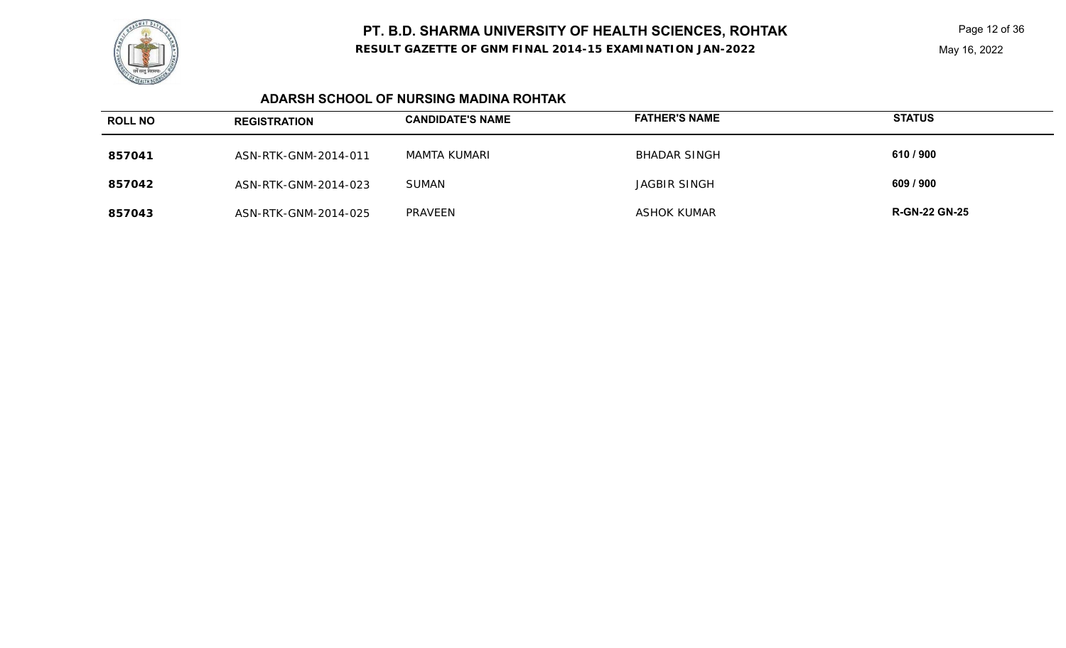

Page 12 of 36

## **ADARSH SCHOOL OF NURSING MADINA ROHTAK**

| <b>ROLL NO</b> | <b>REGISTRATION</b>  | <b>CANDIDATE'S NAME</b> | <b>FATHER'S NAME</b> | <b>STATUS</b>        |
|----------------|----------------------|-------------------------|----------------------|----------------------|
| 857041         | ASN-RTK-GNM-2014-011 | MAMTA KUMARI            | BHADAR SINGH         | 610 / 900            |
| 857042         | ASN-RTK-GNM-2014-023 | <b>SUMAN</b>            | <b>JAGBIR SINGH</b>  | 609 / 900            |
| 857043         | ASN-RTK-GNM-2014-025 | PRAVEEN                 | ASHOK KUMAR          | <b>R-GN-22 GN-25</b> |

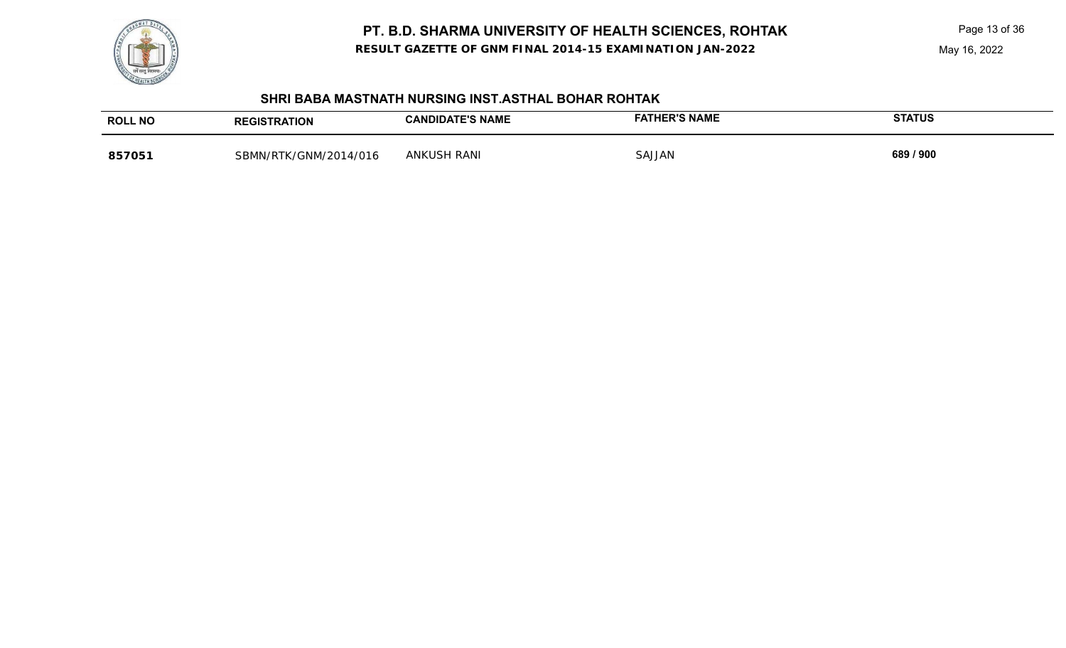**RESULT GAZETTE OF GNM FINAL 2014-15 EXAMINATION JAN-2022**



## **SHRI BABA MASTNATH NURSING INST.ASTHAL BOHAR ROHTAK**

| <b>ROLL NO</b> | <b>REGISTRATION</b>   | <b>TE'S NAME</b><br><b>CANDIDATE',</b> | <b>FATHER'S NAME</b> | <b>STATUS</b> |
|----------------|-----------------------|----------------------------------------|----------------------|---------------|
| 857051         | SBMN/RTK/GNM/2014/016 | I RANI<br>ANKUSH                       | SAJJAN               | 689 / 900     |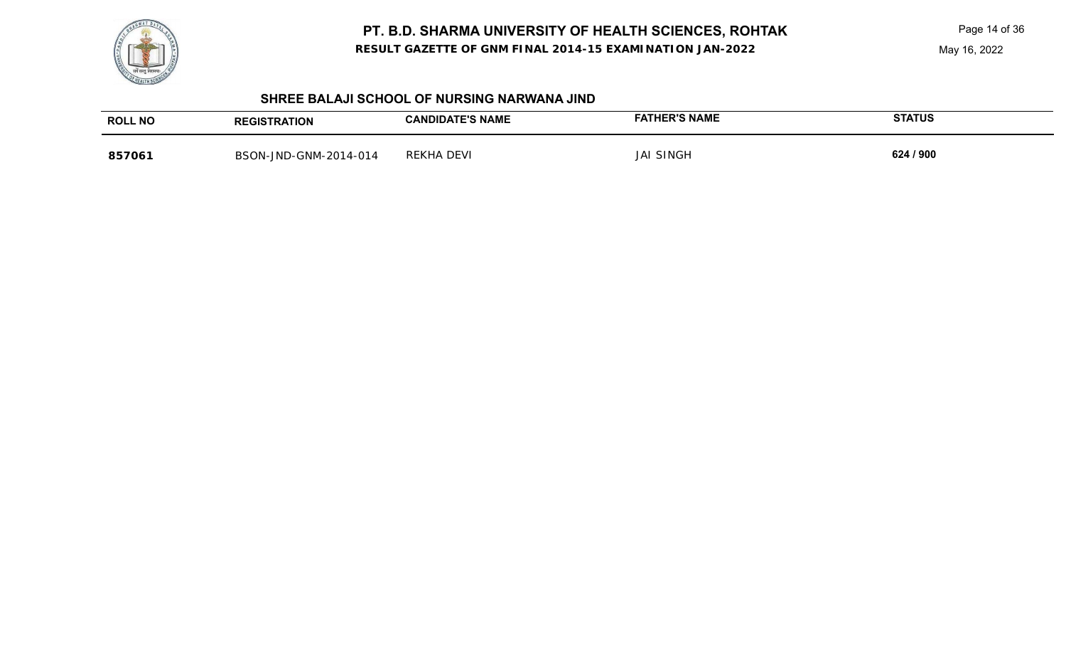

**RESULT GAZETTE OF GNM FINAL 2014-15 EXAMINATION JAN-2022**

Page 14 of 36

May 16, 2022

## **SHREE BALAJI SCHOOL OF NURSING NARWANA JIND**

| <b>ROLL NO</b> | <b>TRATION</b>                   | <b>CANDIDATE'S NAME:</b> | ER'S NAME                  | <b>STATUS</b> |
|----------------|----------------------------------|--------------------------|----------------------------|---------------|
|                | <b>REGIST</b>                    |                          |                            |               |
| 85706          | -JND-GNM-20<br>2014-014<br>RSON- | <b>REKHA DEVI</b>        | <b>SINGH</b><br><b>JAI</b> | 624 / 900     |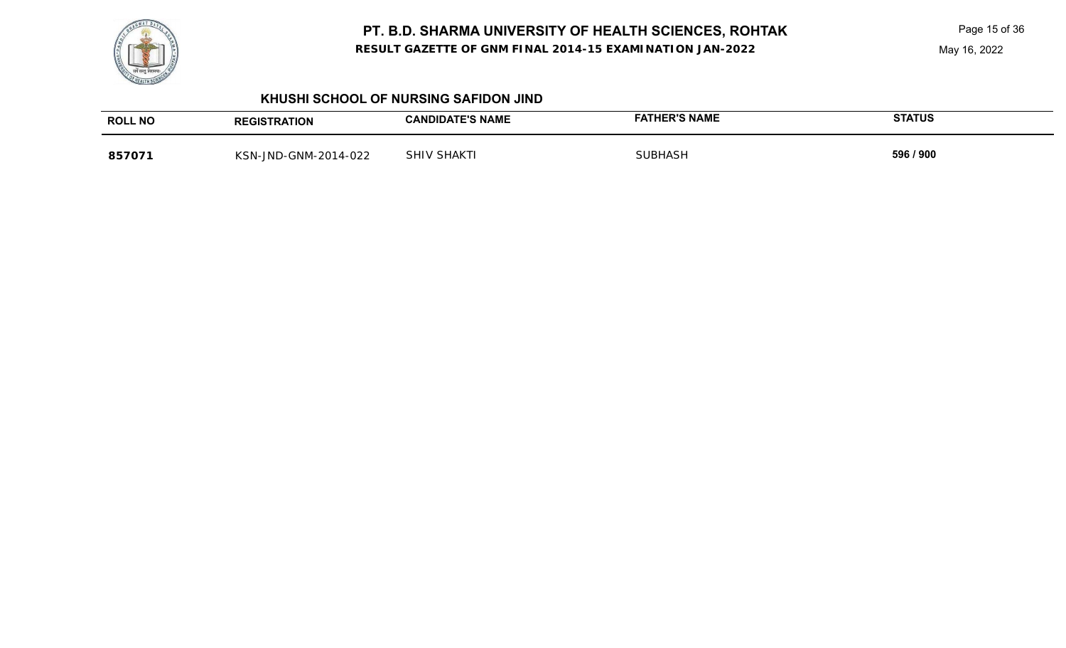

**RESULT GAZETTE OF GNM FINAL 2014-15 EXAMINATION JAN-2022**

Page 15 of 36

May 16, 2022

#### **KHUSHI SCHOOL OF NURSING SAFIDON JIND**

| <b>ROLL NO</b> | <b>ATION</b><br>GIS.                            | <b>CANDIDATE'S NAME</b> | <b>ER'S NAME</b><br>п | <b>STATUS</b> |
|----------------|-------------------------------------------------|-------------------------|-----------------------|---------------|
| 857071         | $-2014 - 022$<br>KSN-<br>⌒<br>1 N 1 F<br>J-GNNN | <b>SHAKT</b><br>SHI\    | JBHASF                | 596 / 900     |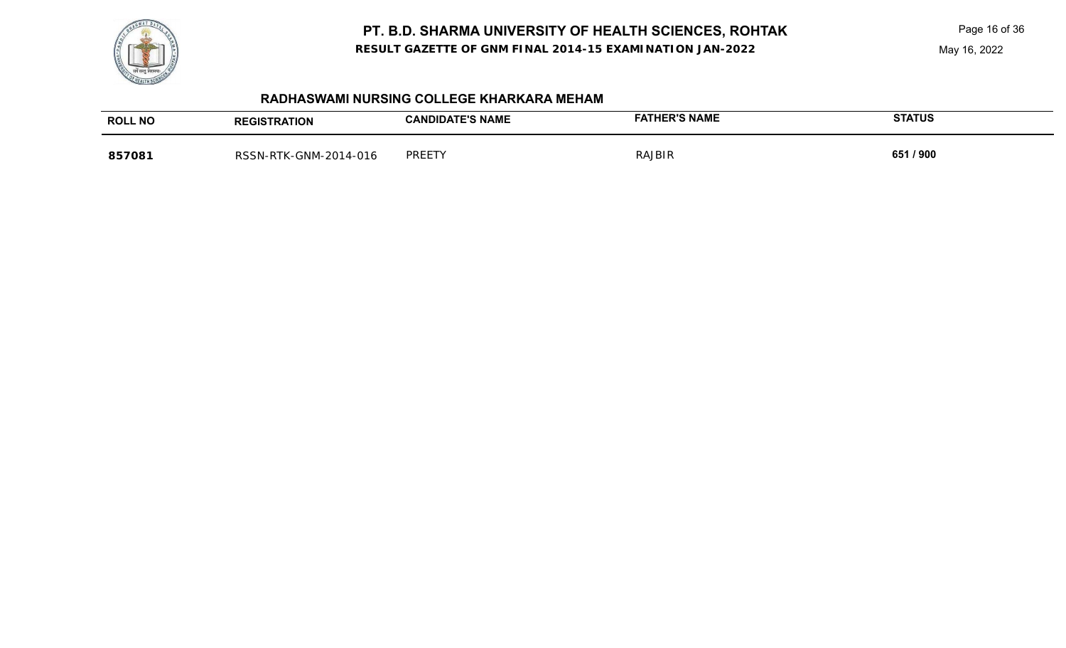

**RESULT GAZETTE OF GNM FINAL 2014-15 EXAMINATION JAN-2022**

Page 16 of 36

May 16, 2022

## **RADHASWAMI NURSING COLLEGE KHARKARA MEHAM**

| <b>ROLL NO</b> | <b>REGISTRATION</b>   | <b>CANDIDATE'S NAME</b> | <b>FATHER'S NAME</b> | <b>STATUS</b> |
|----------------|-----------------------|-------------------------|----------------------|---------------|
| 857081         | RSSN-RTK-GNM-2014-016 | PREETY                  | <b>RAJBIR</b>        | 651 / 900     |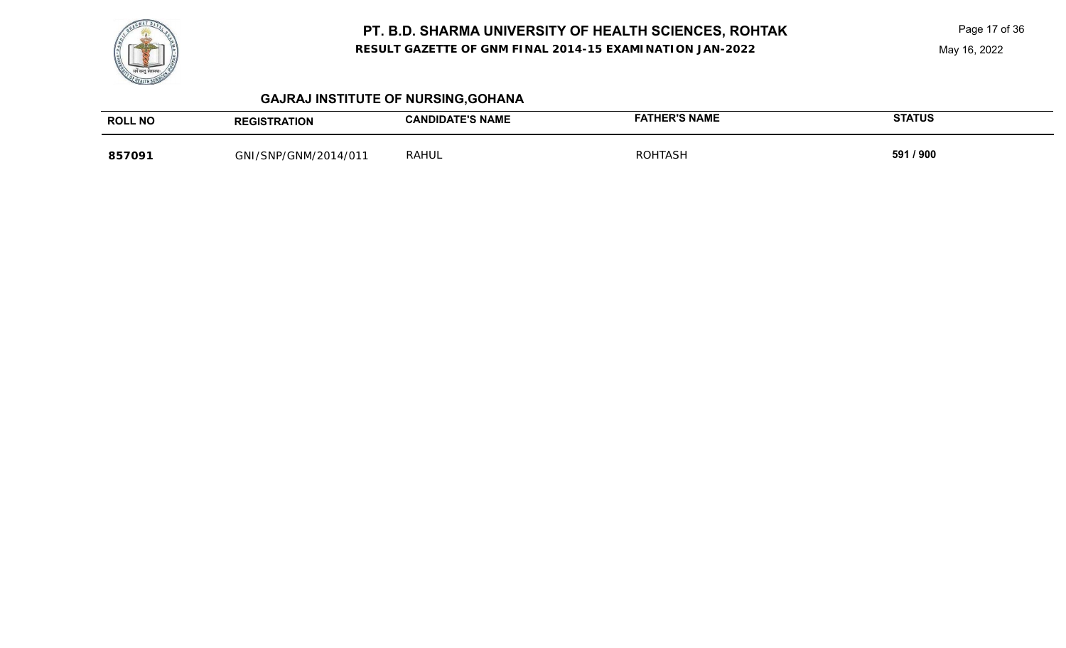

Page 17 of 36

# **GAJRAJ INSTITUTE OF NURSING,GOHANA**

| <b>ROLL NO</b> | <b>REGISTRATION</b>  | <b>CANDIDATE'S NAME</b> | <b>FATHER'S NAME</b> | <b>STATUS</b> |
|----------------|----------------------|-------------------------|----------------------|---------------|
| 857091         | GNI/SNP/GNM/2014/011 | <b>RAHUL</b>            | ROHTASH              | 591 / 900     |

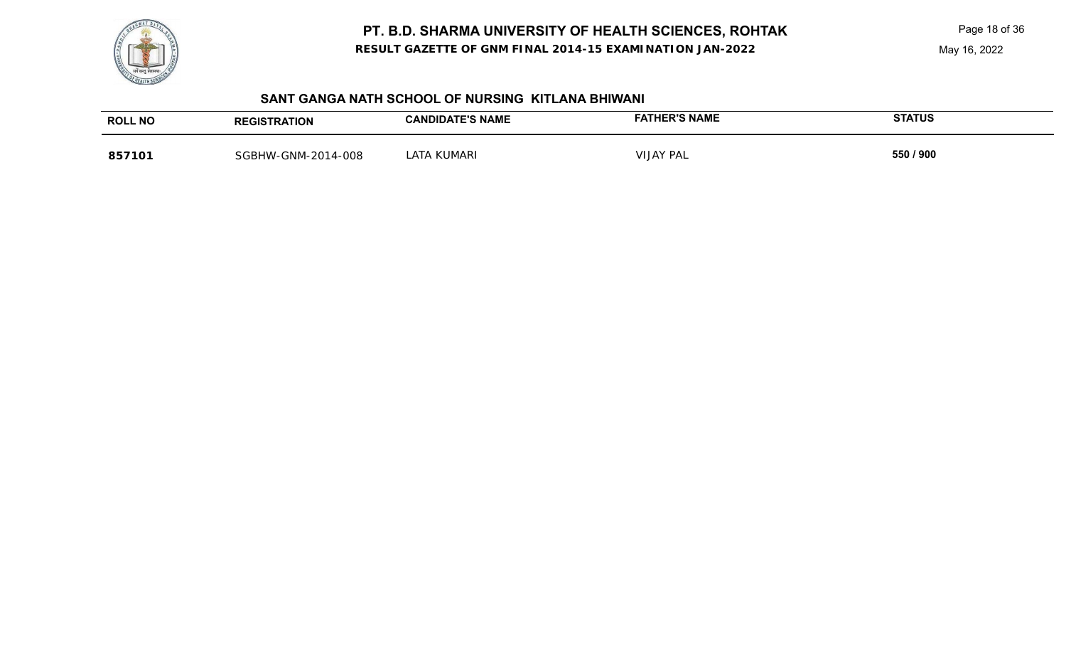



#### **SANT GANGA NATH SCHOOL OF NURSING KITLANA BHIWANI**

| <b>ROLL NO</b> | <b>TRATION</b><br><b>REGIST</b> | <b>E'S NAME</b><br><b>CANDIDATE</b> | <b>FATHER'S NAME</b> | <b>STATUS</b> |
|----------------|---------------------------------|-------------------------------------|----------------------|---------------|
| 857101         | HW-GNM-2014-008<br>`GBF         | KUMARI<br>AIP                       | VIJAY PAL            | 550 / 900     |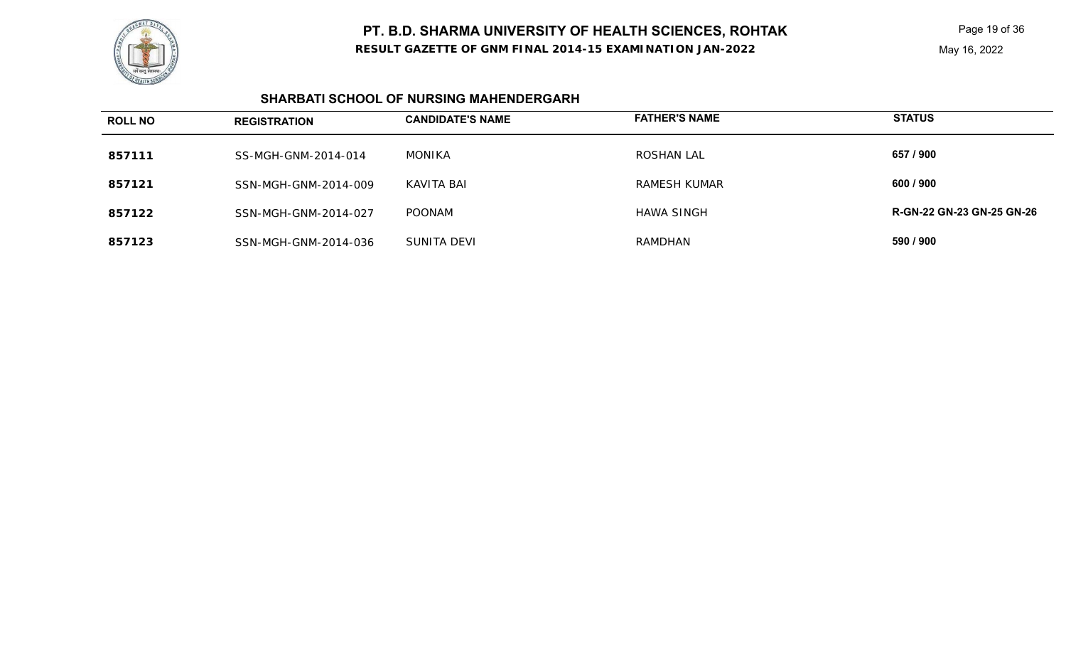

Page 19 of 36

## **SHARBATI SCHOOL OF NURSING MAHENDERGARH**

| <b>ROLL NO</b> | <b>REGISTRATION</b>  | <b>CANDIDATE'S NAME</b> | <b>FATHER'S NAME</b> | <b>STATUS</b>                    |
|----------------|----------------------|-------------------------|----------------------|----------------------------------|
| 857111         | SS-MGH-GNM-2014-014  | MONIKA                  | ROSHAN LAL           | 657 / 900                        |
| 857121         | SSN-MGH-GNM-2014-009 | KAVITA BAI              | <b>RAMESH KUMAR</b>  | 600 / 900                        |
| 857122         | SSN-MGH-GNM-2014-027 | <b>POONAM</b>           | HAWA SINGH           | <b>R-GN-22 GN-23 GN-25 GN-26</b> |
| 857123         | SSN-MGH-GNM-2014-036 | SUNITA DEVI             | RAMDHAN              | 590 / 900                        |

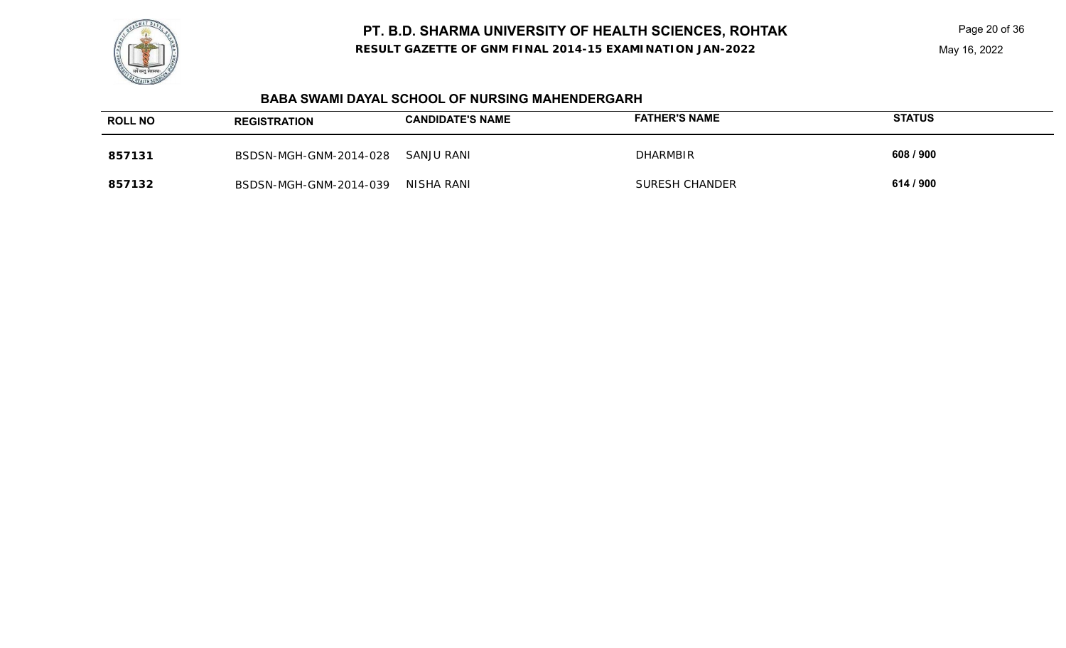**RESULT GAZETTE OF GNM FINAL 2014-15 EXAMINATION JAN-2022**

Page 20 of 36



## **BABA SWAMI DAYAL SCHOOL OF NURSING MAHENDERGARH**

| <b>ROLL NO</b> | <b>REGISTRATION</b>    | <b>CANDIDATE'S NAME</b> | <b>FATHER'S NAME</b>  | <b>STATUS</b> |
|----------------|------------------------|-------------------------|-----------------------|---------------|
| 857131         | BSDSN-MGH-GNM-2014-028 | SANJU RANI              | <b>DHARMBIR</b>       | 608 / 900     |
| 857132         | BSDSN-MGH-GNM-2014-039 | NISHA RANI              | <b>SURESH CHANDER</b> | 614 / 900     |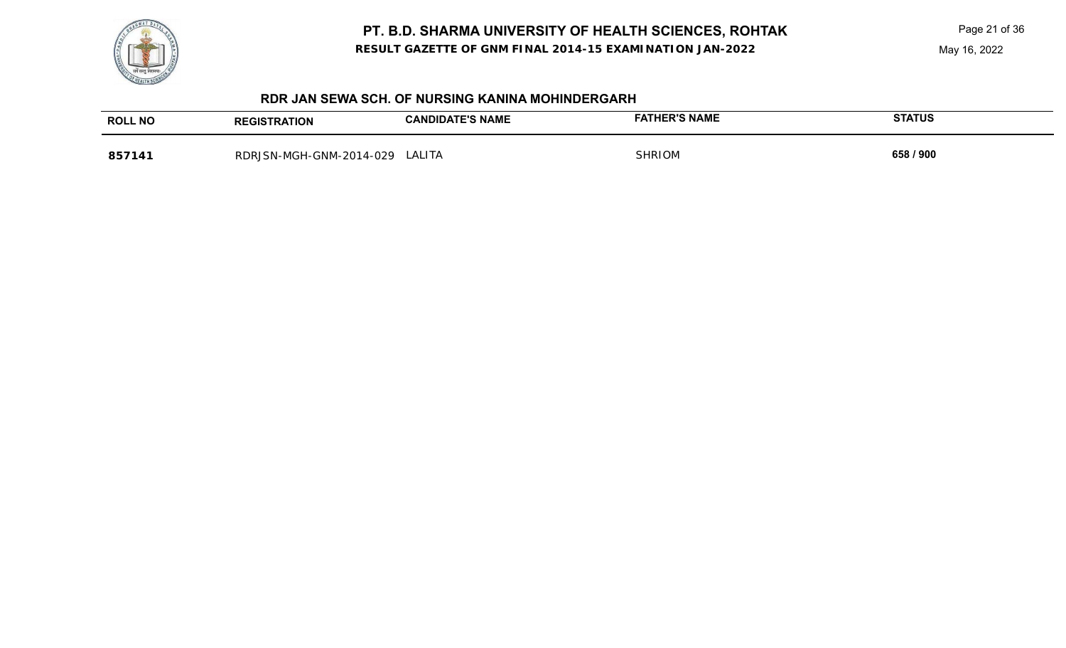



## **RDR JAN SEWA SCH. OF NURSING KANINA MOHINDERGARH**

| <b>ROLL NO</b> | <b>REGISTRATION</b>                     | <b>CANDIDATE'S NAME</b> | <b>HER'S NAME</b><br>∓АТІ | <b>STATUS</b> |
|----------------|-----------------------------------------|-------------------------|---------------------------|---------------|
| 857141         | - 1-GNM-201 م.<br>14-029<br>RDRJSN-MGH- | LALITA                  | <b>SHRIOM</b>             | 658 / 900     |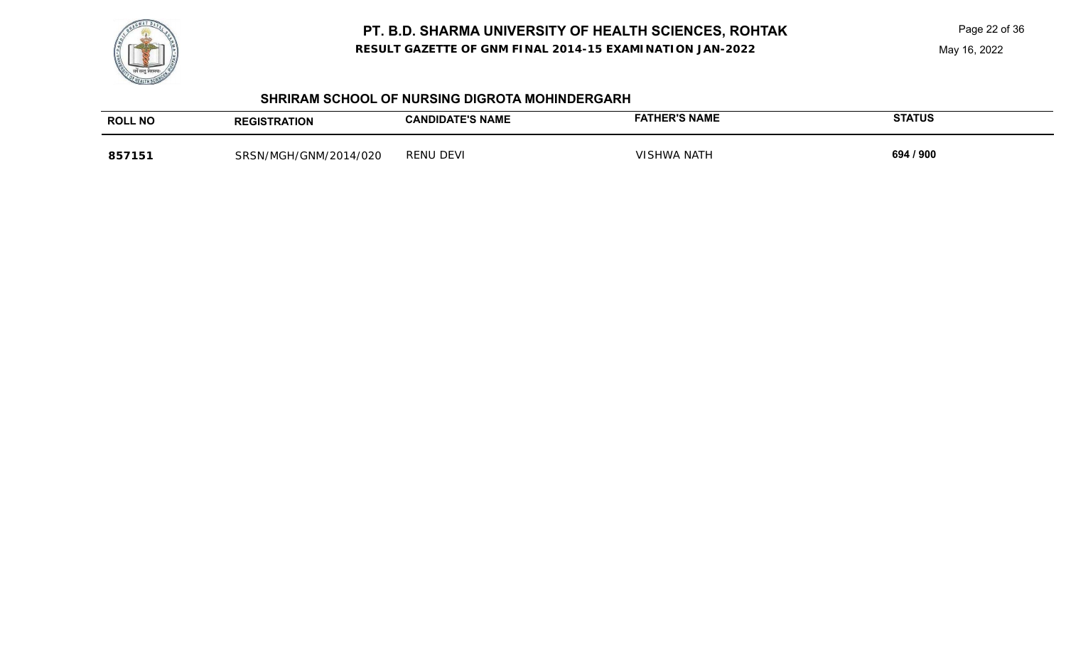

Page 22 of 36



## **SHRIRAM SCHOOL OF NURSING DIGROTA MOHINDERGARH**

| <b>ROLL NO</b> | REGISTRATION          | <b>CANDIDATE'S NAME</b> | <b>FATHER'S NAME</b>   | <b>STATUS</b> |
|----------------|-----------------------|-------------------------|------------------------|---------------|
| 85715          | SRSN/MGH/GNM/2014/020 | <b>RENU DEVI</b>        | <b>NATH</b><br>MINHNIN | 694 / 900     |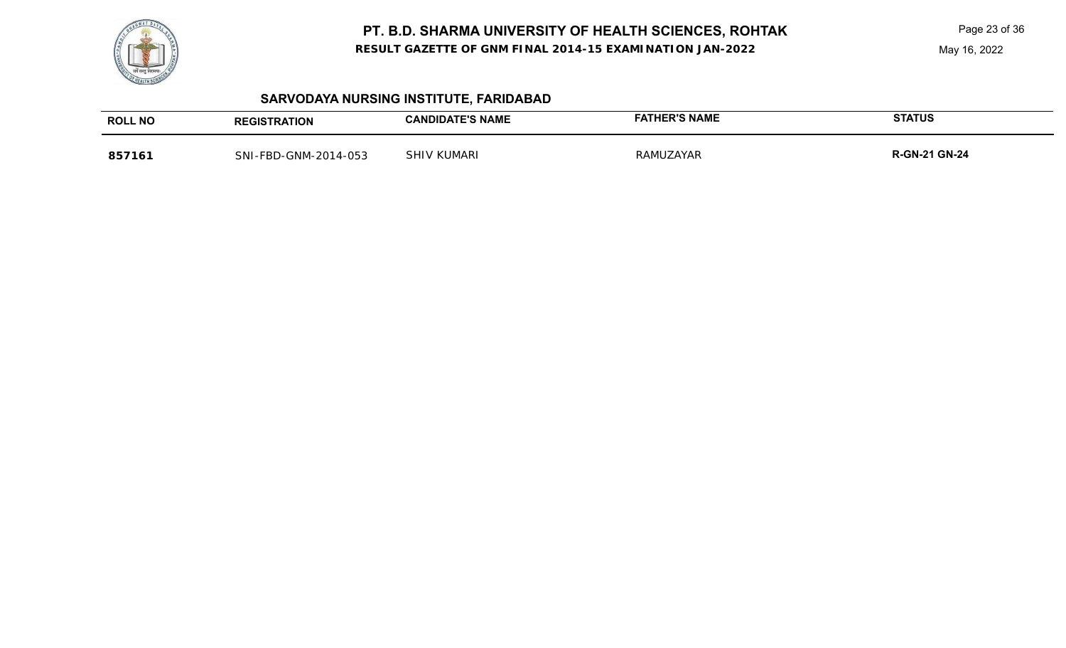

**RESULT GAZETTE OF GNM FINAL 2014-15 EXAMINATION JAN-2022**

Page 23 of 36

May 16, 2022

# **SARVODAYA NURSING INSTITUTE, FARIDABAD**

| <b>ROLL NO</b> | EGISTRATION          | <b>CANDIDATE'S NAME</b> | FATHER'S NAME | <b>STATUS</b> |
|----------------|----------------------|-------------------------|---------------|---------------|
| 857161         | SNI-FBD-GNM-2014-053 | ' KUMARI<br>SHIV        | RAMUZAYAR     | R-GN-21 GN-24 |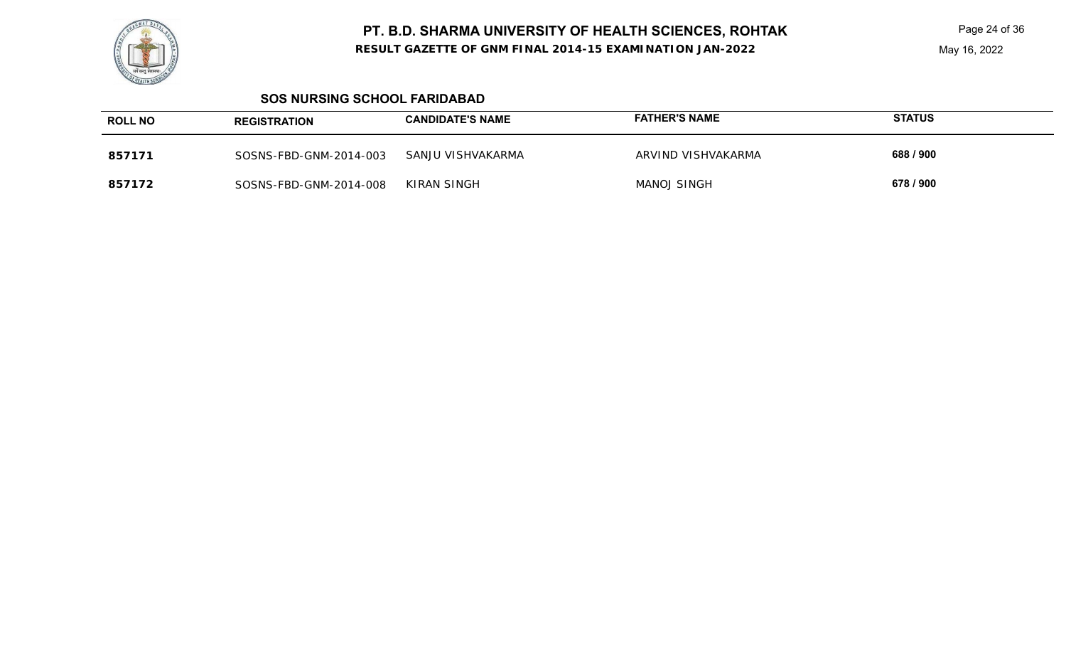

Page 24 of 36



#### **SOS NURSING SCHOOL FARIDABAD**

| <b>ROLL NO</b> | <b>REGISTRATION</b>    | <b>CANDIDATE'S NAME</b> | <b>FATHER'S NAME</b> | <b>STATUS</b> |
|----------------|------------------------|-------------------------|----------------------|---------------|
| 857171         | SOSNS-FBD-GNM-2014-003 | SANJU VISHVAKARMA       | ARVIND VISHVAKARMA   | 688 / 900     |
| 857172         | SOSNS-FBD-GNM-2014-008 | KIRAN SINGH             | <b>MANOJ SINGH</b>   | 678 / 900     |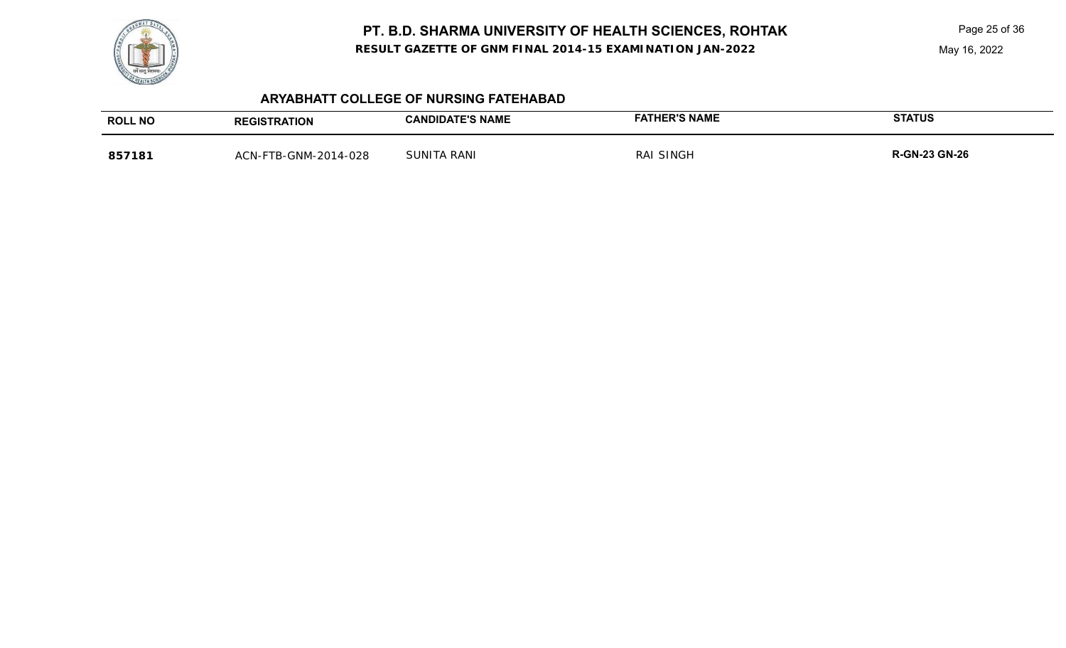

Page 25 of 36

## **ARYABHATT COLLEGE OF NURSING FATEHABAD**

| <b>ROLL NO</b> | <b>REGISTRATION</b>       | <b>CANDIDATE'S NAME</b> | <b>FATHER'S NAME</b> | <b>STATUS</b>        |
|----------------|---------------------------|-------------------------|----------------------|----------------------|
| 857181         | FTB-GNM-2014-028<br>ACN-F | <b>SUNITA RANI</b>      | <b>RAI SINGH</b>     | <b>R-GN-23 GN-26</b> |

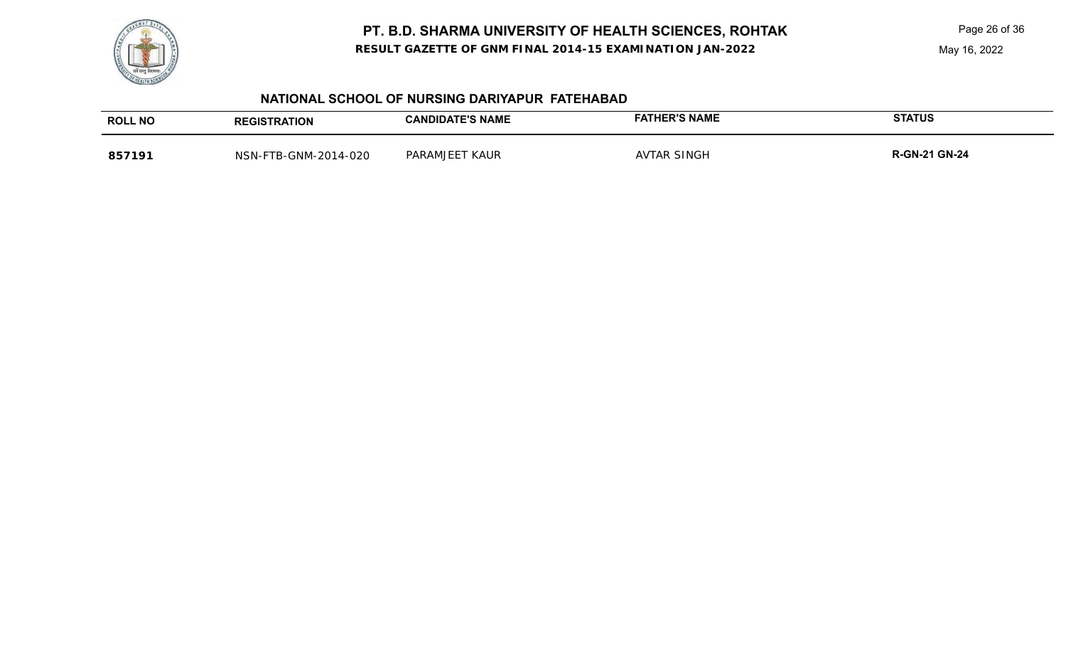**RESULT GAZETTE OF GNM FINAL 2014-15 EXAMINATION JAN-2022**



## **NATIONAL SCHOOL OF NURSING DARIYAPUR FATEHABAD**

| <b>ROLL NO</b> | <b>REGISTRATION</b>                      | <b>CANDIDATE'S NAME</b> | <b>HER'S NAME</b><br>FATH | <b>STATUS</b>        |
|----------------|------------------------------------------|-------------------------|---------------------------|----------------------|
| 857191         | -2014-020<br><sup>도</sup> TB-GNM-<br>NSN | KAUR<br>PARAM           | SINGF.<br>AVTAR           | <b>R-GN-21 GN-24</b> |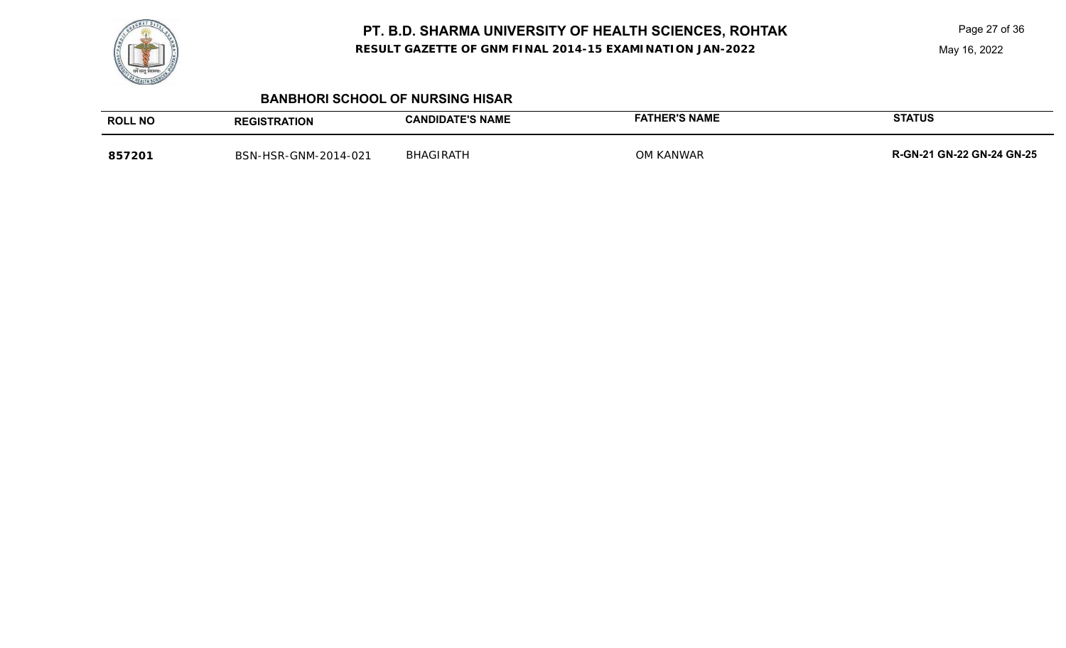**RESULT GAZETTE OF GNM FINAL 2014-15 EXAMINATION JAN-2022**

Page 27 of 36

May 16, 2022

#### **BANBHORI SCHOOL OF NURSING HISAR**

| <b>ROLL NO</b> | <b>REGISTRATION</b>  | <b>CANDIDATE'S NAME</b> | <b>FATHER'S NAME</b> | <b>STATUS</b>                    |
|----------------|----------------------|-------------------------|----------------------|----------------------------------|
| 857201         | BSN-HSR-GNM-2014-021 | <b>BHAGIRATH</b>        | OM KANWAR            | <b>R-GN-21 GN-22 GN-24 GN-25</b> |

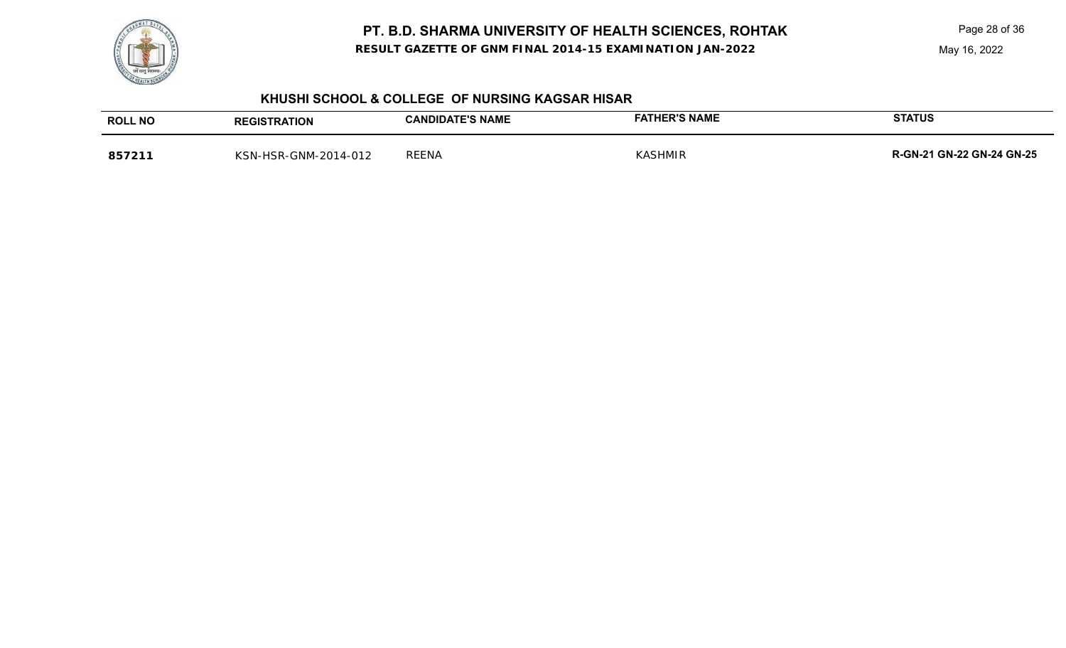

**RESULT GAZETTE OF GNM FINAL 2014-15 EXAMINATION JAN-2022**

Page 28 of 36

May 16, 2022

#### **KHUSHI SCHOOL & COLLEGE OF NURSING KAGSAR HISAR**

| <b>ROLL NO</b> | <b>REGISTRATION</b>                          | <b>CANDIDATE'S NAME</b> | <b>HER'S NAME</b><br>FAT | <b>STATUS</b>                    |
|----------------|----------------------------------------------|-------------------------|--------------------------|----------------------------------|
| 857211         | $C$ <sub>NIM</sub><br>2014-012<br><b>JSR</b> | <b>REENA</b>            | <b><i>KASHMIR</i></b>    | <b>R-GN-21 GN-22 GN-24 GN-25</b> |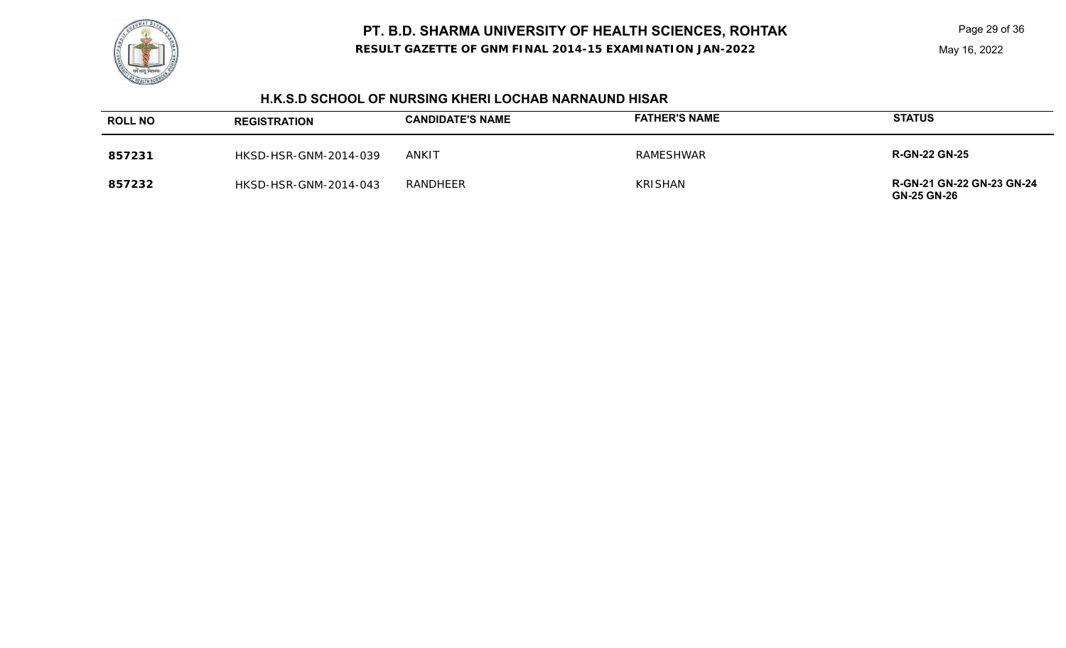**RESULT GAZETTE OF GNM FINAL 2014-15 EXAMINATION JAN-2022**

Page 29 of 36

May 16, 2022



## **H.K.S.D SCHOOL OF NURSING KHERI LOCHAB NARNAUND HISAR**

| <b>ROLL NO</b> | <b>REGISTRATION</b>   | <b>CANDIDATE'S NAME</b> | <b>FATHER'S NAME</b> | <b>STATUS</b>                                   |
|----------------|-----------------------|-------------------------|----------------------|-------------------------------------------------|
| 857231         | HKSD-HSR-GNM-2014-039 | ANKIT                   | RAMESHWAR            | <b>R-GN-22 GN-25</b>                            |
| 857232         | HKSD-HSR-GNM-2014-043 | RANDHEER                | KRISHAN              | R-GN-21 GN-22 GN-23 GN-24<br><b>GN-25 GN-26</b> |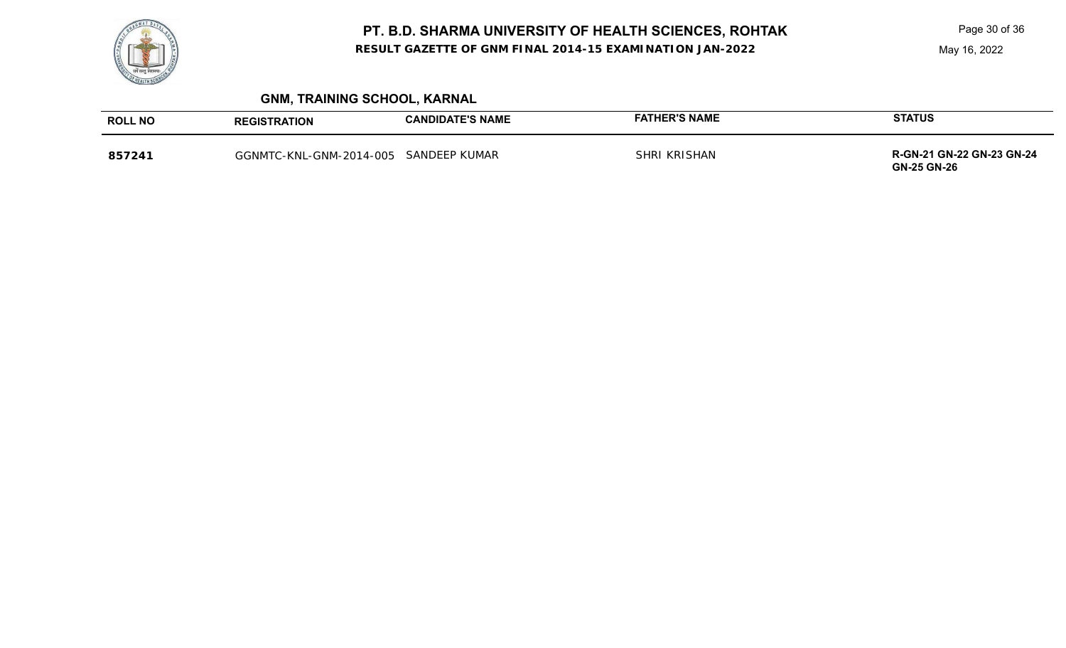

Page 30 of 36

| <b>GNM, TRAINING SCHOOL, KARNAL</b> |  |  |
|-------------------------------------|--|--|
|-------------------------------------|--|--|

| <b>ROLL NO</b> | <b>REGISTRATION</b>     | <b>CANDIDATE'S NAME</b> | <b>FATHER'S NAME</b> | <b>STATUS</b>                                          |
|----------------|-------------------------|-------------------------|----------------------|--------------------------------------------------------|
| 857241         | GGNMTC-KNL-GNM-2014-005 | SANDEEP KUMAR           | <b>SHRI KRISHAN</b>  | <b>R-GN-21 GN-22 GN-23 GN-24</b><br><b>GN-25 GN-26</b> |

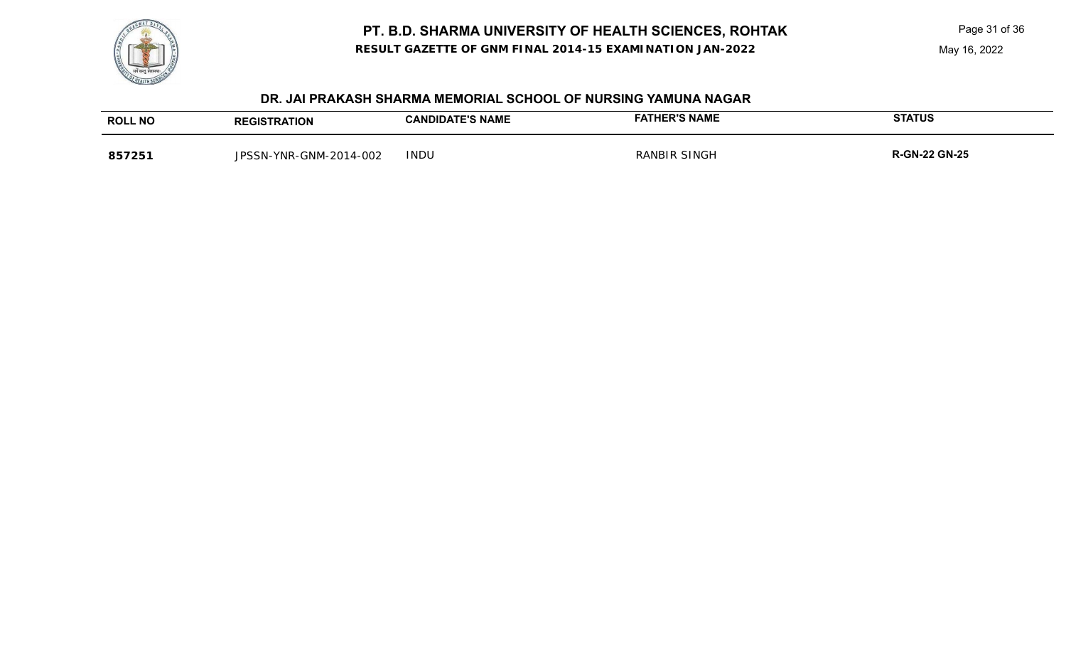**RESULT GAZETTE OF GNM FINAL 2014-15 EXAMINATION JAN-2022**

Page 31 of 36

## **DR. JAI PRAKASH SHARMA MEMORIAL SCHOOL OF NURSING YAMUNA NAGAR**

| <b>ROLL NO</b> | TRATION<br>RFGIS <sup>.</sup>                     | <b>DIDATE'S NAME</b><br><b>CANT</b> | <b>FATHER'S NAME</b>      | <b>STATUS</b> |
|----------------|---------------------------------------------------|-------------------------------------|---------------------------|---------------|
| 857251         | -2014-002<br>$GNM-20$ .<br>YNR-J<br><b>IPSSN.</b> | <b>INDU</b>                         | $\sim$<br>SINGF<br>RANRII | 2 GN-25       |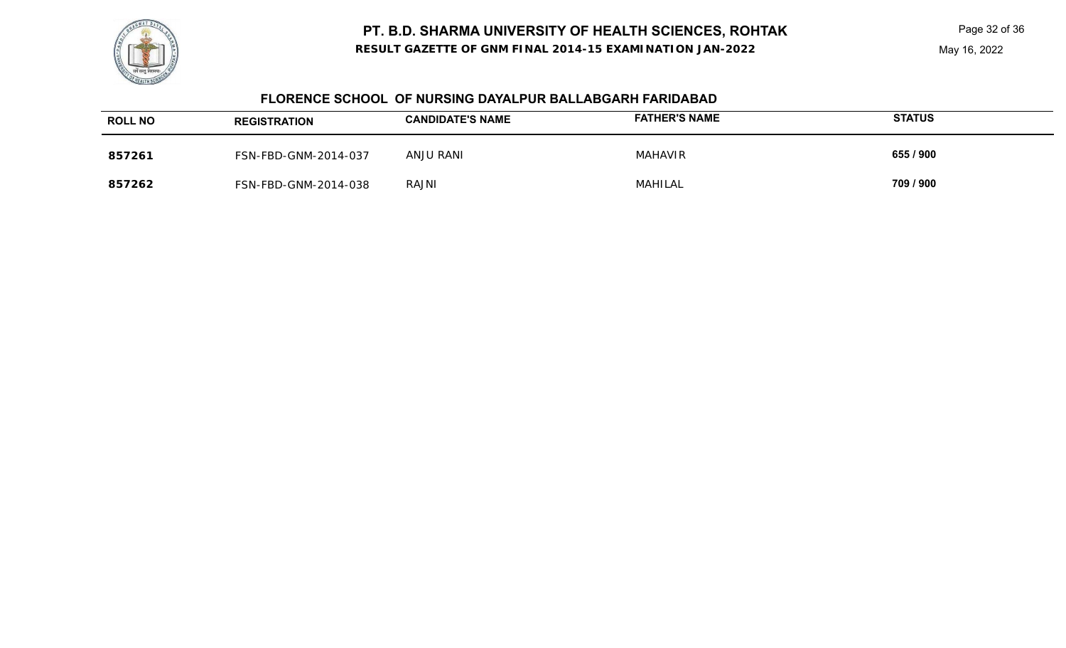**RESULT GAZETTE OF GNM FINAL 2014-15 EXAMINATION JAN-2022**

### May 16, 2022



## **FLORENCE SCHOOL OF NURSING DAYALPUR BALLABGARH FARIDABAD**

| <b>ROLL NO</b> | <b>REGISTRATION</b>  | <b>CANDIDATE'S NAME</b> | <b>FATHER'S NAME</b> | <b>STATUS</b> |
|----------------|----------------------|-------------------------|----------------------|---------------|
| 857261         | FSN-FBD-GNM-2014-037 | ANJU RANI               | <b>MAHAVIR</b>       | 655 / 900     |
| 857262         | FSN-FBD-GNM-2014-038 | RAJNI                   | <b>MAHILAL</b>       | 709 / 900     |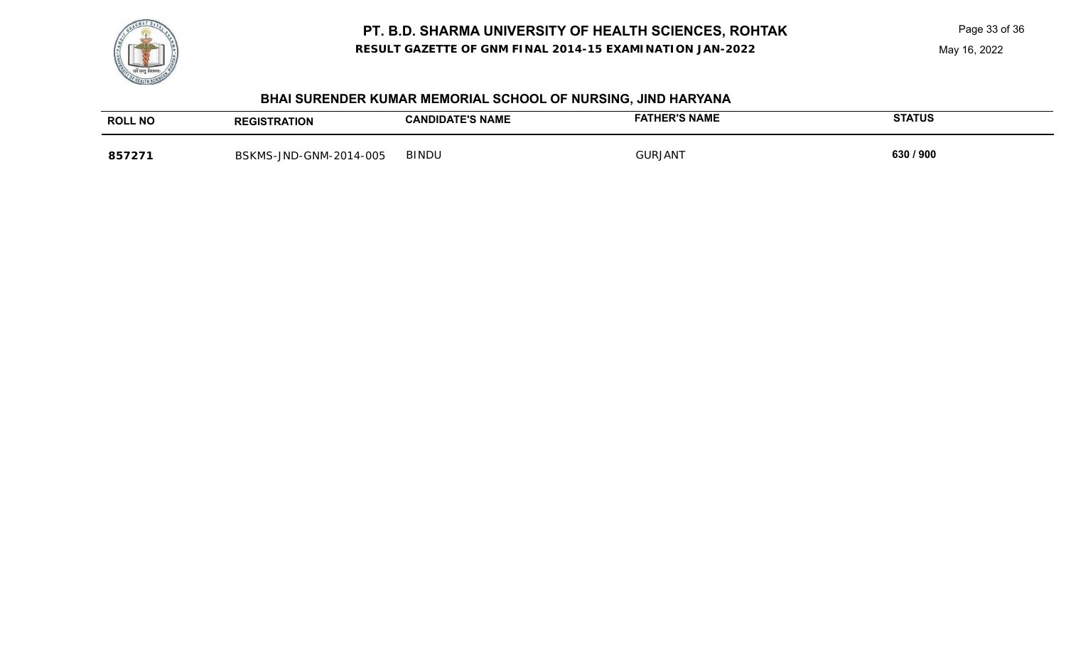**RESULT GAZETTE OF GNM FINAL 2014-15 EXAMINATION JAN-2022**



# **BHAI SURENDER KUMAR MEMORIAL SCHOOL OF NURSING, JIND HARYANA**

| <b>ROLL NO</b> | <b>REGISTRATION</b>              | <b>DIDATE'S NAME</b><br><b>CAND</b> | <b>FATHER'S NAME</b> | <b>STATUS</b> |
|----------------|----------------------------------|-------------------------------------|----------------------|---------------|
| 85727          | -GNM-2014-005<br>ี MS-JND<br>へKN | <b>BINDU</b>                        | <b>GURJAN</b>        | 630 / 900     |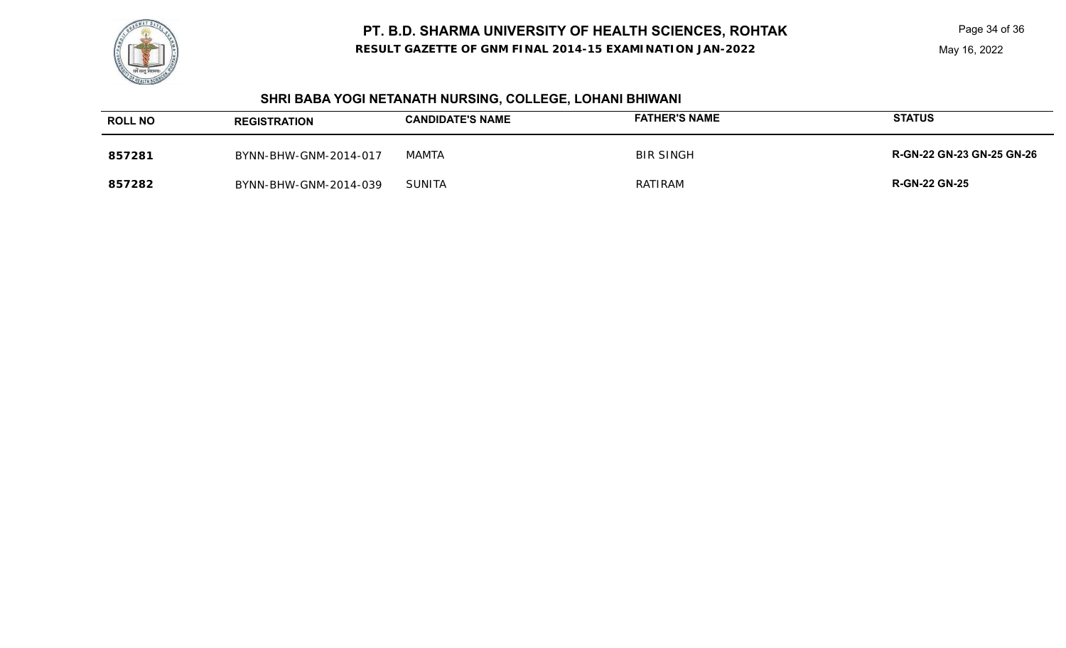**RESULT GAZETTE OF GNM FINAL 2014-15 EXAMINATION JAN-2022**



# **SHRI BABA YOGI NETANATH NURSING, COLLEGE, LOHANI BHIWANI**

| <b>ROLL NO</b> | <b>REGISTRATION</b>   | <b>CANDIDATE'S NAME</b> | <b>FATHER'S NAME</b> | <b>STATUS</b>             |
|----------------|-----------------------|-------------------------|----------------------|---------------------------|
| 857281         | BYNN-BHW-GNM-2014-017 | <b>MAMTA</b>            | <b>BIR SINGH</b>     | R-GN-22 GN-23 GN-25 GN-26 |
| 857282         | BYNN-BHW-GNM-2014-039 | <b>SUNITA</b>           | RATIRAM              | <b>R-GN-22 GN-25</b>      |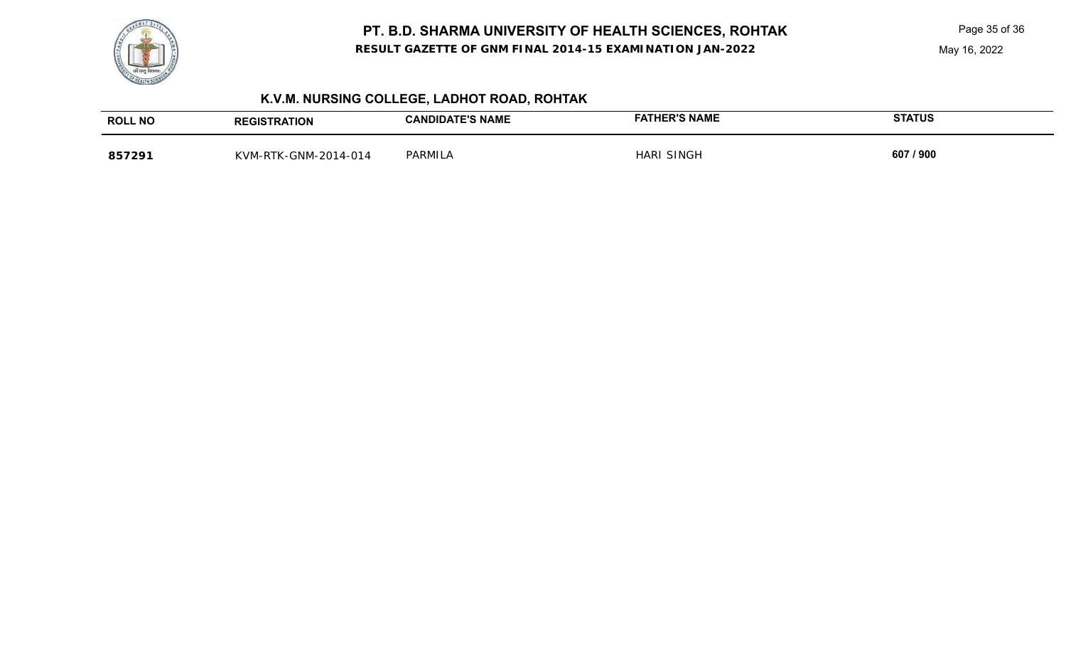

**RESULT GAZETTE OF GNM FINAL 2014-15 EXAMINATION JAN-2022**

Page 35 of 36

May 16, 2022

# **K.V.M. NURSING COLLEGE, LADHOT ROAD, ROHTAK**

| <b>ROLL NO</b> | REGISTRATION         | <b>CANDIDATE'S NAME</b> | <b>HER'S NAME</b><br><b>=АТН</b> | <b>STATUS</b> |
|----------------|----------------------|-------------------------|----------------------------------|---------------|
| 857291         | KVM-RTK-GNM-2014-014 | PARMILA                 | <b>HARI SINGF</b>                | 607 / 900     |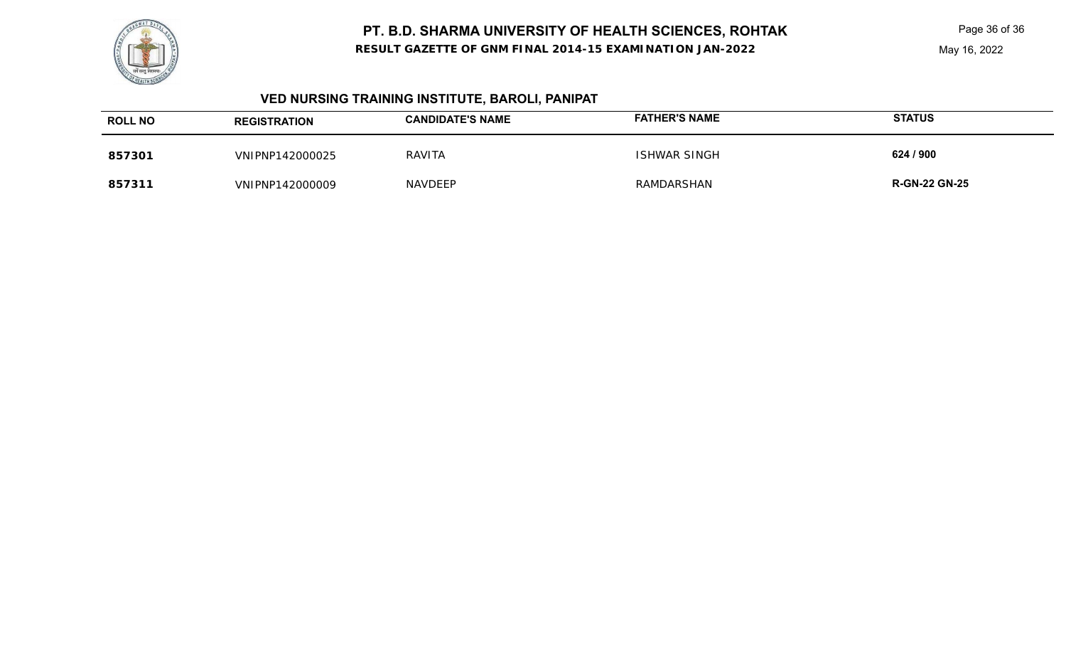**RESULT GAZETTE OF GNM FINAL 2014-15 EXAMINATION JAN-2022**

### May 16, 2022

# **VED NURSING TRAINING INSTITUTE, BAROLI, PANIPAT**

| <b>ROLL NO</b> | <b>REGISTRATION</b> | <b>CANDIDATE'S NAME</b> | <b>FATHER'S NAME</b> | <b>STATUS</b>        |
|----------------|---------------------|-------------------------|----------------------|----------------------|
| 857301         | VNIPNP142000025     | RAVITA                  | <b>ISHWAR SINGH</b>  | 624 / 900            |
| 857311         | VNIPNP142000009     | <b>NAVDEEP</b>          | RAMDARSHAN           | <b>R-GN-22 GN-25</b> |

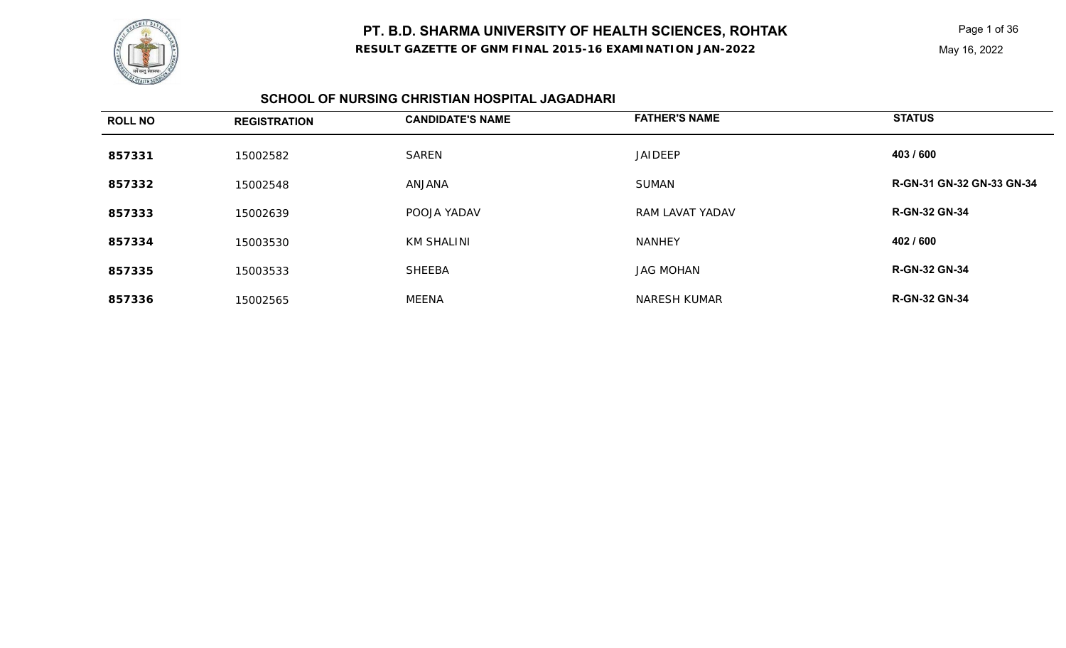**RESULT GAZETTE OF GNM FINAL 2015-16 EXAMINATION JAN-2022**

### **SCHOOL OF NURSING CHRISTIAN HOSPITAL JAGADHARI**

| <b>ROLL NO</b> | <b>REGISTRATION</b> | <b>CANDIDATE'S NAME</b> | <b>FATHER'S NAME</b> | <b>STATUS</b>             |
|----------------|---------------------|-------------------------|----------------------|---------------------------|
| 857331         | 15002582            | <b>SAREN</b>            | <b>JAIDEEP</b>       | 403 / 600                 |
| 857332         | 15002548            | ANJANA                  | <b>SUMAN</b>         | R-GN-31 GN-32 GN-33 GN-34 |
| 857333         | 15002639            | POOJA YADAV             | RAM LAVAT YADAV      | <b>R-GN-32 GN-34</b>      |
| 857334         | 15003530            | <b>KM SHALINI</b>       | <b>NANHEY</b>        | 402 / 600                 |
| 857335         | 15003533            | <b>SHEEBA</b>           | <b>JAG MOHAN</b>     | <b>R-GN-32 GN-34</b>      |
| 857336         | 15002565            | MEENA                   | NARESH KUMAR         | <b>R-GN-32 GN-34</b>      |

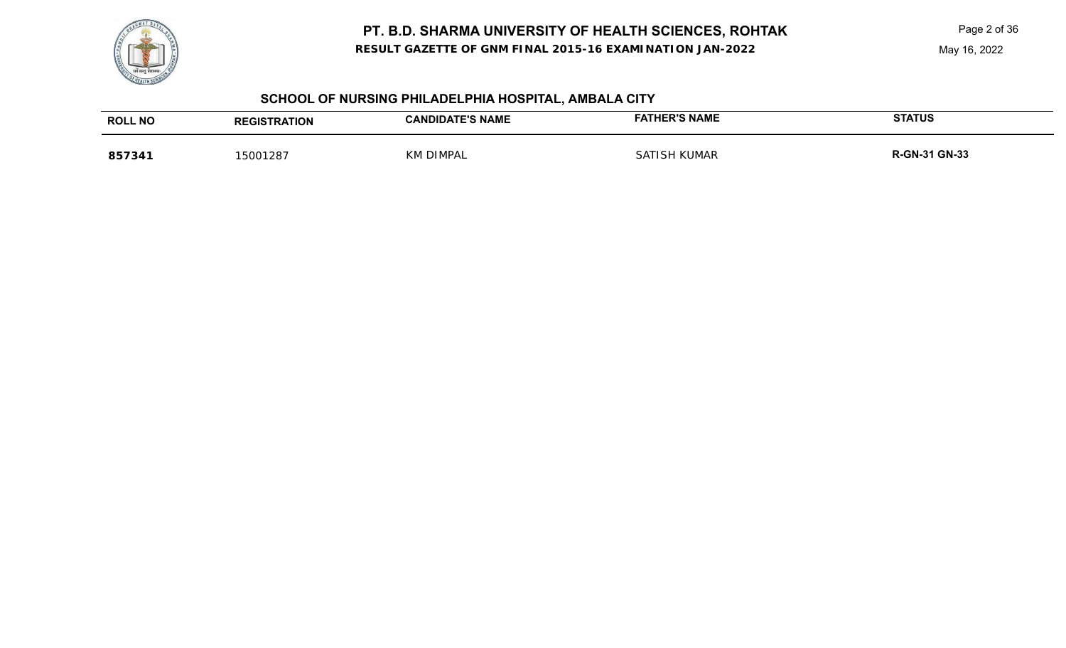**RESULT GAZETTE OF GNM FINAL 2015-16 EXAMINATION JAN-2022**

May 16, 2022



## **SCHOOL OF NURSING PHILADELPHIA HOSPITAL, AMBALA CITY**

| <b>ROLL NO</b> | . . IC' | <b>CANDIDATE'S NAME</b> | <b>FATHER'S NAME</b>     | <b>STATUS</b> |
|----------------|---------|-------------------------|--------------------------|---------------|
|                |         |                         |                          |               |
| 85734          | -28     | DIMPAI                  | <b>UMAR</b><br><u>\д</u> | <b>GN-33</b>  |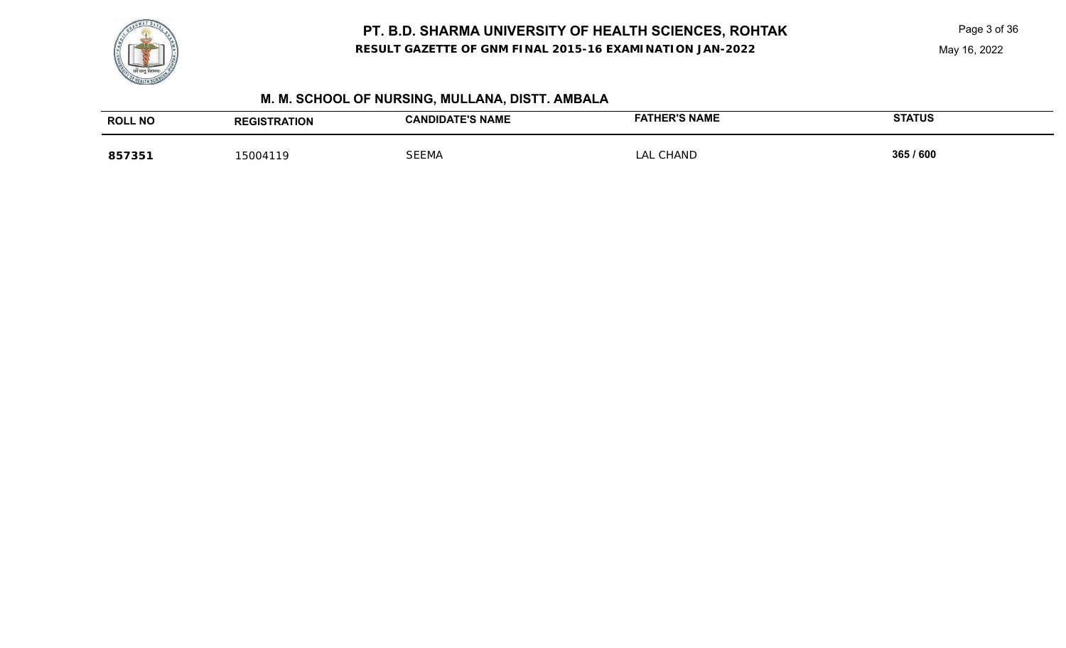



## **M. M. SCHOOL OF NURSING, MULLANA, DISTT. AMBALA**

| <b>ROLL NO</b> | <b>TRATION</b><br><b>REGIST</b> | <b>CANDIDATE'S NAME</b> | <b>FATHER'S NAME</b> | <b>STATUS</b> |
|----------------|---------------------------------|-------------------------|----------------------|---------------|
| 857351         | 5004119                         | <b>SEEMA</b>            | <b>CHAND</b><br>LAL  | 365 / 600     |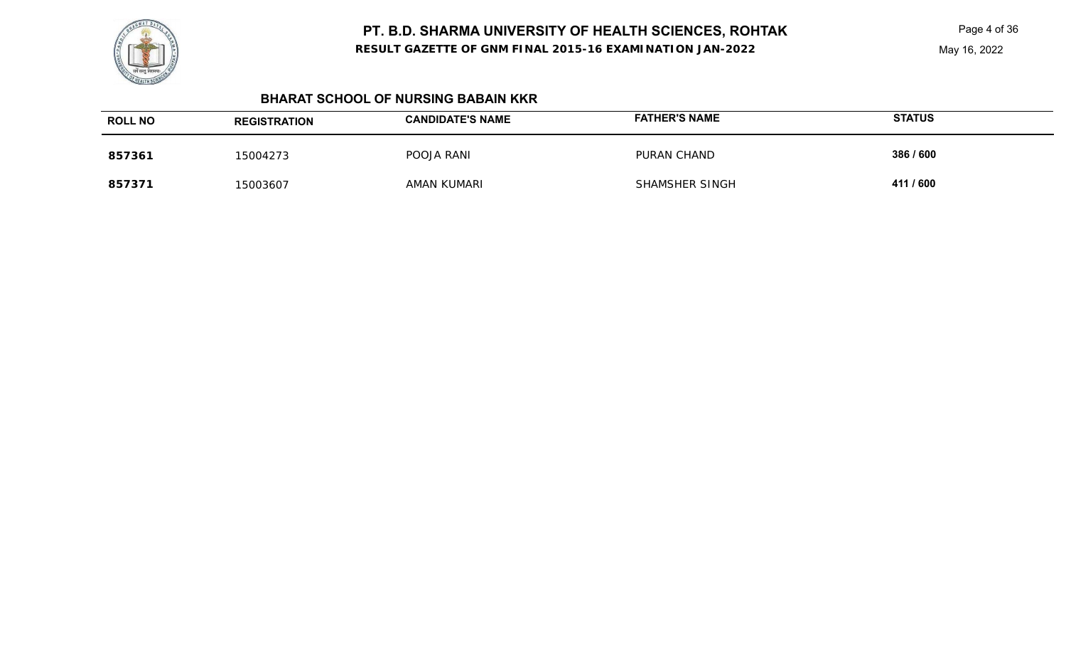**RESULT GAZETTE OF GNM FINAL 2015-16 EXAMINATION JAN-2022**

Page 4 of 36

#### **BHARAT SCHOOL OF NURSING BABAIN KKR**

| <b>ROLL NO</b> | <b>REGISTRATION</b> | <b>CANDIDATE'S NAME</b> | <b>FATHER'S NAME</b> | <b>STATUS</b> |
|----------------|---------------------|-------------------------|----------------------|---------------|
| 857361         | 15004273            | POOJA RANI              | PURAN CHAND          | 386 / 600     |
| 857371         | 15003607            | AMAN KUMARI             | SHAMSHER SINGH       | 411 / 600     |

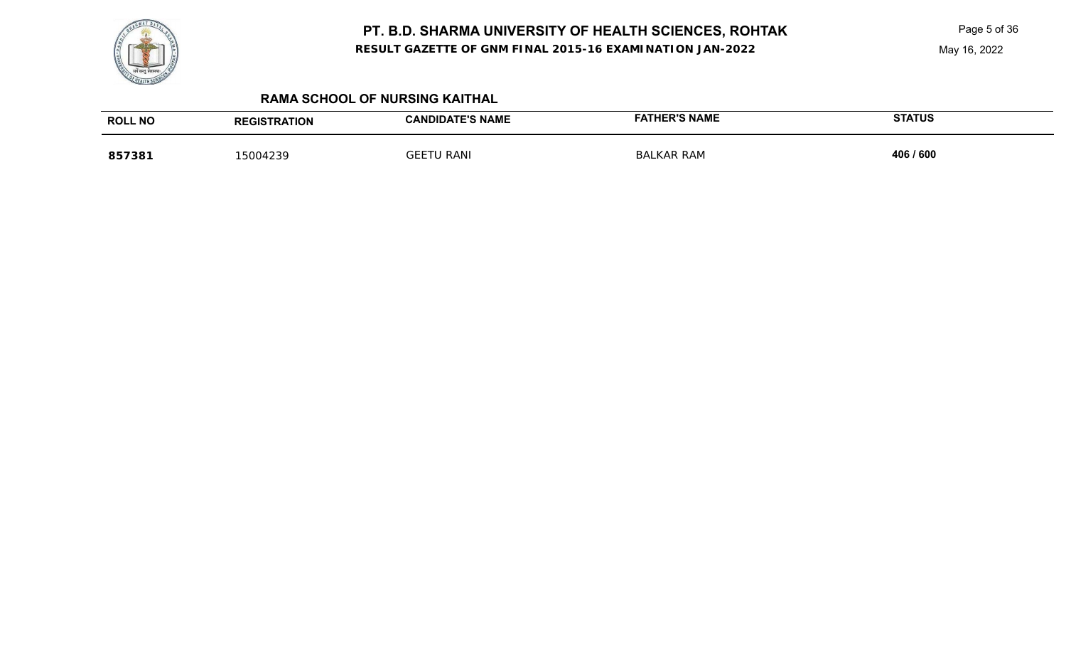**RESULT GAZETTE OF GNM FINAL 2015-16 EXAMINATION JAN-2022**

Page 5 of 36

## **RAMA SCHOOL OF NURSING KAITHAL**

| <b>ROLL NO</b> | <b>RATION</b> | <b>ATE'S NAME</b> | <b>ER'S NAME</b> | <b>STATUS</b> |
|----------------|---------------|-------------------|------------------|---------------|
|                | <b>REGIST</b> | <b>ANDIDAL</b>    |                  |               |
| 857381         | 5004239       | GFI<br>RAN        | BALKAR RAM       | 406 / 600     |

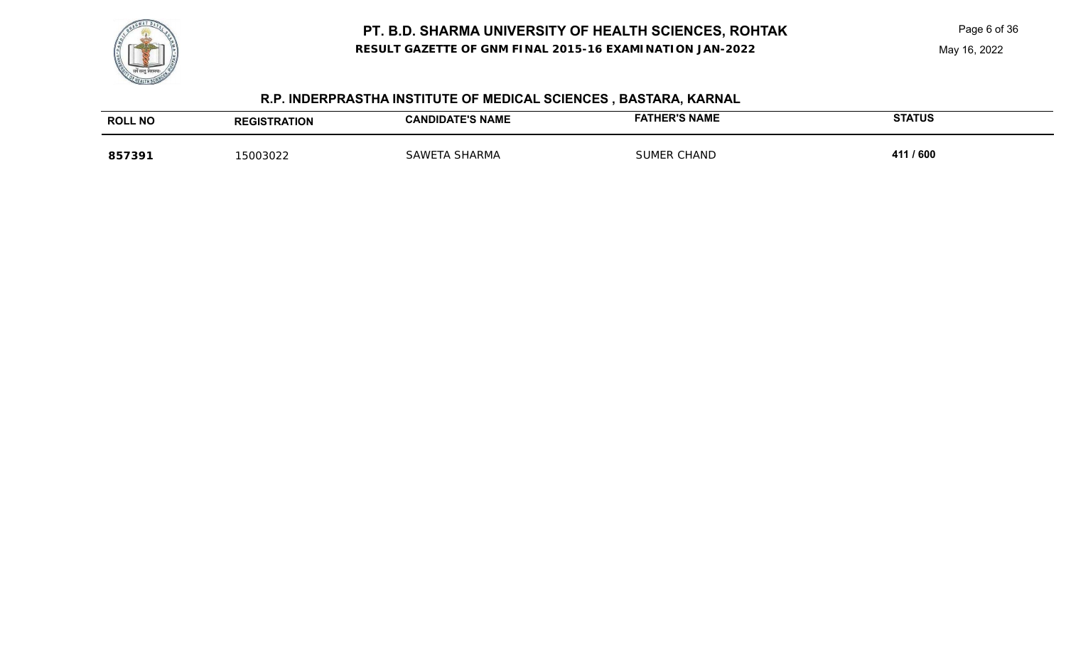**RESULT GAZETTE OF GNM FINAL 2015-16 EXAMINATION JAN-2022**

| R.P. INDERPRASTHA INSTITUTE OF MEDICAL SCIENCES , BASTARA, KARNAL |  |
|-------------------------------------------------------------------|--|
|-------------------------------------------------------------------|--|

| <b>ROLL NO</b> | <b>REGISTRATION</b> | <b>CANDIDATE'S NAME</b> | <b>FATHER'S NAME</b> | <b>STATUS</b> |
|----------------|---------------------|-------------------------|----------------------|---------------|
| 857391         | 5003022             | SAWETA SHARMA           | SUMER CHAND          | 411 / 600     |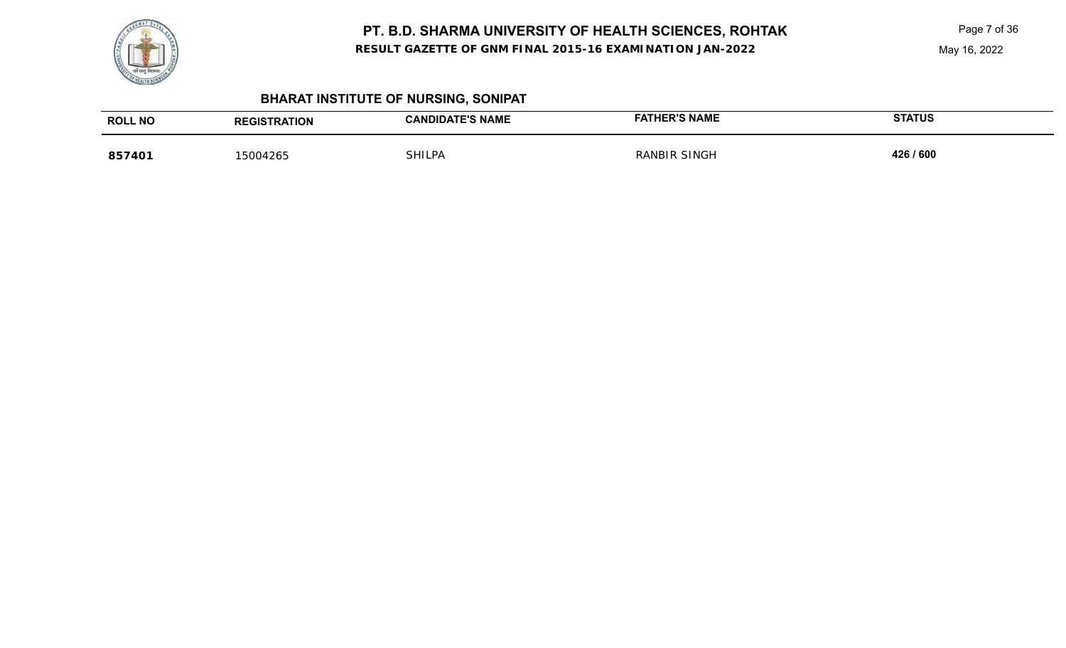

**RESULT GAZETTE OF GNM FINAL 2015-16 EXAMINATION JAN-2022**

Page 7 of 36

# **BHARAT INSTITUTE OF NURSING, SONIPAT**

| <b>ROLL NO</b> | <b>TRATION</b><br><b>REGIS</b> | <b>CANDIDATE'S NAME</b> | <b>FATHER'S NAME</b> | <b>STATUS</b> |
|----------------|--------------------------------|-------------------------|----------------------|---------------|
| 857401         | 5004265                        | <b>SHILPA</b>           | <b>RANBIR SINGH</b>  | 426 / 600     |
|                |                                |                         |                      |               |

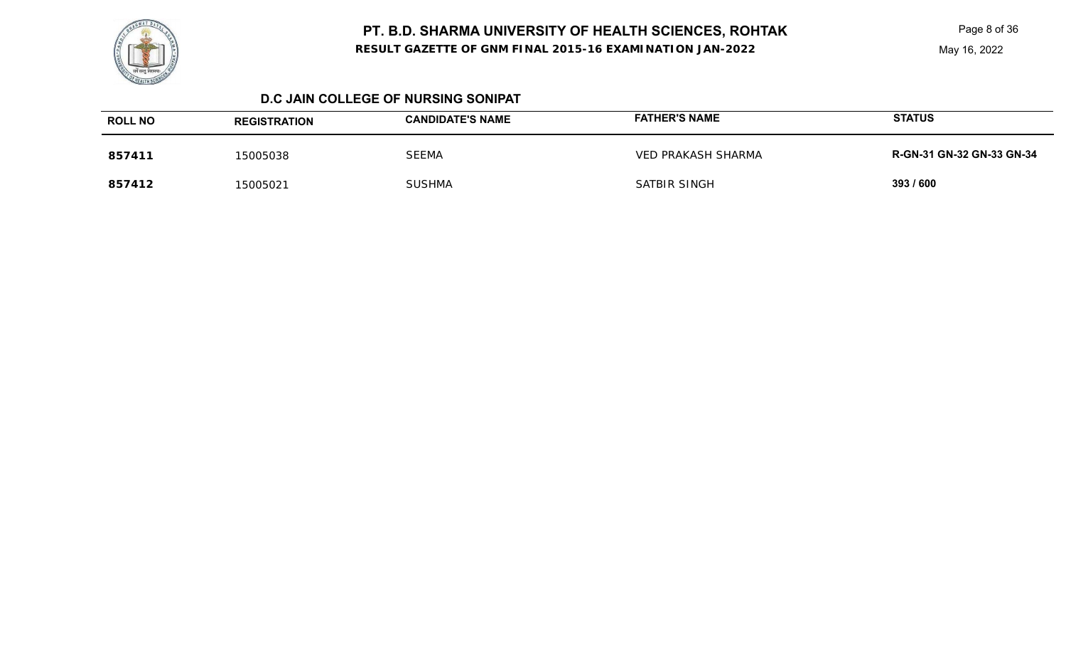**RESULT GAZETTE OF GNM FINAL 2015-16 EXAMINATION JAN-2022**

Page 8 of 36

#### **D.C JAIN COLLEGE OF NURSING SONIPAT**

| <b>ROLL NO</b> | <b>REGISTRATION</b> | <b>CANDIDATE'S NAME</b> | <b>FATHER'S NAME</b> | <b>STATUS</b>                    |
|----------------|---------------------|-------------------------|----------------------|----------------------------------|
| 857411         | 15005038            | <b>SEEMA</b>            | VED PRAKASH SHARMA   | <b>R-GN-31 GN-32 GN-33 GN-34</b> |
| 857412         | 15005021            | <b>SUSHMA</b>           | SATBIR SINGH         | 393 / 600                        |

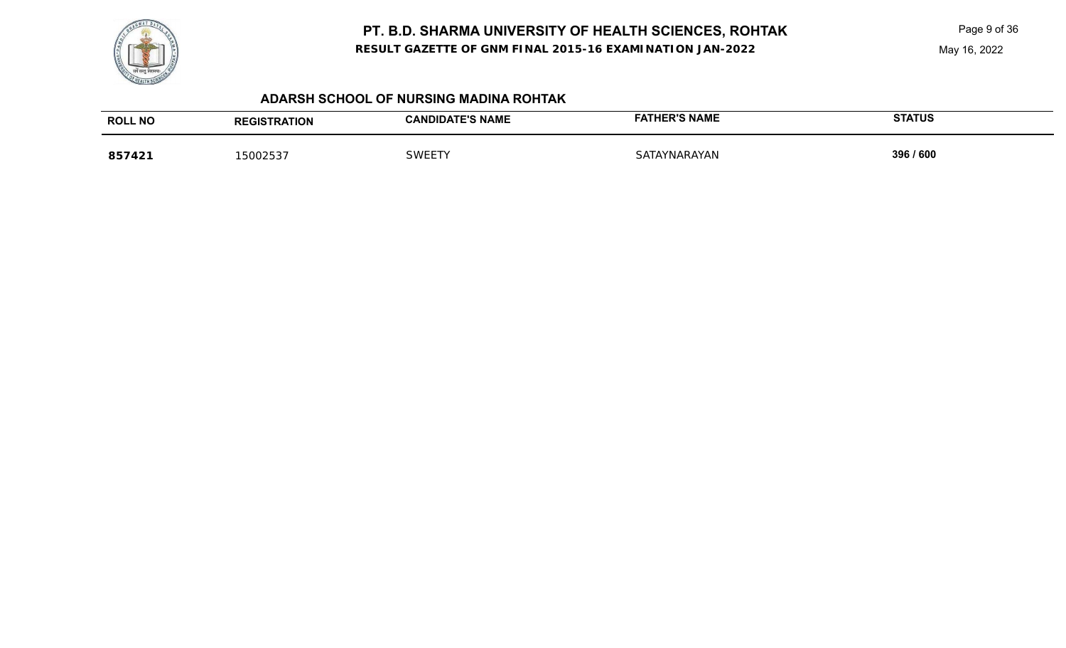

**RESULT GAZETTE OF GNM FINAL 2015-16 EXAMINATION JAN-2022**

Page 9 of 36

May 16, 2022

## **ADARSH SCHOOL OF NURSING MADINA ROHTAK**

| <b>ROLL NO</b> | <b>ATION</b><br>RА   | <b>E'S NAME</b><br><b>DIDAT</b><br>.<br>ΔN | CD'Q NAME<br>→ INAINL | <b>STATUS</b> |
|----------------|----------------------|--------------------------------------------|-----------------------|---------------|
| 8574           | ⊾∩∩ว<br>リント<br>2 J J | <b>SWEET</b>                               | NARAYAN<br>7д.        | 396 / 600     |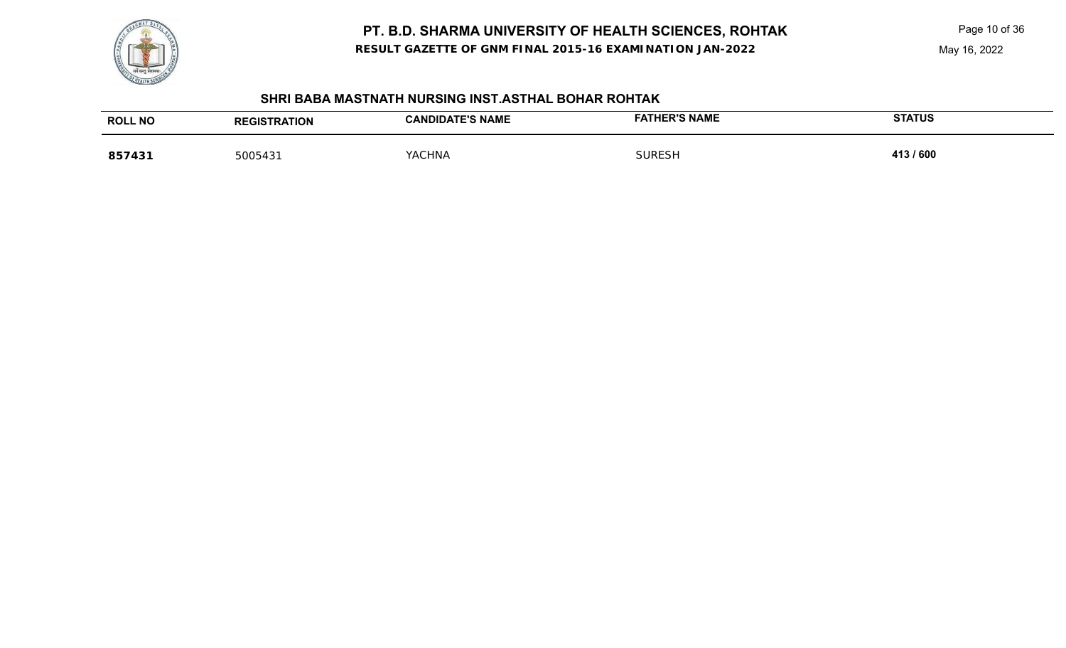**RESULT GAZETTE OF GNM FINAL 2015-16 EXAMINATION JAN-2022**



## **SHRI BABA MASTNATH NURSING INST.ASTHAL BOHAR ROHTAK**

| <b>ROLL NO</b> | <b>RATION</b><br><b>REGIS</b> | <b>E'S NAME</b><br>IJΑ | <b>FATHER'S NAME</b> | <b>STATUS</b> |
|----------------|-------------------------------|------------------------|----------------------|---------------|
| 85743          |                               |                        |                      |               |
|                | 5005431                       | YACHNA                 | <b>SURESH</b>        | 413 / 600     |
|                |                               |                        |                      |               |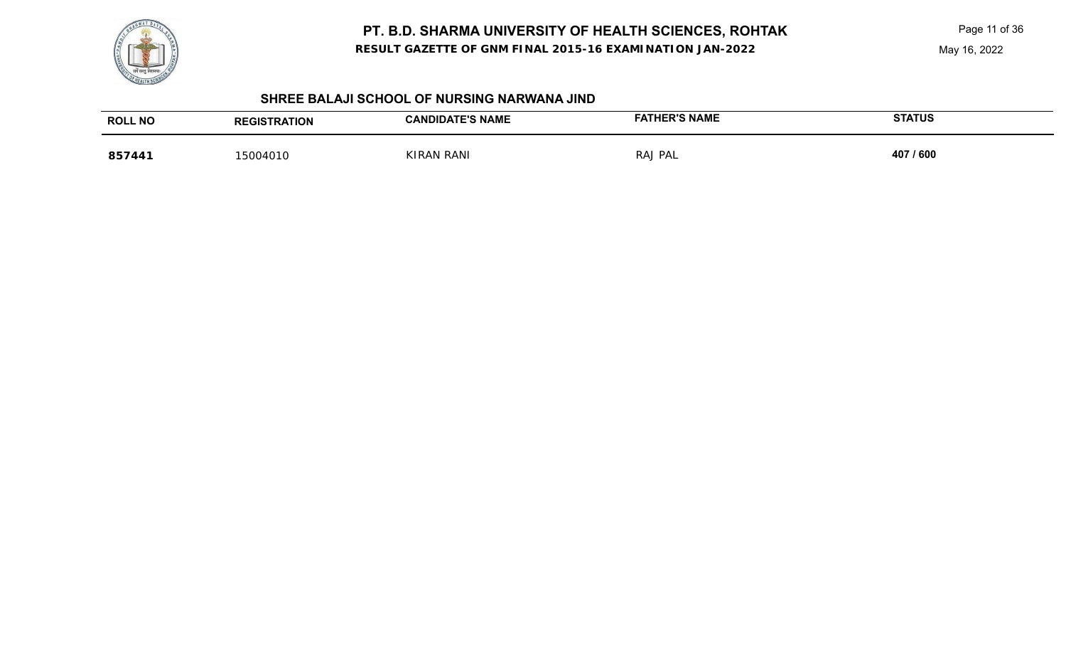

**RESULT GAZETTE OF GNM FINAL 2015-16 EXAMINATION JAN-2022**

| SHREE BALAJI SCHOOL OF NURSING NARWANA JIND |
|---------------------------------------------|
|---------------------------------------------|

| <b>ROLL NO</b> | <b>REGISTRATION</b> | <b>CANDIDATE'S NAME</b> | <b>FATHER'S NAME</b> | <b>STATUS</b> |
|----------------|---------------------|-------------------------|----------------------|---------------|
| 857441         | 15004010            | <b>KIRAN RANI</b>       | <b>RAJ PAL</b>       | 407 / 600     |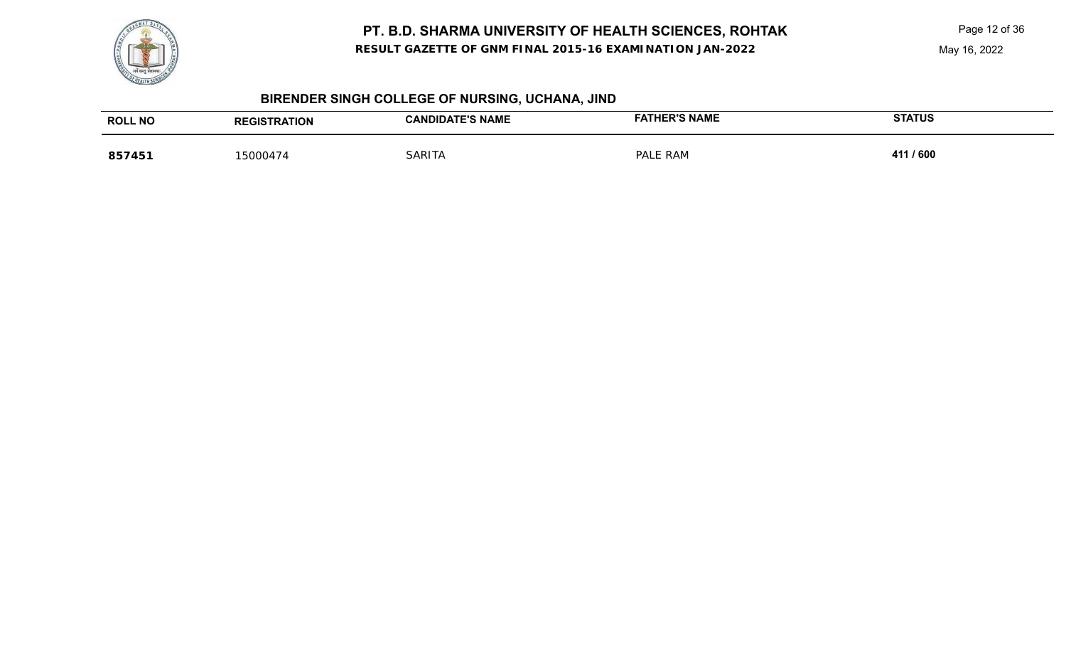

**RESULT GAZETTE OF GNM FINAL 2015-16 EXAMINATION JAN-2022**

# **BIRENDER SINGH COLLEGE OF NURSING, UCHANA, JIND**

| <b>ROLL NO</b> | <b>REGISTRATION</b> | <b>CANDIDATE'S NAME</b> | <b>FATHER'S NAME</b> | <b>STATUS</b> |
|----------------|---------------------|-------------------------|----------------------|---------------|
| 857451         | '5000474            | SARITA                  | PALE RAM             | 411 / 600     |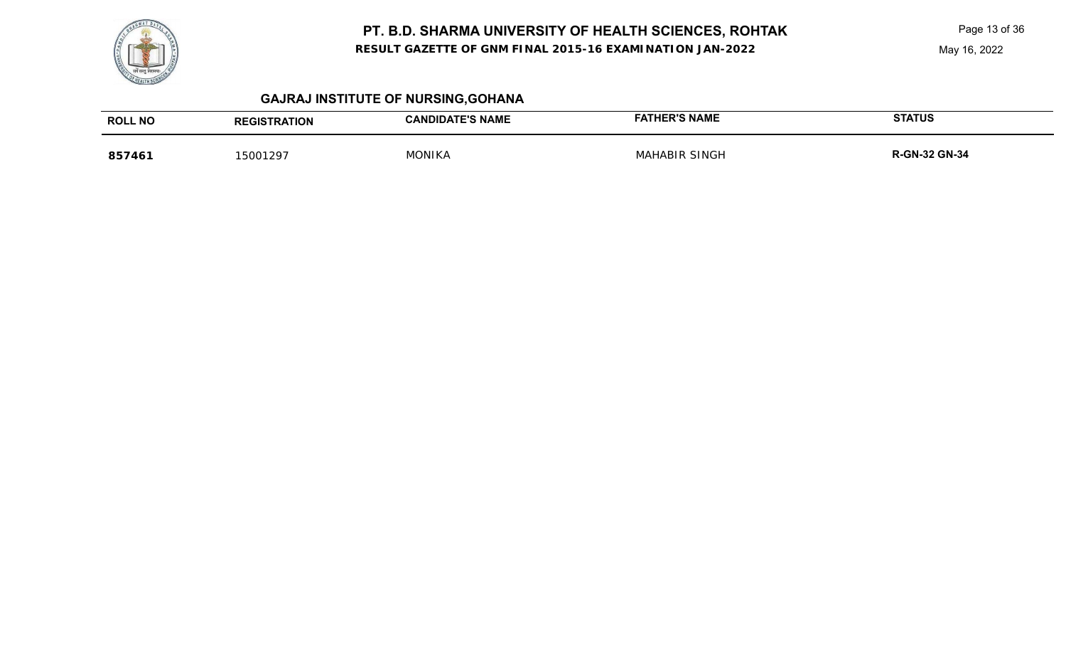**RESULT GAZETTE OF GNM FINAL 2015-16 EXAMINATION JAN-2022**

Page 13 of 36

May 16, 2022

# **GAJRAJ INSTITUTE OF NURSING,GOHANA**

| <b>ROLL NO</b> | <b>REGISTRATION</b> | <b>CANDIDATE'S NAME</b> | <b>FATHER'S NAME</b> | <b>STATUS</b>        |
|----------------|---------------------|-------------------------|----------------------|----------------------|
| 857461         | 15001297            | MONIKA                  | <b>MAHABIR SINGH</b> | <b>R-GN-32 GN-34</b> |

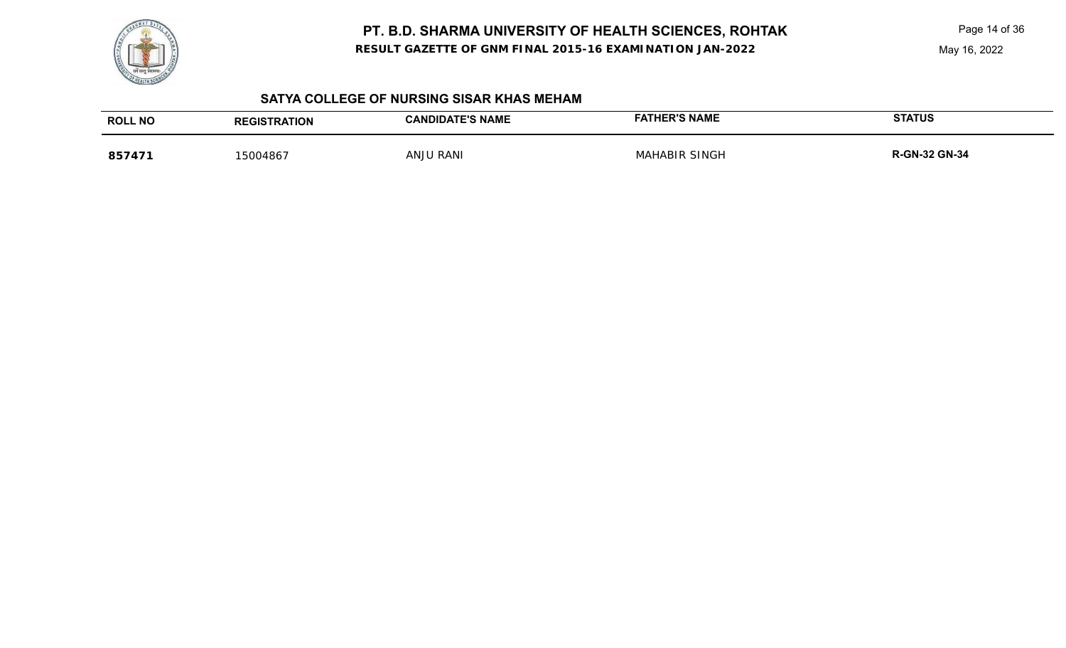

**RESULT GAZETTE OF GNM FINAL 2015-16 EXAMINATION JAN-2022**

Page 14 of 36

## **SATYA COLLEGE OF NURSING SISAR KHAS MEHAM**

| <b>ROLL NO</b> | <b>REGISTRATION</b> | <b>DATE'S NAME</b><br><b>CANDIDA</b> | <b>ER'S NAME</b>   | <b>STATUS</b>             |
|----------------|---------------------|--------------------------------------|--------------------|---------------------------|
| 85747          | 15004867            | ANJ C<br>RANI                        | MAr<br>HABIR SINGH | <b>N-32 GN-34</b><br>3-L. |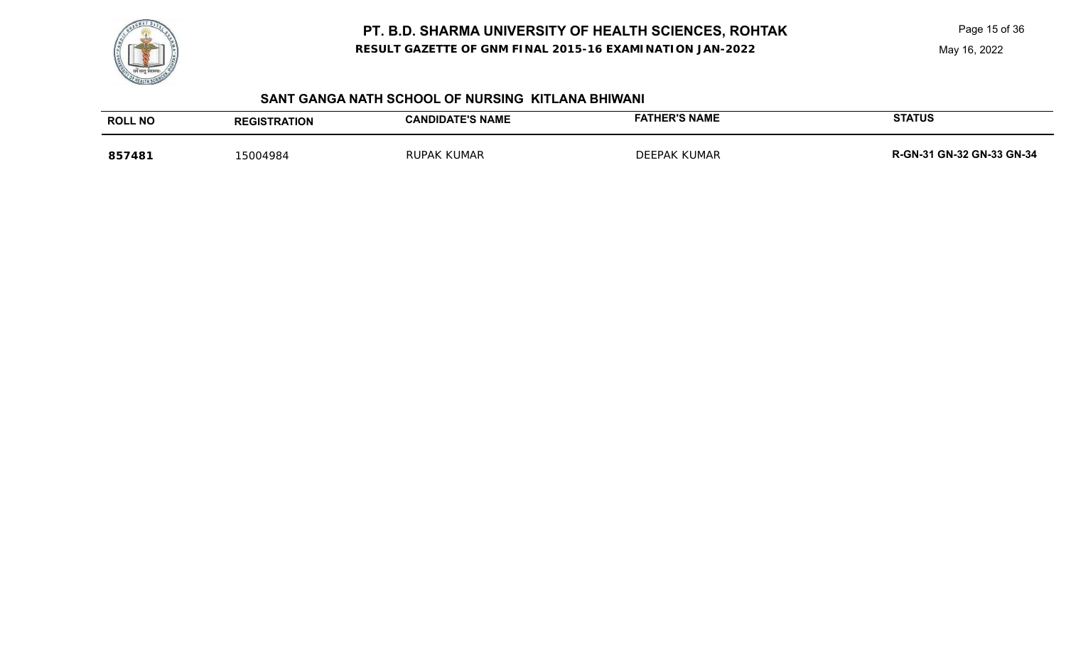**RESULT GAZETTE OF GNM FINAL 2015-16 EXAMINATION JAN-2022**

Page 15 of 36

#### **SANT GANGA NATH SCHOOL OF NURSING KITLANA BHIWANI**

| <b>ROLL NO</b> | <b>REGISTRATION</b> | <b>CANDIDATE'S NAME</b> | <b>FATHER'S NAME</b> | <b>STATUS</b>             |
|----------------|---------------------|-------------------------|----------------------|---------------------------|
| 857481         | 15004984            | <b>KUMAR</b><br>RUPAK   | DEEPAK KUMAR         | R-GN-31 GN-32 GN-33 GN-34 |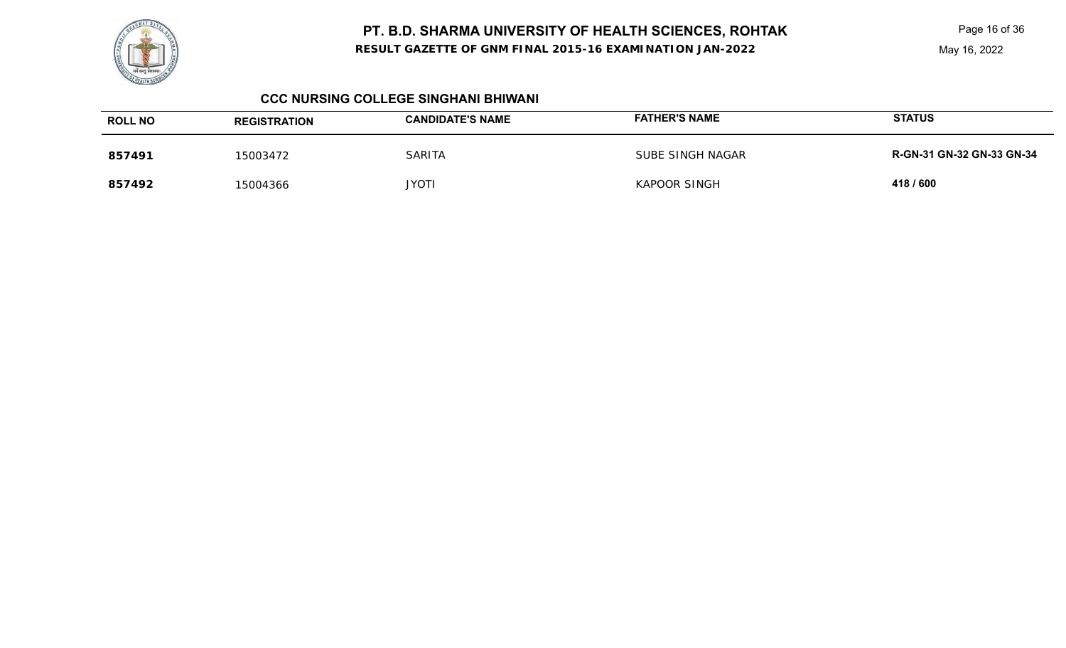**RESULT GAZETTE OF GNM FINAL 2015-16 EXAMINATION JAN-2022**

Page 16 of 36

#### **CCC NURSING COLLEGE SINGHANI BHIWANI**

| <b>ROLL NO</b> | <b>REGISTRATION</b> | <b>CANDIDATE'S NAME</b> | <b>FATHER'S NAME</b> | <b>STATUS</b>                    |
|----------------|---------------------|-------------------------|----------------------|----------------------------------|
| 857491         | 15003472            | <b>SARITA</b>           | SUBE SINGH NAGAR     | <b>R-GN-31 GN-32 GN-33 GN-34</b> |
| 857492         | 15004366            | <b>JYOT</b> I           | KAPOOR SINGH         | 418 / 600                        |

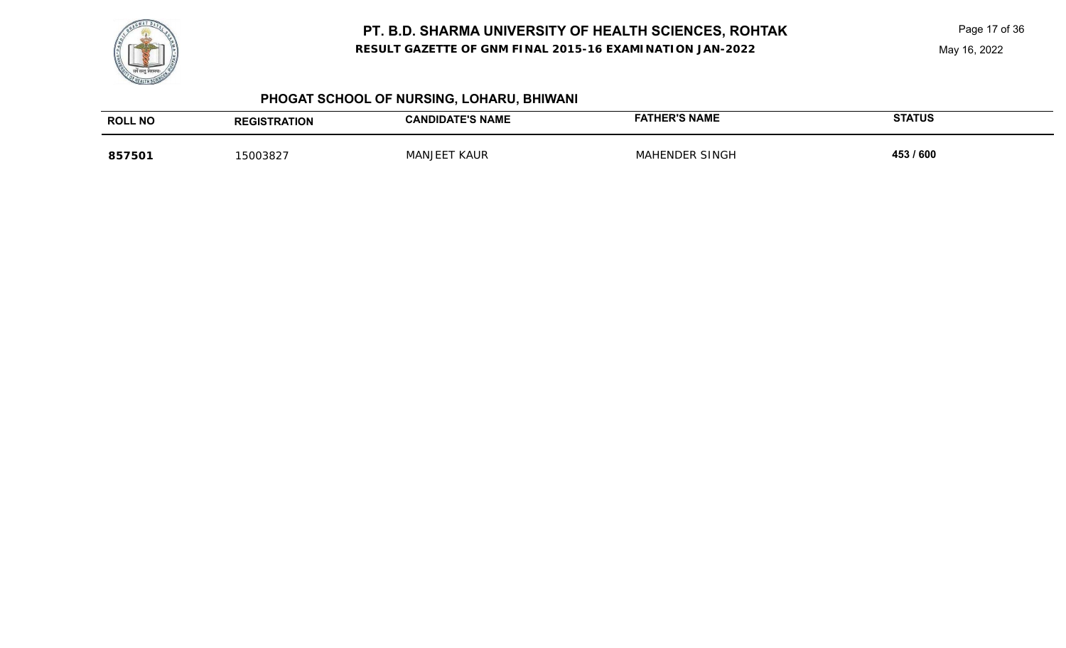

**RESULT GAZETTE OF GNM FINAL 2015-16 EXAMINATION JAN-2022**

Page 17 of 36

May 16, 2022

# **PHOGAT SCHOOL OF NURSING, LOHARU, BHIWANI**

| <b>ROLL NO</b> | <b>REGISTRATION</b> | <b>CANDIDATE'S NAME</b> | <b>FATHER'S NAME</b>      | <b>STATUS</b> |
|----------------|---------------------|-------------------------|---------------------------|---------------|
| 857501         | 15003827            | <b>KAUR</b><br>MANJEE   | <b>ENDER SINGH</b><br>MAF | 453 / 600     |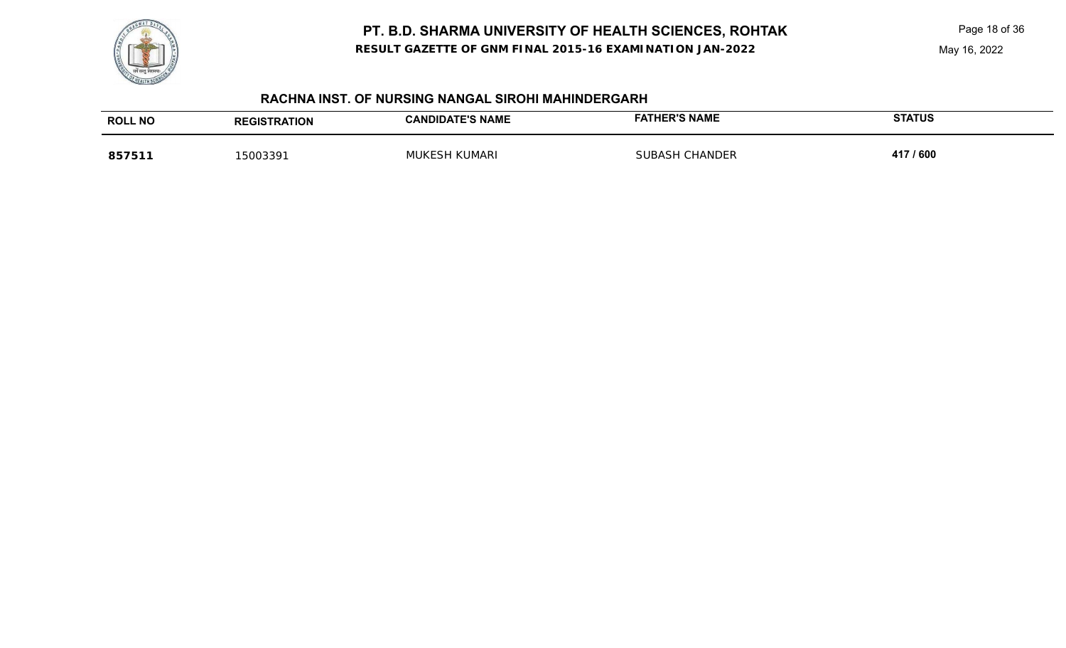**RESULT GAZETTE OF GNM FINAL 2015-16 EXAMINATION JAN-2022**



## **RACHNA INST. OF NURSING NANGAL SIROHI MAHINDERGARH**

| <b>ROLL NO</b> | <b>\TION</b><br><b>REGIS</b> | <b>E'S NAME</b><br>$\mathsf{CAND}^{\mathsf{T}}$<br>AUIL | <b>HER'S NAME</b><br>-ATI - | <b>STATUS</b> |
|----------------|------------------------------|---------------------------------------------------------|-----------------------------|---------------|
|                | <b>5003301</b>               | VIAR I                                                  | HANDFF<br>:I IRA            | 417 / 600     |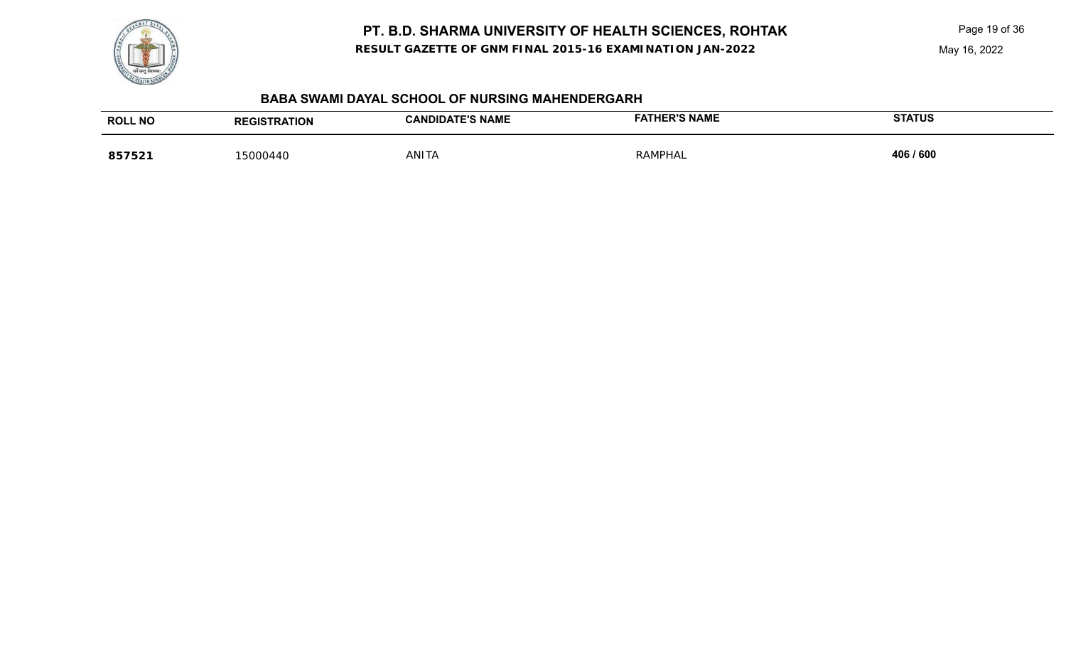**RESULT GAZETTE OF GNM FINAL 2015-16 EXAMINATION JAN-2022**

### May 16, 2022



## **BABA SWAMI DAYAL SCHOOL OF NURSING MAHENDERGARH**

| <b>ROLL NO</b> | <b>RATION</b><br><b>REGIS</b><br>RA | <b>E'S NAME</b><br>:ANDI<br>IDA | <b>HER'S NAME</b><br>-ATI- | <b>STATUS</b> |
|----------------|-------------------------------------|---------------------------------|----------------------------|---------------|
| 85752          | 5000440                             | <b>ANITA</b>                    | DAM<br>r.                  | 406 / 600     |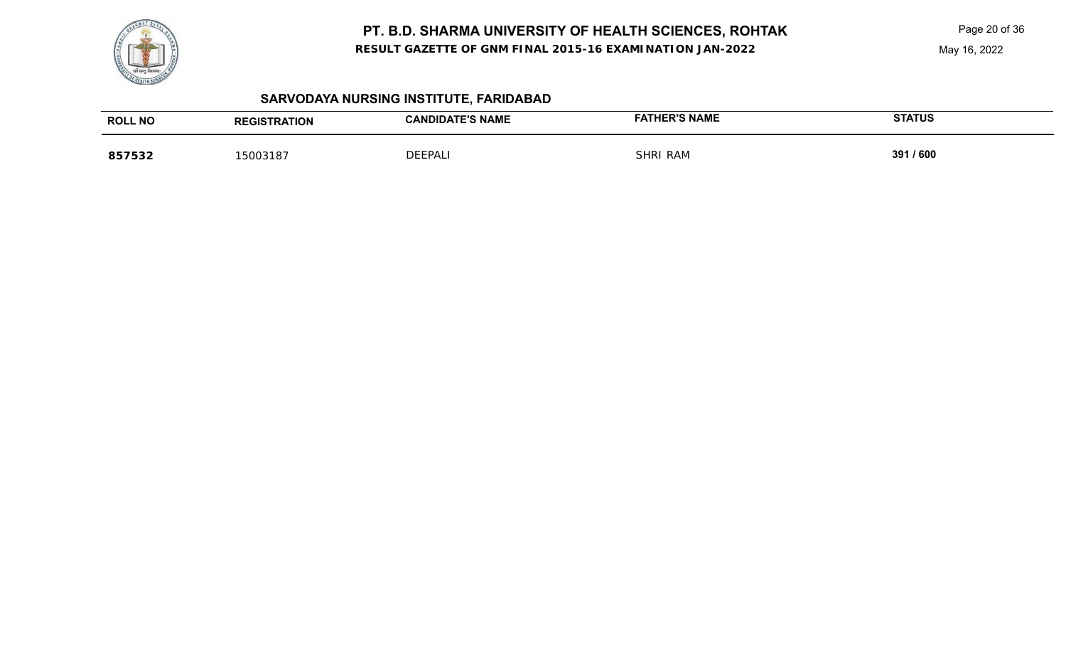

**RESULT GAZETTE OF GNM FINAL 2015-16 EXAMINATION JAN-2022**

Page 20 of 36

May 16, 2022

# **SARVODAYA NURSING INSTITUTE, FARIDABAD**

| <b>ROLL NO</b> | <b>RATION</b> | <b>ATE'S NAME</b> | <b>FATHER'S NAME</b> | <b>STATUS</b> |
|----------------|---------------|-------------------|----------------------|---------------|
| ັບ             | 500318        | DEEPAL            | <b>SHRI RAM</b>      | 391 / 600     |
|                |               |                   |                      |               |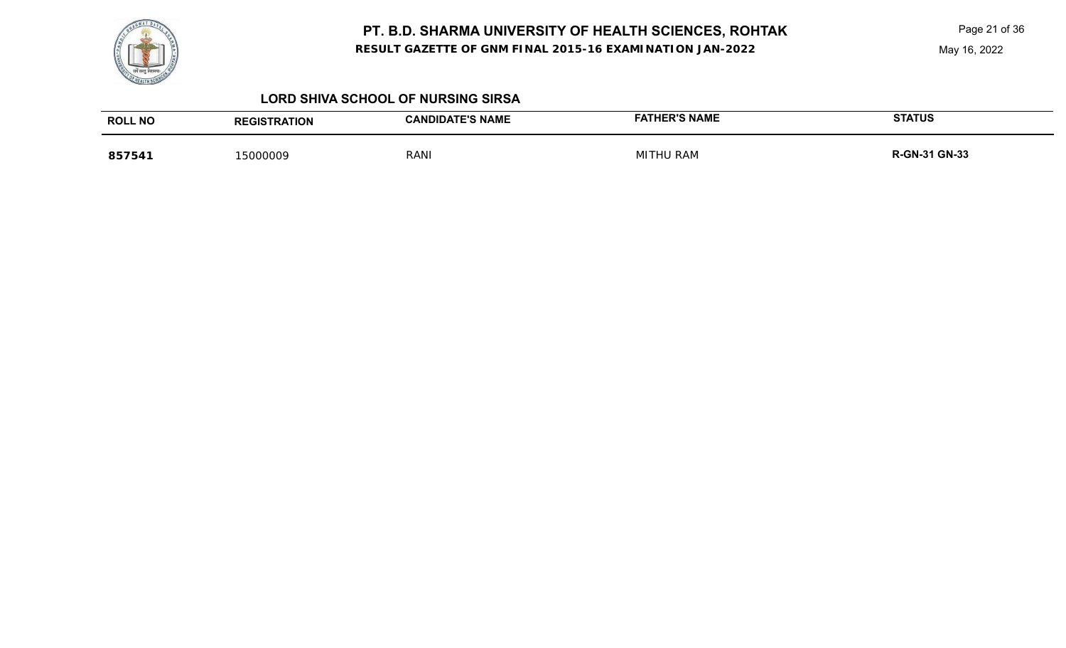

#### **RESULT GAZETTE OF GNM FINAL 2015-16 EXAMINATION JAN-2022**

Page 21 of 36

May 16, 2022

#### **LORD SHIVA SCHOOL OF NURSING SIRSA**

| <b>ROLL NO</b> | <b>TRATION</b> | <b>CANDIDATE'S NAME</b> | <b>FATHER'S NAME</b> | <b>STATUS</b>      |
|----------------|----------------|-------------------------|----------------------|--------------------|
| 857541         | 5000009        | RANI                    | MIT<br>J RAM         | I-31 GN-33<br>R.GI |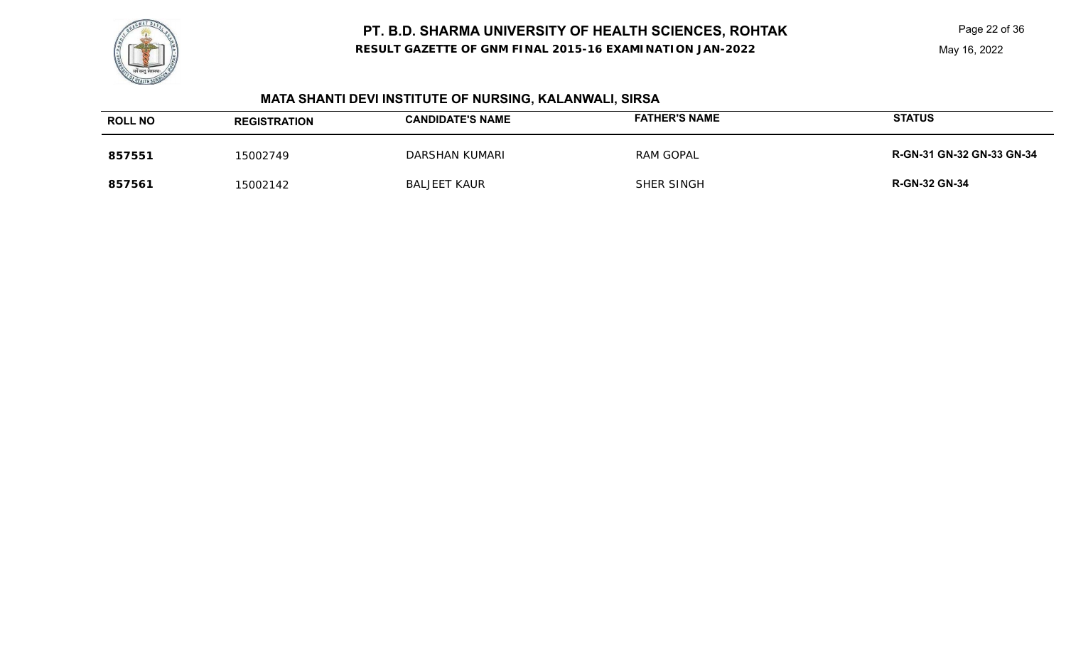**RESULT GAZETTE OF GNM FINAL 2015-16 EXAMINATION JAN-2022**

# **MATA SHANTI DEVI INSTITUTE OF NURSING, KALANWALI, SIRSA**

| <b>ROLL NO</b> | <b>REGISTRATION</b> | <b>CANDIDATE'S NAME</b> | <b>FATHER'S NAME</b> | <b>STATUS</b>                    |
|----------------|---------------------|-------------------------|----------------------|----------------------------------|
| 857551         | 15002749            | DARSHAN KUMARI          | <b>RAM GOPAL</b>     | <b>R-GN-31 GN-32 GN-33 GN-34</b> |
| 857561         | 15002142            | <b>BALJEET KAUR</b>     | SHER SINGH           | <b>R-GN-32 GN-34</b>             |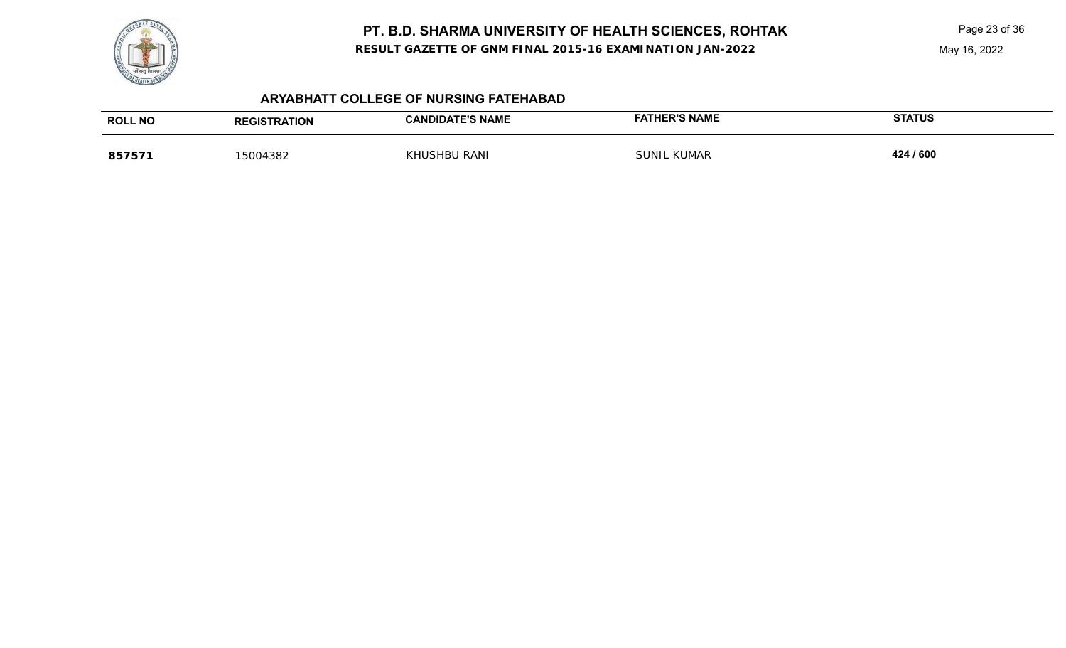**RESULT GAZETTE OF GNM FINAL 2015-16 EXAMINATION JAN-2022**

Page 23 of 36

May 16, 2022

# **ARYABHATT COLLEGE OF NURSING FATEHABAD**

| <b>ROLL NO</b> | <b>REGISTRATION</b> | <b>CANDIDATE'S NAME</b> | <b>FATHER'S NAME</b> | <b>STATUS</b> |
|----------------|---------------------|-------------------------|----------------------|---------------|
| 857571         | 5004382             | KHUSHBU RANI            | <b>SUNIL KUMAR</b>   | 424 / 600     |

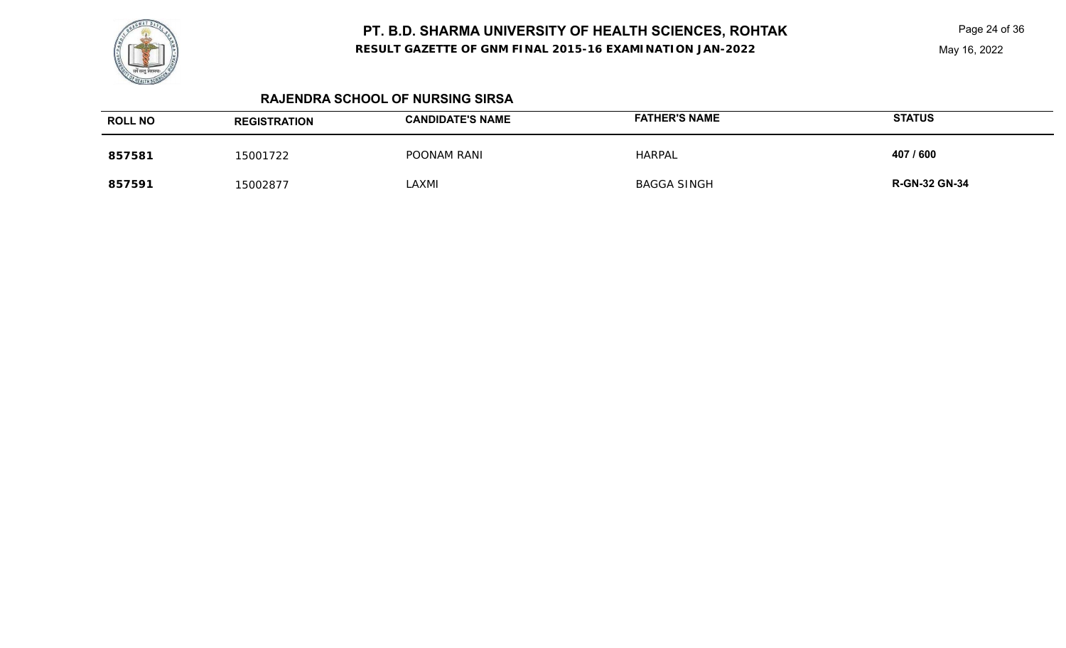**RESULT GAZETTE OF GNM FINAL 2015-16 EXAMINATION JAN-2022**

Page 24 of 36

May 16, 2022

### **RAJENDRA SCHOOL OF NURSING SIRSA**

| <b>ROLL NO</b> | <b>REGISTRATION</b> | <b>CANDIDATE'S NAME</b> | <b>FATHER'S NAME</b> | <b>STATUS</b>        |
|----------------|---------------------|-------------------------|----------------------|----------------------|
| 857581         | 15001722            | POONAM RANI             | HARPAL               | 407 / 600            |
| 857591         | 15002877            | LAXMI                   | <b>BAGGA SINGH</b>   | <b>R-GN-32 GN-34</b> |

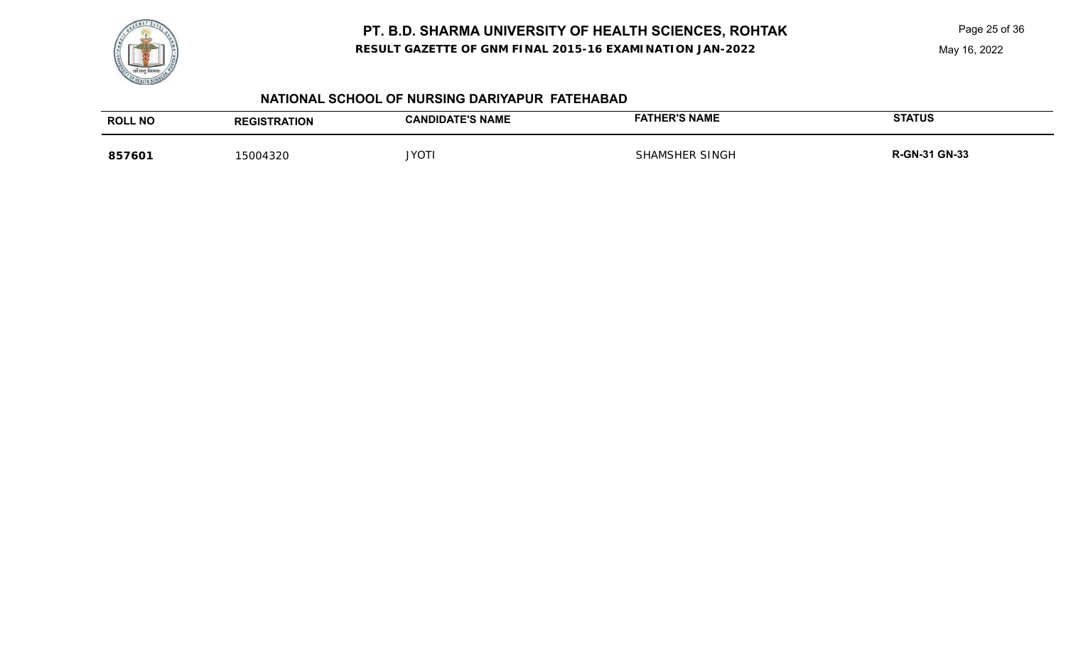**RESULT GAZETTE OF GNM FINAL 2015-16 EXAMINATION JAN-2022**



## **NATIONAL SCHOOL OF NURSING DARIYAPUR FATEHABAD**

| <b>ROLL NO</b> | <b>REGISTRATION</b> | <b>CANDIDATE'S NAME</b> | FATHER'S NAME         | <b>STATUS</b>        |
|----------------|---------------------|-------------------------|-----------------------|----------------------|
| 857601         | 5004320             | <b>IYOT</b>             | <b>SHAMSHER SINGH</b> | <b>R-GN-31 GN-33</b> |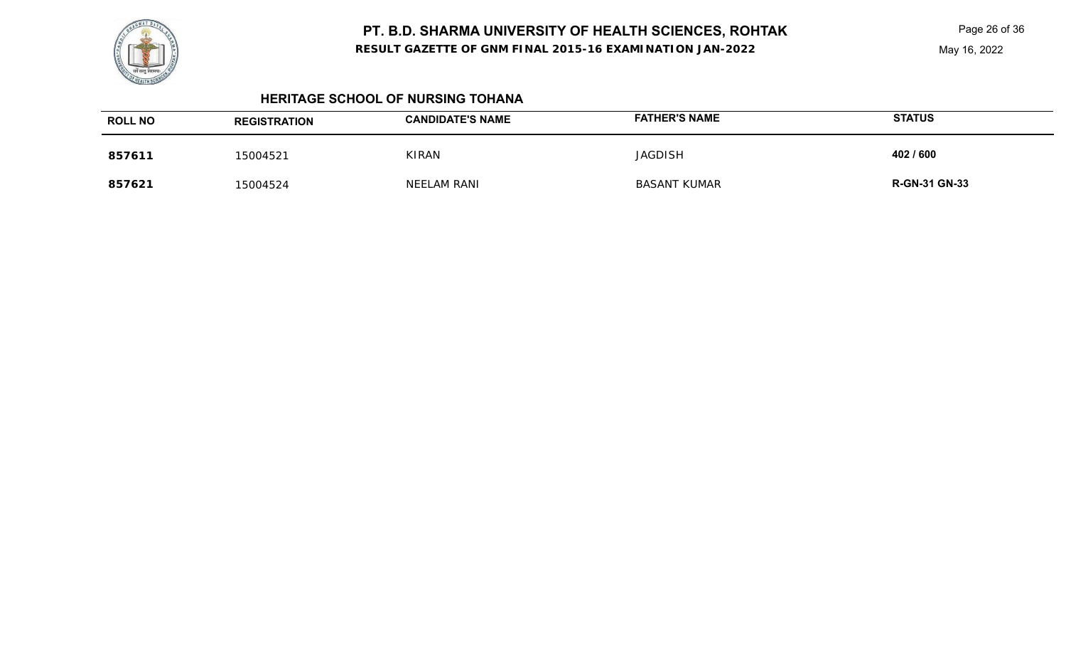**RESULT GAZETTE OF GNM FINAL 2015-16 EXAMINATION JAN-2022**

Page 26 of 36

#### **HERITAGE SCHOOL OF NURSING TOHANA**

| <b>ROLL NO</b> | <b>REGISTRATION</b> | <b>CANDIDATE'S NAME</b> | <b>FATHER'S NAME</b> | <b>STATUS</b>        |
|----------------|---------------------|-------------------------|----------------------|----------------------|
| 857611         | 15004521            | <b>KIRAN</b>            | <b>JAGDISH</b>       | 402 / 600            |
| 857621         | 15004524            | NEELAM RANI             | <b>BASANT KUMAR</b>  | <b>R-GN-31 GN-33</b> |

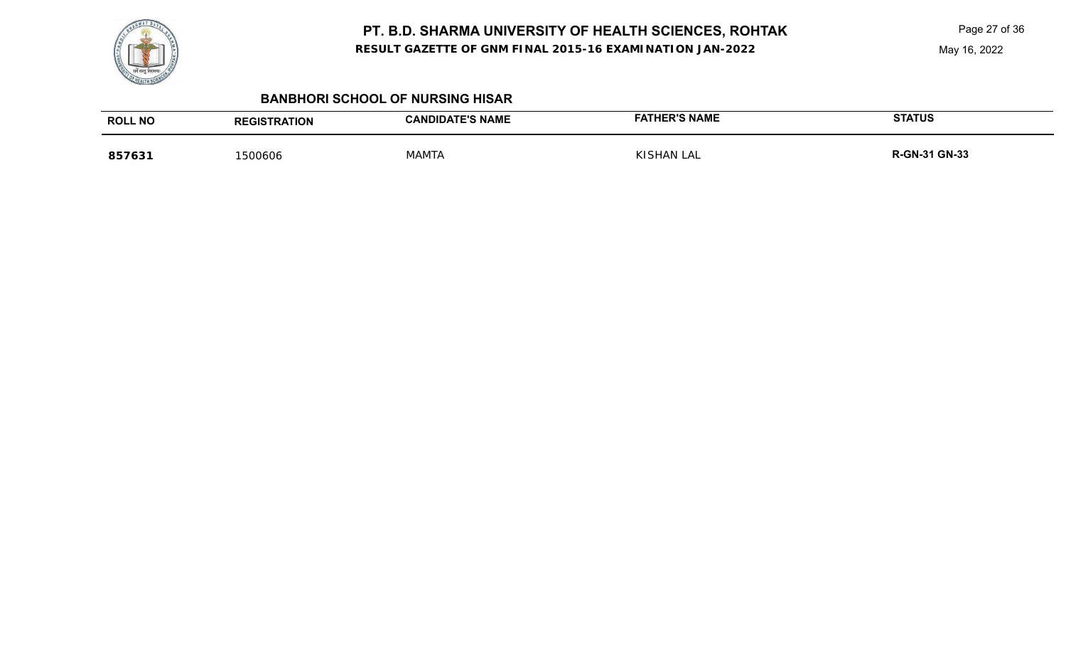**RESULT GAZETTE OF GNM FINAL 2015-16 EXAMINATION JAN-2022**

Page 27 of 36

#### **BANBHORI SCHOOL OF NURSING HISAR**

| <b>ROLL NO</b> | <b>REGISTRATION</b> | <b>CANDIDATE'S NAME</b> | <b>FATHER'S NAME</b> | <b>STATUS</b>        |
|----------------|---------------------|-------------------------|----------------------|----------------------|
| 857631         | 500606              | <b>MAMTA</b>            | KISHAN LAL           | <b>R-GN-31 GN-33</b> |

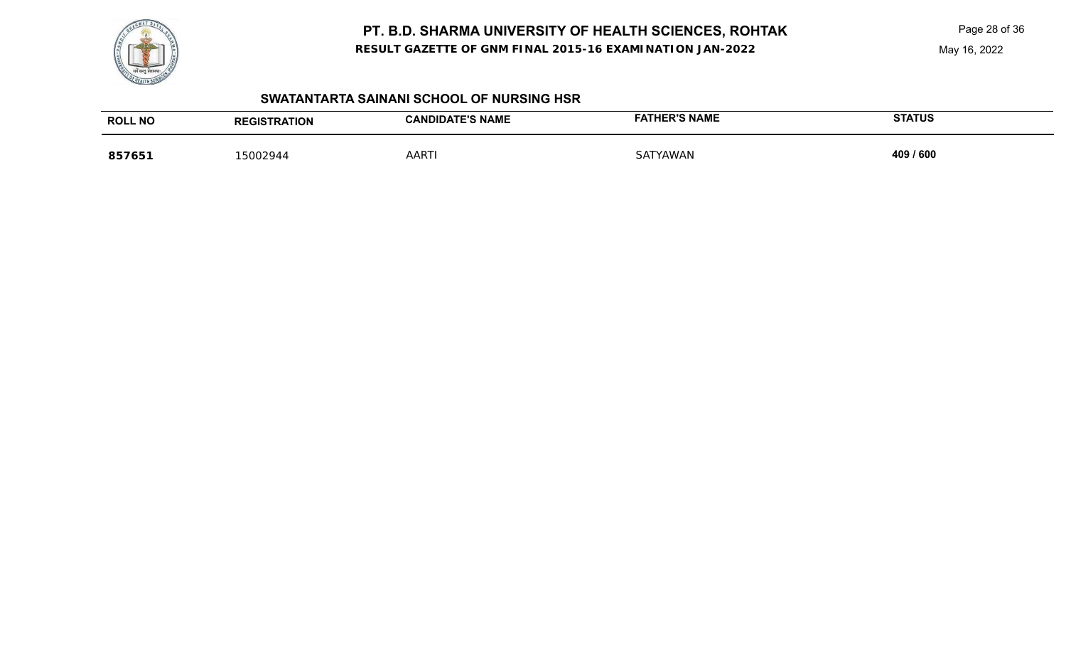

**RESULT GAZETTE OF GNM FINAL 2015-16 EXAMINATION JAN-2022**

Page 28 of 36

May 16, 2022

## **SWATANTARTA SAINANI SCHOOL OF NURSING HSR**

| <b>ROLL NO</b> | <b>REGISTRATION</b> | <b>CANDIDATE'S NAME</b> | <b>FATHER'S NAME</b> | <b>STATUS</b> |
|----------------|---------------------|-------------------------|----------------------|---------------|
| 857651         | 5002944             | AART                    | SATYAWAN             | 409 / 600     |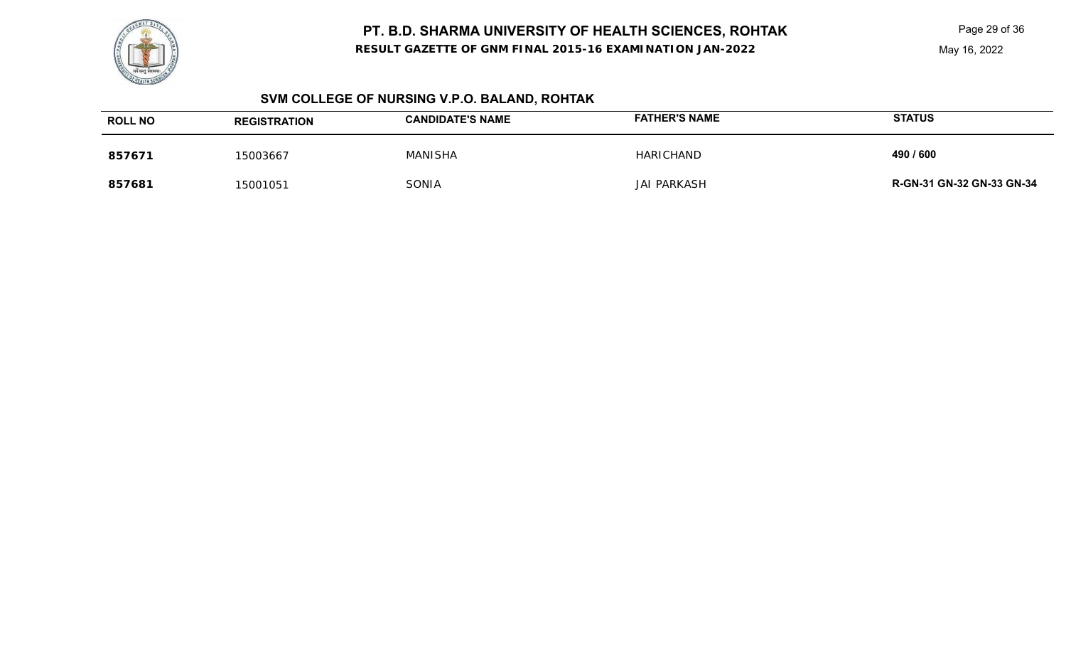**RESULT GAZETTE OF GNM FINAL 2015-16 EXAMINATION JAN-2022**

May 16, 2022

# **SVM COLLEGE OF NURSING V.P.O. BALAND, ROHTAK**

| <b>ROLL NO</b> | <b>REGISTRATION</b> | <b>CANDIDATE'S NAME</b> | <b>FATHER'S NAME</b> | <b>STATUS</b>                    |
|----------------|---------------------|-------------------------|----------------------|----------------------------------|
| 857671         | 15003667            | <b>MANISHA</b>          | HARICHAND            | 490 / 600                        |
| 857681         | 15001051            | SONIA                   | <b>JAI PARKASH</b>   | <b>R-GN-31 GN-32 GN-33 GN-34</b> |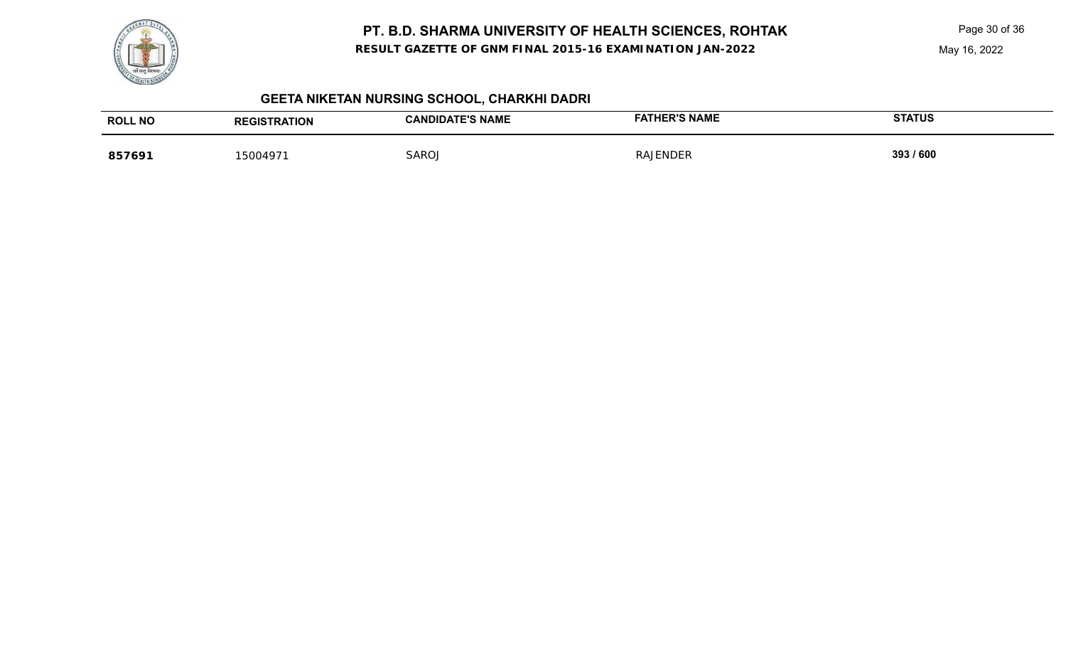

**RESULT GAZETTE OF GNM FINAL 2015-16 EXAMINATION JAN-2022**

Page 30 of 36

May 16, 2022

# **GEETA NIKETAN NURSING SCHOOL, CHARKHI DADRI**

| <b>ROLL NO</b> | <b>REGISTRATION</b> | <b>CANDIDATE'S NAME</b> | <b>FATHER'S NAME</b> | <b>STATUS</b> |
|----------------|---------------------|-------------------------|----------------------|---------------|
| 857691         | 15004971            | SARO.                   | <b>RAJENDER</b>      | 393 / 600     |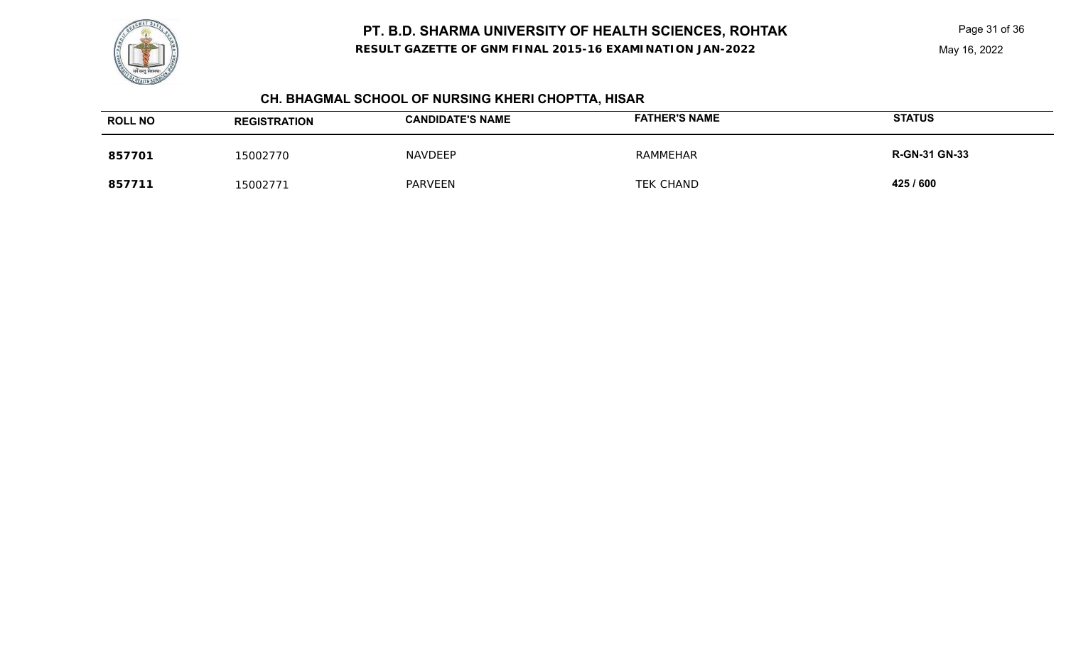**RESULT GAZETTE OF GNM FINAL 2015-16 EXAMINATION JAN-2022**



# **CH. BHAGMAL SCHOOL OF NURSING KHERI CHOPTTA, HISAR**

| <b>ROLL NO</b> | <b>REGISTRATION</b> | <b>CANDIDATE'S NAME</b> | <b>FATHER'S NAME</b> | <b>STATUS</b>        |
|----------------|---------------------|-------------------------|----------------------|----------------------|
| 857701         | 15002770            | <b>NAVDEEP</b>          | RAMMEHAR             | <b>R-GN-31 GN-33</b> |
| 857711         | 15002771            | PARVEEN                 | <b>TEK CHAND</b>     | 425 / 600            |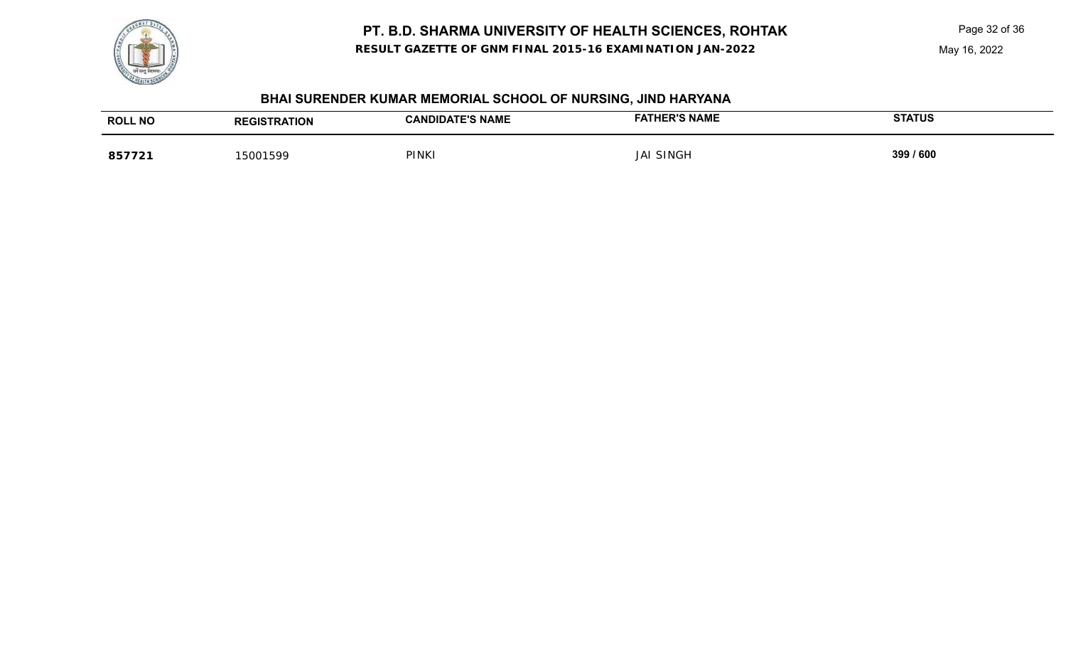**RESULT GAZETTE OF GNM FINAL 2015-16 EXAMINATION JAN-2022**

### May 16, 2022



# **BHAI SURENDER KUMAR MEMORIAL SCHOOL OF NURSING, JIND HARYANA**

| <b>ROLL NO</b> | TRATION | <b>CANDIDATE'S NAME</b> | <b>R'S NAME</b>   | <b>STATUS</b> |
|----------------|---------|-------------------------|-------------------|---------------|
| 857721         | 5001599 | <b>PINKI</b>            | <b>SING</b><br>IΔ | 399 / 600     |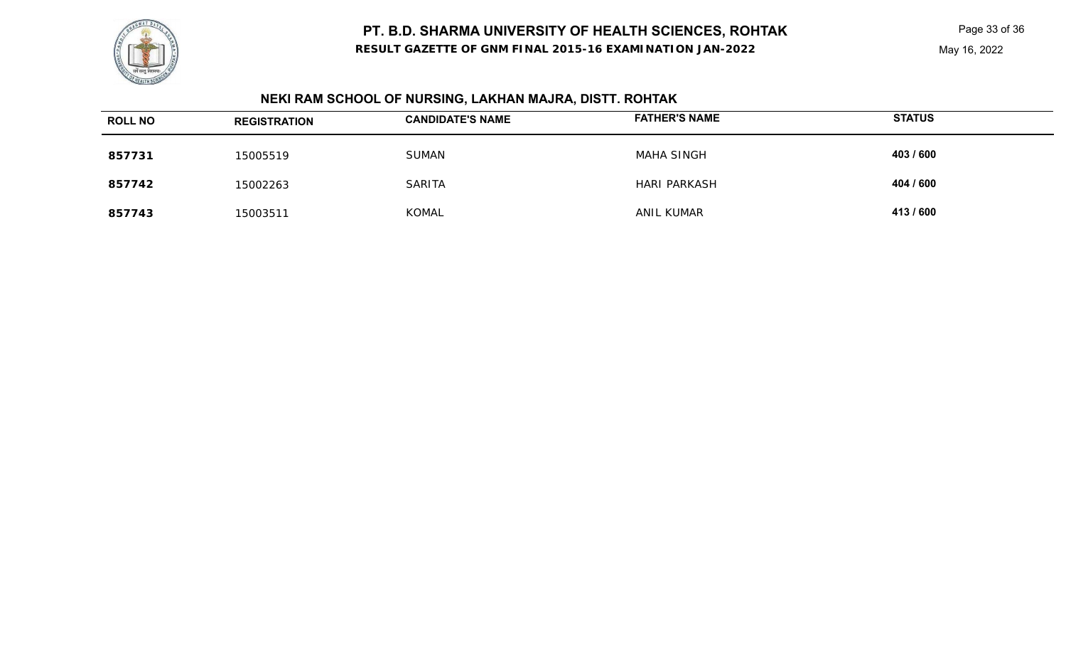**RESULT GAZETTE OF GNM FINAL 2015-16 EXAMINATION JAN-2022**

### May 16, 2022



# **NEKI RAM SCHOOL OF NURSING, LAKHAN MAJRA, DISTT. ROHTAK**

| <b>ROLL NO</b> | <b>REGISTRATION</b> | <b>CANDIDATE'S NAME</b> | <b>FATHER'S NAME</b> | <b>STATUS</b> |
|----------------|---------------------|-------------------------|----------------------|---------------|
| 857731         | 15005519            | <b>SUMAN</b>            | MAHA SINGH           | 403 / 600     |
| 857742         | 15002263            | <b>SARITA</b>           | <b>HARI PARKASH</b>  | 404 / 600     |
| 857743         | 15003511            | <b>KOMAL</b>            | ANIL KUMAR           | 413/600       |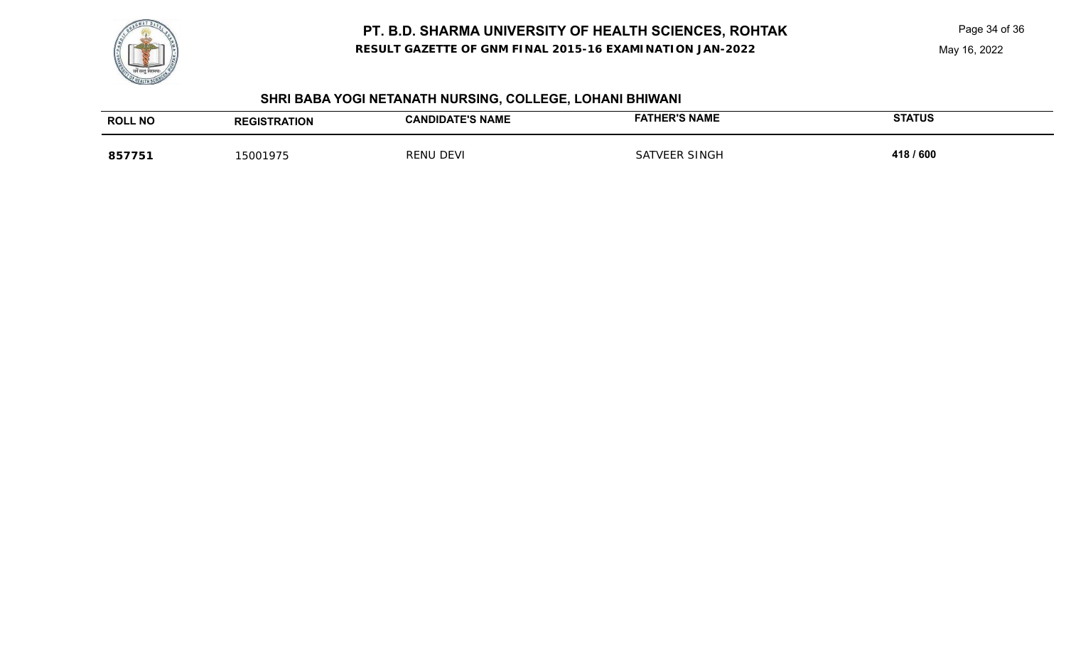**RESULT GAZETTE OF GNM FINAL 2015-16 EXAMINATION JAN-2022**

### May 16, 2022



# **SHRI BABA YOGI NETANATH NURSING, COLLEGE, LOHANI BHIWANI**

| <b>ROLL</b><br>. NO | TRATION  | <b>TE'S NAME</b><br>`ANDIDATL | <b>R'S NAME</b><br>FΔ | <b>STATUS</b> |
|---------------------|----------|-------------------------------|-----------------------|---------------|
| 85775               | 15001975 | ו DFV<br>RENU                 | SINGI<br>ΝΔ.          | 418 / 600     |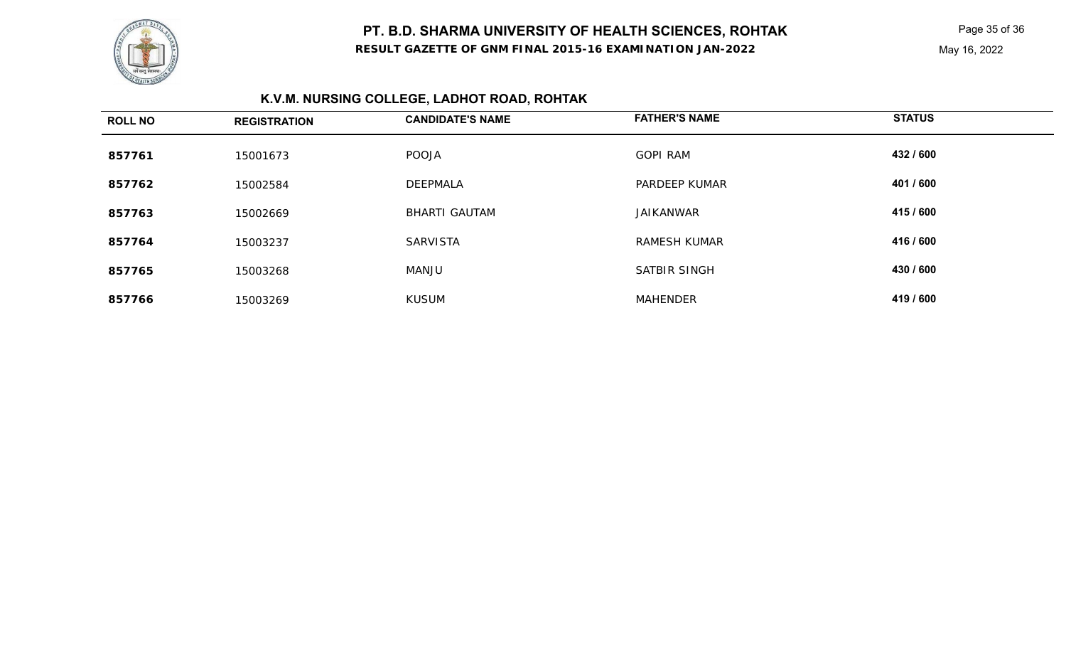**RESULT GAZETTE OF GNM FINAL 2015-16 EXAMINATION JAN-2022**

# **K.V.M. NURSING COLLEGE, LADHOT ROAD, ROHTAK**

| <b>ROLL NO</b> | <b>REGISTRATION</b> | <b>CANDIDATE'S NAME</b> | <b>FATHER'S NAME</b> | <b>STATUS</b> |
|----------------|---------------------|-------------------------|----------------------|---------------|
| 857761         | 15001673            | <b>POOJA</b>            | <b>GOPI RAM</b>      | 432 / 600     |
| 857762         | 15002584            | <b>DEEPMALA</b>         | PARDEEP KUMAR        | 401 / 600     |
| 857763         | 15002669            | <b>BHARTI GAUTAM</b>    | JAIKANWAR            | 415 / 600     |
| 857764         | 15003237            | <b>SARVISTA</b>         | <b>RAMESH KUMAR</b>  | 416 / 600     |
| 857765         | 15003268            | <b>MANJU</b>            | SATBIR SINGH         | 430 / 600     |
| 857766         | 15003269            | <b>KUSUM</b>            | <b>MAHENDER</b>      | 419 / 600     |

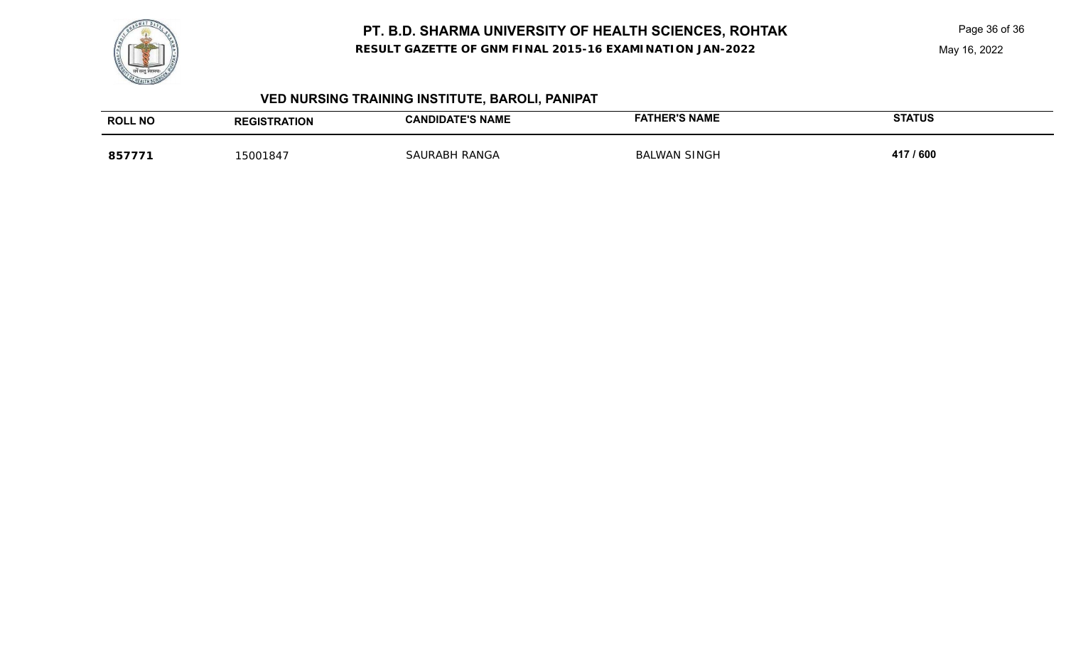

**RESULT GAZETTE OF GNM FINAL 2015-16 EXAMINATION JAN-2022**

# **VED NURSING TRAINING INSTITUTE, BAROLI, PANIPAT**

| <b>ROLL NO</b> | EGISTRATION | <b>CANDIDATE'S NAME</b> | <b>HER'S NAME</b>   | <b>STATUS</b> |
|----------------|-------------|-------------------------|---------------------|---------------|
| 85777          | 15001847    | SAURABH RANGA           | <b>BALWAN SINGH</b> | 417 / 600     |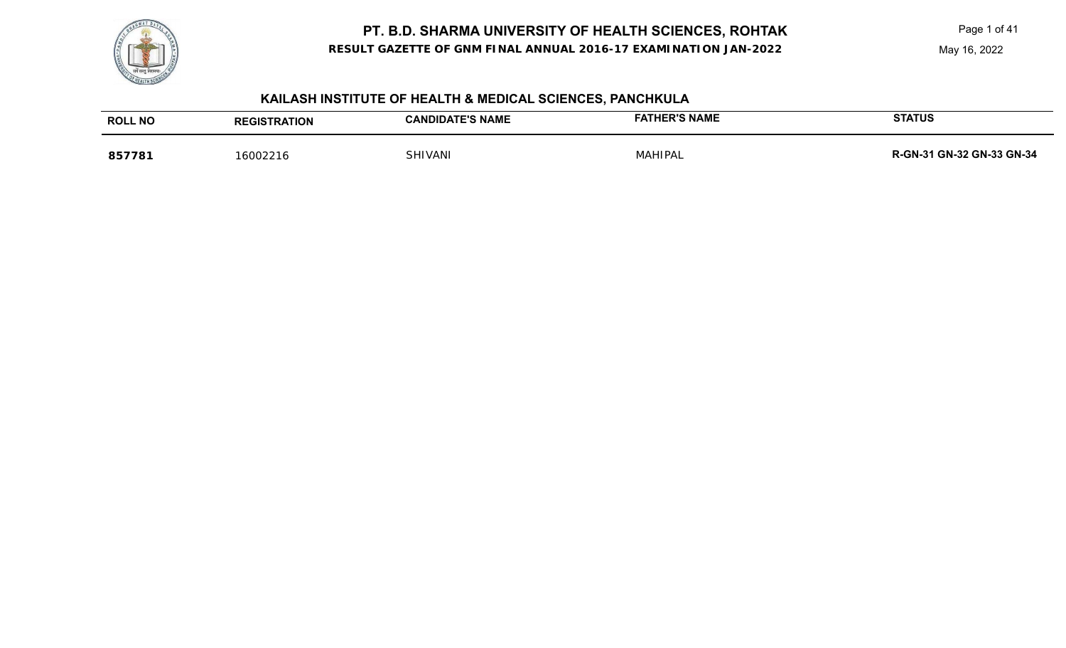

**RESULT GAZETTE OF GNM FINAL ANNUAL 2016-17 EXAMINATION JAN-2022**

Page 1 of 41

May 16, 2022

# **KAILASH INSTITUTE OF HEALTH & MEDICAL SCIENCES, PANCHKULA**

| <b>ROLL NO</b> | <b>REGISTRATION</b> | <b>IDIDATE'S NAME</b><br>CAN' | <b>FATHER'S NAME</b> | <b>STATUS</b>             |
|----------------|---------------------|-------------------------------|----------------------|---------------------------|
| 857781         | 6002216             | SHIVANI                       | HIPAL<br>Mai         | R-GN-31 GN-32 GN-33 GN-34 |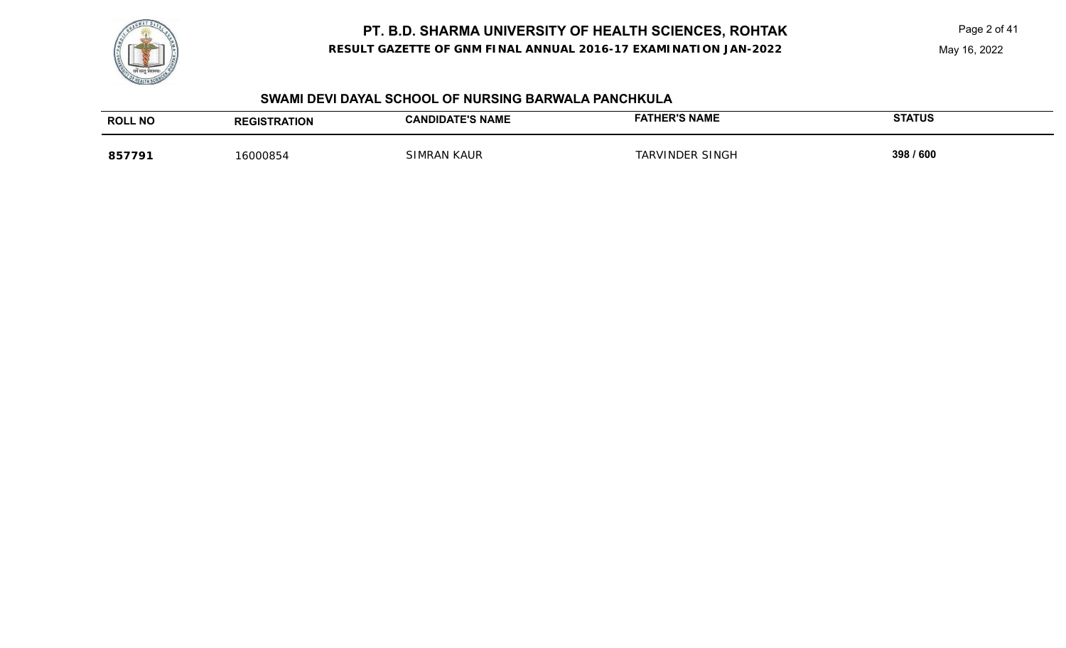

**RESULT GAZETTE OF GNM FINAL ANNUAL 2016-17 EXAMINATION JAN-2022**

Page 2 of 41



## **SWAMI DEVI DAYAL SCHOOL OF NURSING BARWALA PANCHKULA**

| <b>ROLL NO</b> | <b>REGISTRATION</b> | <b>CANDIDATE'S NAME</b> | <b>FATHER'S NAME</b> | <b>STATUS</b> |
|----------------|---------------------|-------------------------|----------------------|---------------|
| 857791         | 6000854             | <b>SIMRAN KAUR</b>      | TARVINDER SINGH      | 398 / 600     |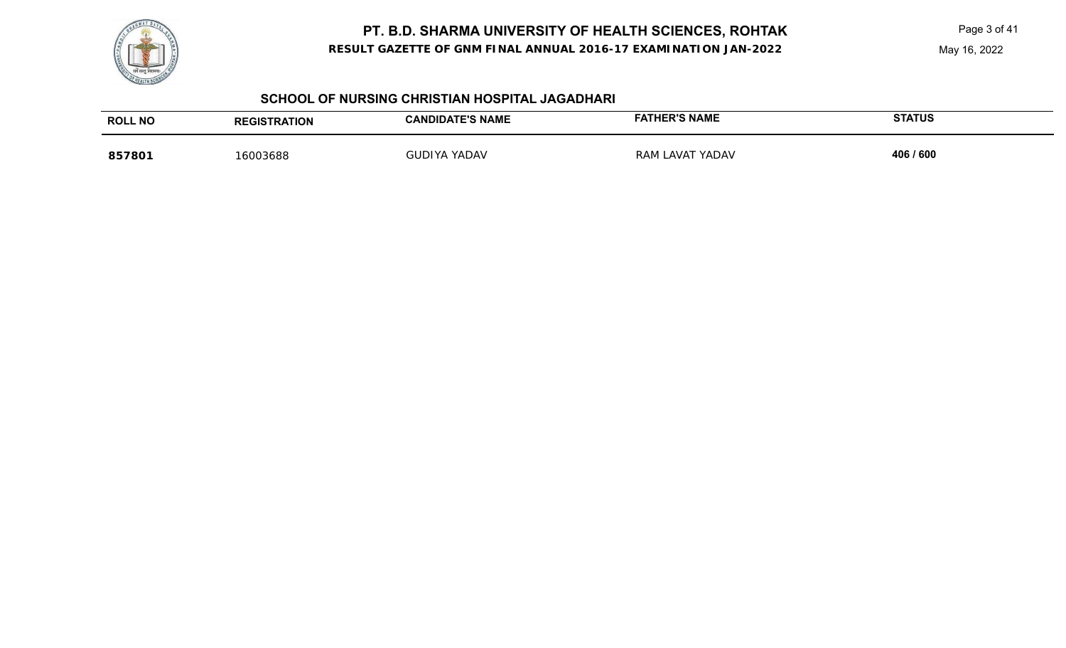

**RESULT GAZETTE OF GNM FINAL ANNUAL 2016-17 EXAMINATION JAN-2022**

Page 3 of 41

May 16, 2022

### **SCHOOL OF NURSING CHRISTIAN HOSPITAL JAGADHARI**

| <b>ROLL NO</b> | <b>TRATION</b><br><b>REGIS</b> | <b>ATE'S NAME</b><br><b>ANDIDA</b> | <b>FATHER'S NAME</b> | <b>STATUS</b> |
|----------------|--------------------------------|------------------------------------|----------------------|---------------|
| 857801         | 5003688                        | YADAV<br>וחוור?                    | YADAV<br>RAN<br>_AVA | 406 / 600     |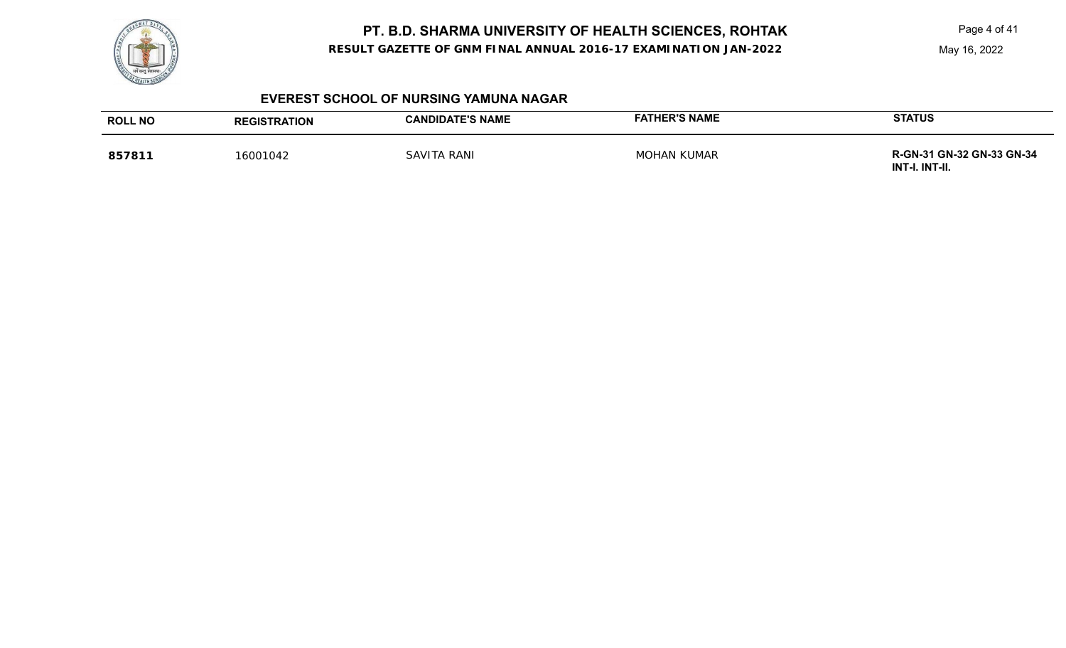

**RESULT GAZETTE OF GNM FINAL ANNUAL 2016-17 EXAMINATION JAN-2022**

Page 4 of 41

May 16, 2022

## **EVEREST SCHOOL OF NURSING YAMUNA NAGAR**

| <b>ROLL NO</b> | <b>REGISTRATION</b> | <b>CANDIDATE'S NAME</b> | <b>FATHER'S NAME</b> | <b>STATUS</b>                                      |
|----------------|---------------------|-------------------------|----------------------|----------------------------------------------------|
| 857811         | 16001042            | SAVITA RANI             | MOHAN KUMAR          | R-GN-31 GN-32 GN-33 GN-34<br><b>INT-I. INT-II.</b> |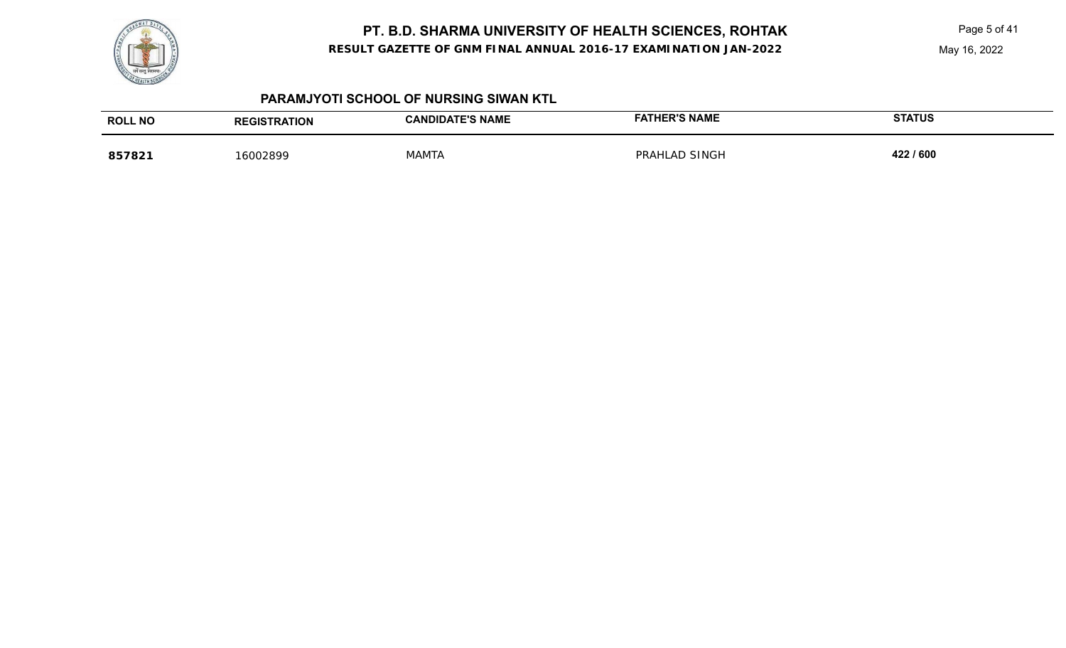

**RESULT GAZETTE OF GNM FINAL ANNUAL 2016-17 EXAMINATION JAN-2022**

Page 5 of 41

May 16, 2022

### **PARAMJYOTI SCHOOL OF NURSING SIWAN KTL**

| <b>ROLL NO</b> | <b>REGISTRATION</b> | <b>CANDIDATE'S NAME</b> | <b>FATHER'S NAME</b> | <b>STATUS</b> |
|----------------|---------------------|-------------------------|----------------------|---------------|
| 857821         | 16002899            | <b>MAMTA</b>            | SINGH<br>PRAHLAD     | 422 / 600     |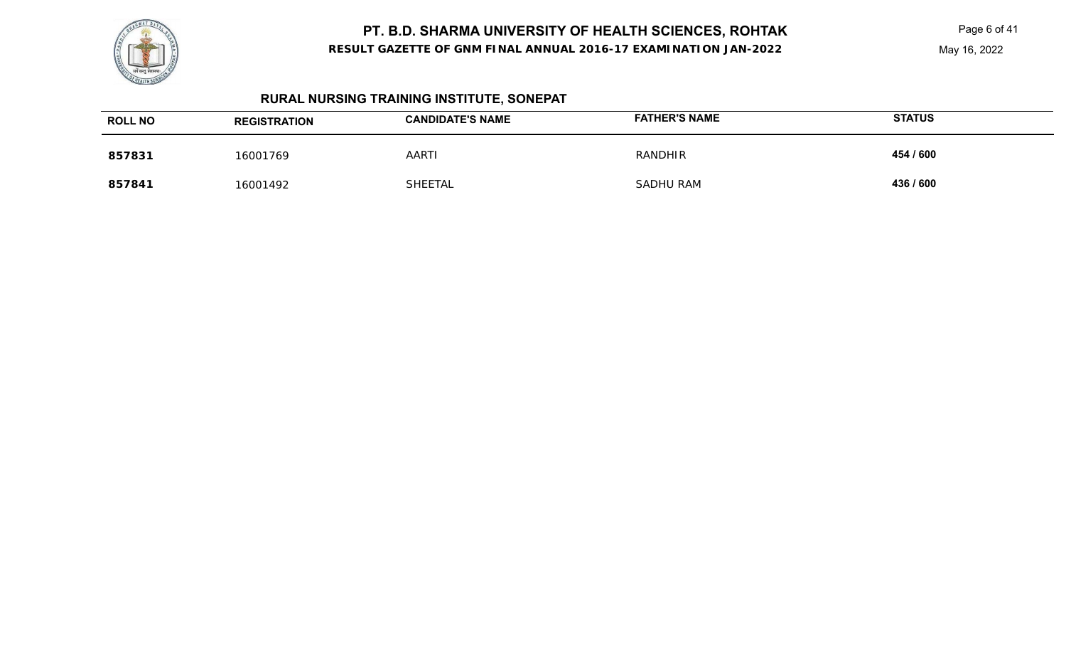

Page 6 of 41



# **RURAL NURSING TRAINING INSTITUTE, SONEPAT**

| <b>ROLL NO</b> | <b>REGISTRATION</b> | <b>CANDIDATE'S NAME</b> | <b>FATHER'S NAME</b> | <b>STATUS</b> |
|----------------|---------------------|-------------------------|----------------------|---------------|
| 857831         | 16001769            | AART                    | RANDHIR              | 454 / 600     |
| 857841         | 16001492            | <b>SHEETAL</b>          | SADHU RAM            | 436 / 600     |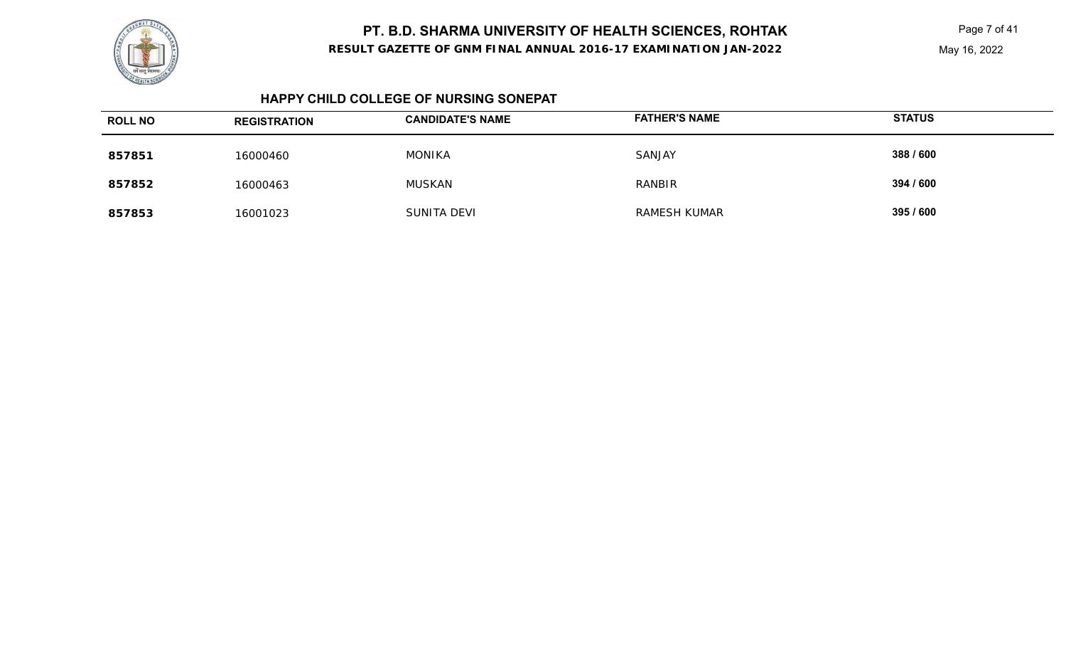

Page 7 of 41 May 16, 2022

#### **HAPPY CHILD COLLEGE OF NURSING SONEPAT**

| <b>ROLL NO</b> | <b>REGISTRATION</b> | <b>CANDIDATE'S NAME</b> | <b>FATHER'S NAME</b> | <b>STATUS</b> |
|----------------|---------------------|-------------------------|----------------------|---------------|
| 857851         | 16000460            | <b>MONIKA</b>           | <b>SANJAY</b>        | 388 / 600     |
| 857852         | 16000463            | MUSKAN                  | RANBIR               | 394 / 600     |
| 857853         | 16001023            | SUNITA DEVI             | RAMESH KUMAR         | 395 / 600     |

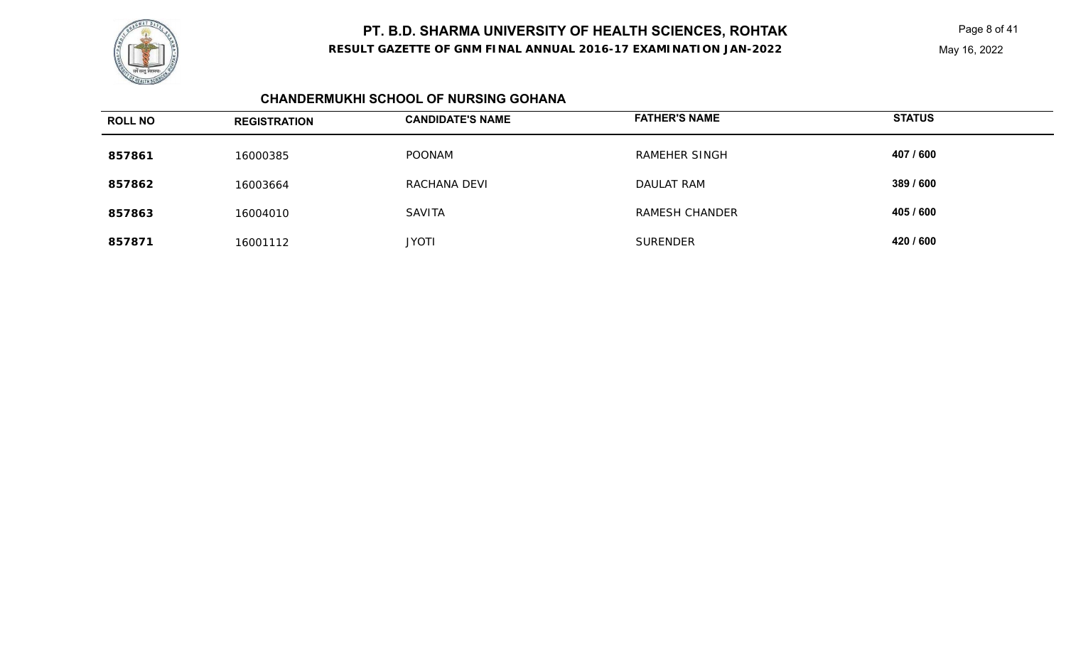

Page 8 of 41

#### **CHANDERMUKHI SCHOOL OF NURSING GOHANA**

| <b>ROLL NO</b> | <b>REGISTRATION</b> | <b>CANDIDATE'S NAME</b> | <b>FATHER'S NAME</b> | <b>STATUS</b> |
|----------------|---------------------|-------------------------|----------------------|---------------|
| 857861         | 16000385            | <b>POONAM</b>           | RAMEHER SINGH        | 407 / 600     |
| 857862         | 16003664            | RACHANA DEVI            | DAULAT RAM           | 389 / 600     |
| 857863         | 16004010            | <b>SAVITA</b>           | RAMESH CHANDER       | 405 / 600     |
| 857871         | 16001112            | <b>JYOTI</b>            | <b>SURENDER</b>      | 420 / 600     |

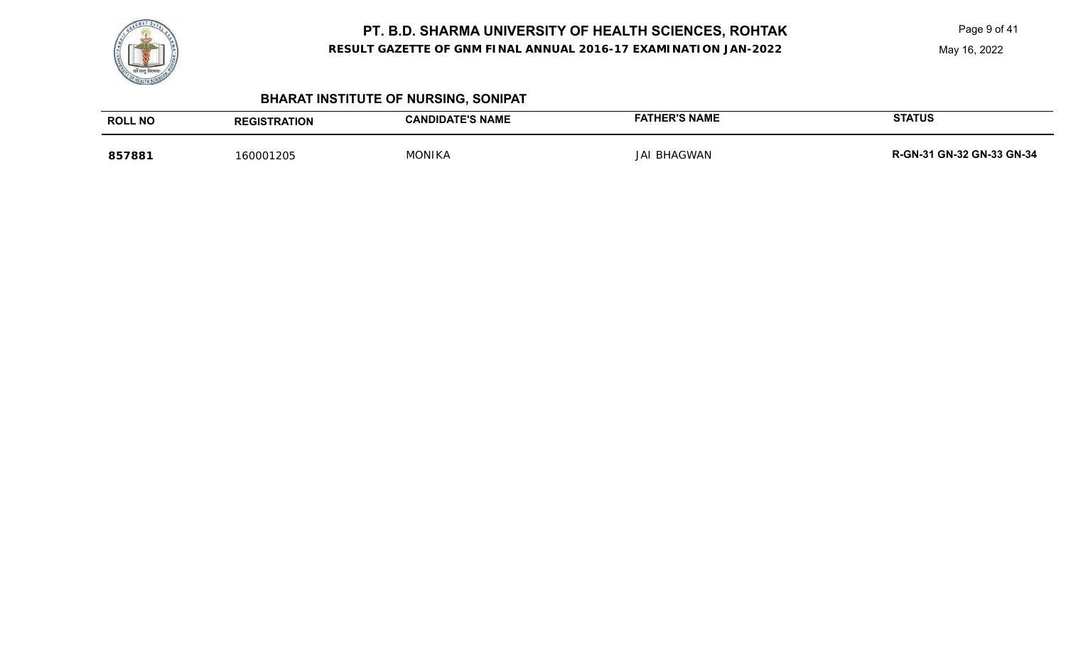

**RESULT GAZETTE OF GNM FINAL ANNUAL 2016-17 EXAMINATION JAN-2022**

Page 9 of 41

May 16, 2022

# **BHARAT INSTITUTE OF NURSING, SONIPAT**

| <b>ROLL NO</b> | <b>REGISTRATION</b> | <b>CANDIDATE'S NAME</b> | <b>FATHER'S NAME</b> | <b>STATUS</b>             |
|----------------|---------------------|-------------------------|----------------------|---------------------------|
| 857881         | 60001205            | MONIKA                  | JAI BHAGWAN          | R-GN-31 GN-32 GN-33 GN-34 |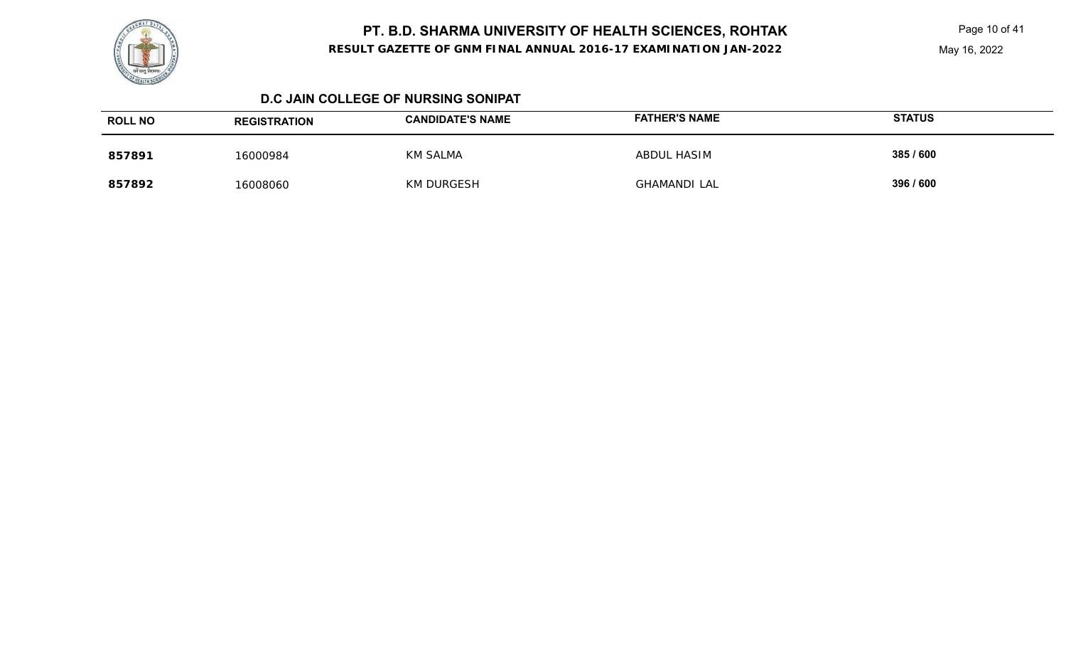

Page 10 of 41

May 16, 2022

#### **D.C JAIN COLLEGE OF NURSING SONIPAT**

| <b>ROLL NO</b> | <b>REGISTRATION</b> | <b>CANDIDATE'S NAME</b> | <b>FATHER'S NAME</b> | <b>STATUS</b> |
|----------------|---------------------|-------------------------|----------------------|---------------|
| 857891         | 16000984            | <b>KM SALMA</b>         | ABDUL HASIM          | 385 / 600     |
| 857892         | 16008060            | <b>KM DURGESH</b>       | <b>GHAMANDI LAL</b>  | 396 / 600     |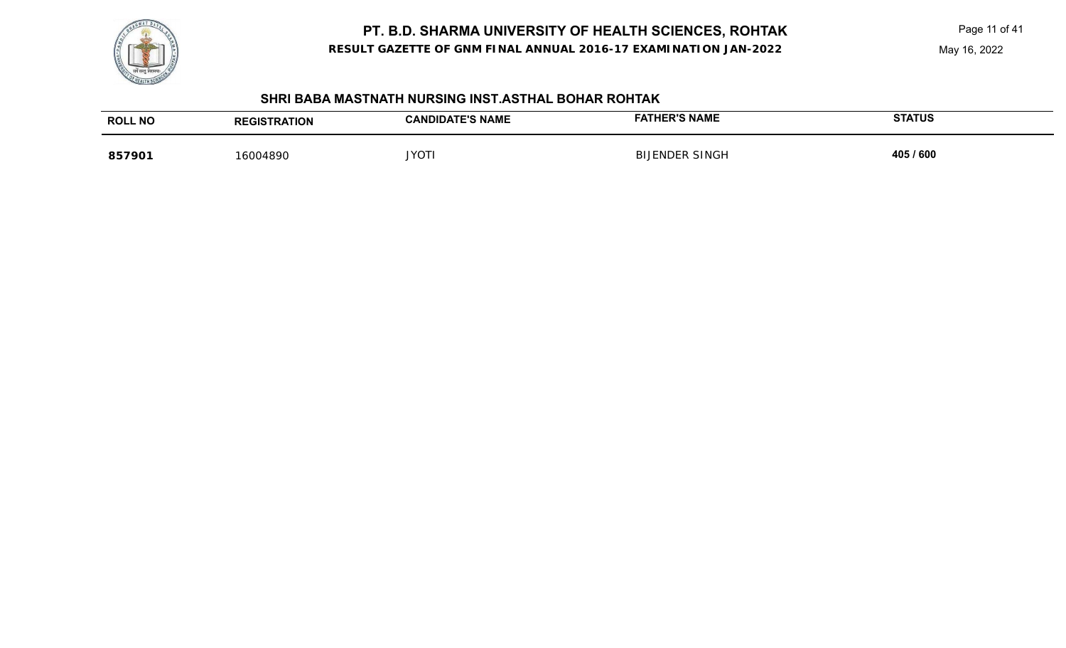**RESULT GAZETTE OF GNM FINAL ANNUAL 2016-17 EXAMINATION JAN-2022**

Page 11 of 41



#### **SHRI BABA MASTNATH NURSING INST.ASTHAL BOHAR ROHTAK**

| <b>ROL</b><br>. NC | τιοΝ    | <b>)ATE'S NAME</b><br>ШЮ | <b>FATHER'S NAME</b> | <b>STATUS</b> |
|--------------------|---------|--------------------------|----------------------|---------------|
|                    |         |                          | $\sim$               |               |
|                    | 6004890 | <b>JYOT</b>              | 1 CJ V               | 405 / 600     |
|                    |         |                          |                      |               |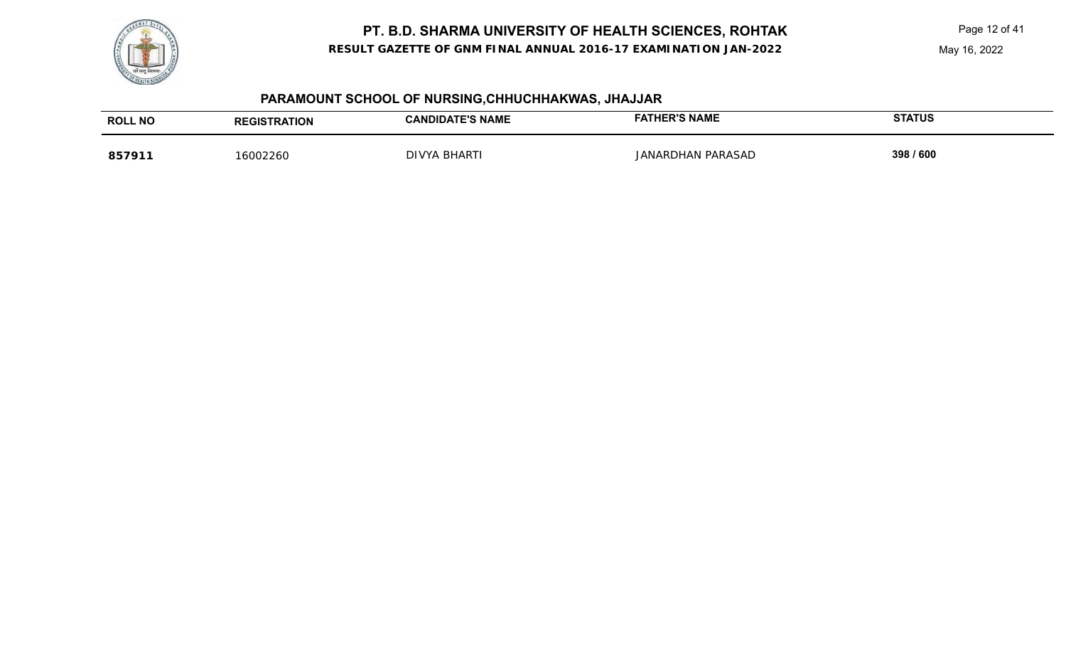

**RESULT GAZETTE OF GNM FINAL ANNUAL 2016-17 EXAMINATION JAN-2022**

Page 12 of 41

May 16, 2022

# **PARAMOUNT SCHOOL OF NURSING,CHHUCHHAKWAS, JHAJJAR**

| <b>ROLL NO</b> | <b>ATION</b><br>GIS | <b>E'S NAME</b><br>:AND<br>IDA | <b>NAME</b><br>היה-       | <b>STATUS</b> |
|----------------|---------------------|--------------------------------|---------------------------|---------------|
| 8579'          |                     | וח ח<br><b>BHART</b>           | <b>HAN PARASAD</b><br>JAN | 398 / 600     |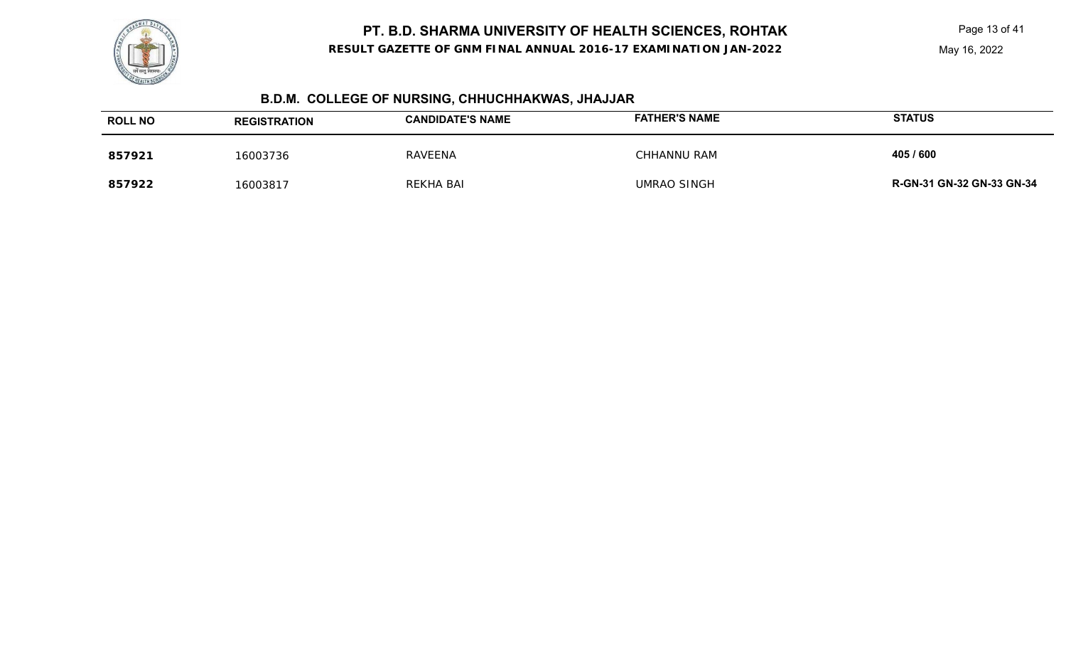**RESULT GAZETTE OF GNM FINAL ANNUAL 2016-17 EXAMINATION JAN-2022**

Page 13 of 41

May 16, 2022



# **B.D.M. COLLEGE OF NURSING, CHHUCHHAKWAS, JHAJJAR**

| <b>ROLL NO</b> | <b>REGISTRATION</b> | <b>CANDIDATE'S NAME</b> | <b>FATHER'S NAME</b> | <b>STATUS</b>             |
|----------------|---------------------|-------------------------|----------------------|---------------------------|
| 857921         | 16003736            | RAVEENA                 | CHHANNU RAM          | 405 / 600                 |
| 857922         | 16003817            | REKHA BAI               | <b>UMRAO SINGH</b>   | R-GN-31 GN-32 GN-33 GN-34 |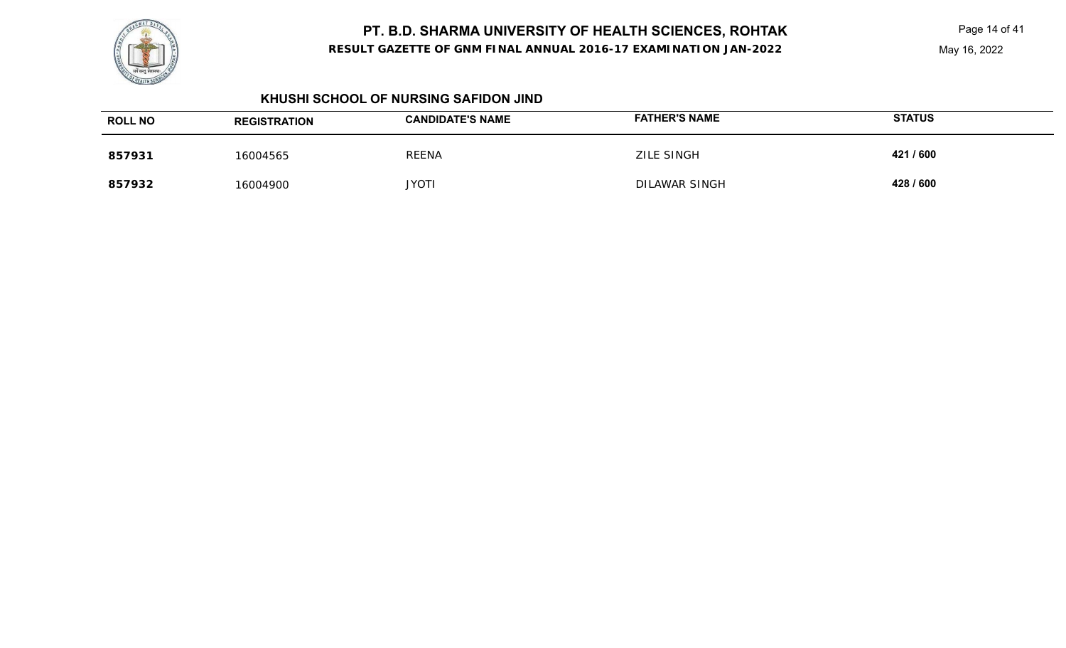

Page 14 of 41



#### **KHUSHI SCHOOL OF NURSING SAFIDON JIND**

| <b>ROLL NO</b> | <b>REGISTRATION</b> | <b>CANDIDATE'S NAME</b> | <b>FATHER'S NAME</b> | <b>STATUS</b> |
|----------------|---------------------|-------------------------|----------------------|---------------|
| 857931         | 16004565            | <b>REENA</b>            | <b>ZILE SINGH</b>    | 421 / 600     |
| 857932         | 16004900            | <b>JYOTI</b>            | DILAWAR SINGH        | 428 / 600     |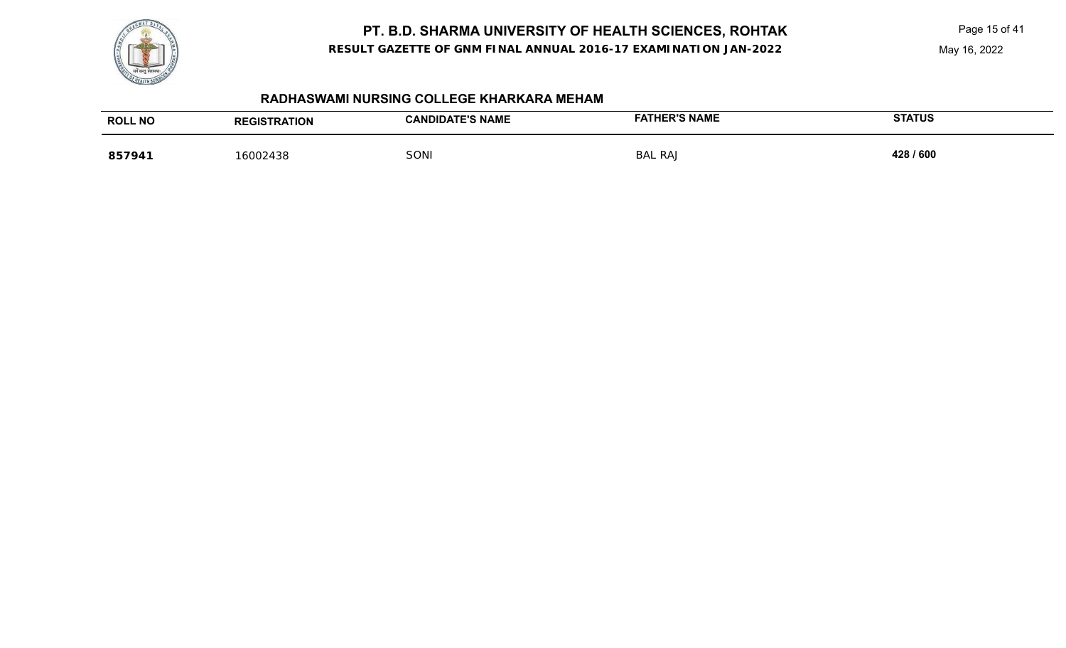

**RESULT GAZETTE OF GNM FINAL ANNUAL 2016-17 EXAMINATION JAN-2022**

Page 15 of 41

May 16, 2022

### **RADHASWAMI NURSING COLLEGE KHARKARA MEHAM**

| <b>ROLL NO</b> | <b>REGISTRATION</b> | <b>CANDIDATE'S NAME</b> | <b>FATHER'S NAME</b> | <b>STATUS</b> |
|----------------|---------------------|-------------------------|----------------------|---------------|
| 857941         | 16002438            | <b>SONI</b>             | <b>BAL RAJ</b>       | 428 / 600     |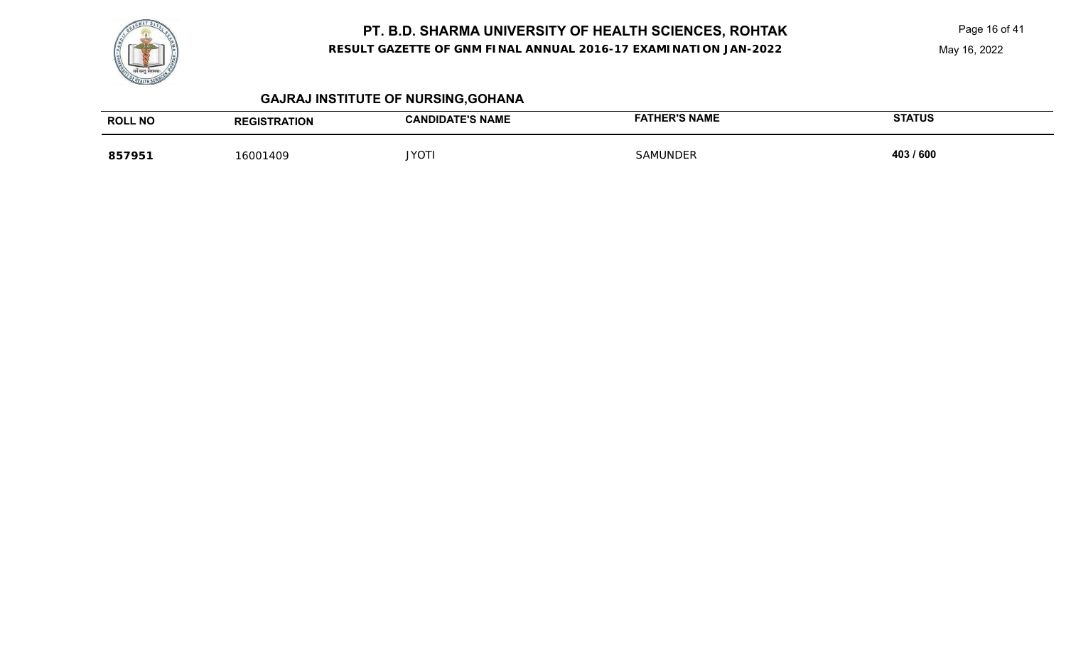

Page 16 of 41

# **GAJRAJ INSTITUTE OF NURSING,GOHANA**

| <b>ROLL NO</b> | <b>RATION</b> | <b>CANDIDATE'S NAME</b> | <b>FATHER'S NAME</b> | <b>STATUS</b> |
|----------------|---------------|-------------------------|----------------------|---------------|
| 857951         | 6001409       | JYOT <sup>®</sup>       | ∴ND.                 | 403 / 600     |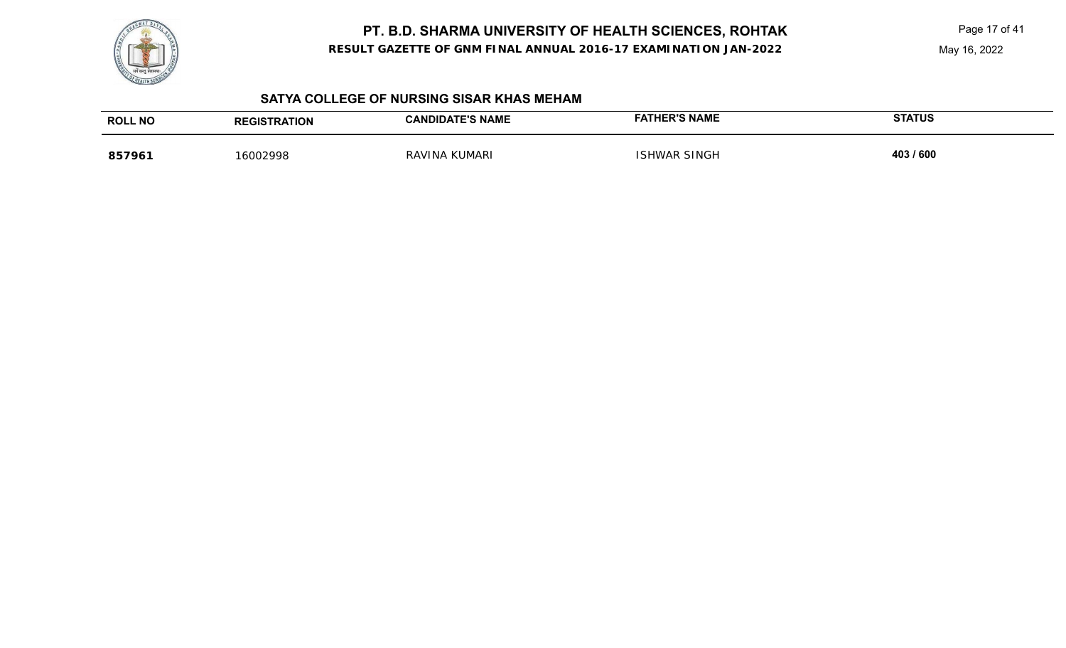

**RESULT GAZETTE OF GNM FINAL ANNUAL 2016-17 EXAMINATION JAN-2022**

Page 17 of 41

May 16, 2022

#### **SATYA COLLEGE OF NURSING SISAR KHAS MEHAM**

| <b>ROLL NO</b> | <b>REGISTRATION</b> | <b>CANDIDATE'S NAME</b> | FATHER'S NAME       | <b>STATUS</b> |
|----------------|---------------------|-------------------------|---------------------|---------------|
| 857961         | 6002998             | RAVINA KUMARI           | <b>ISHWAR SINGH</b> | 403 / 600     |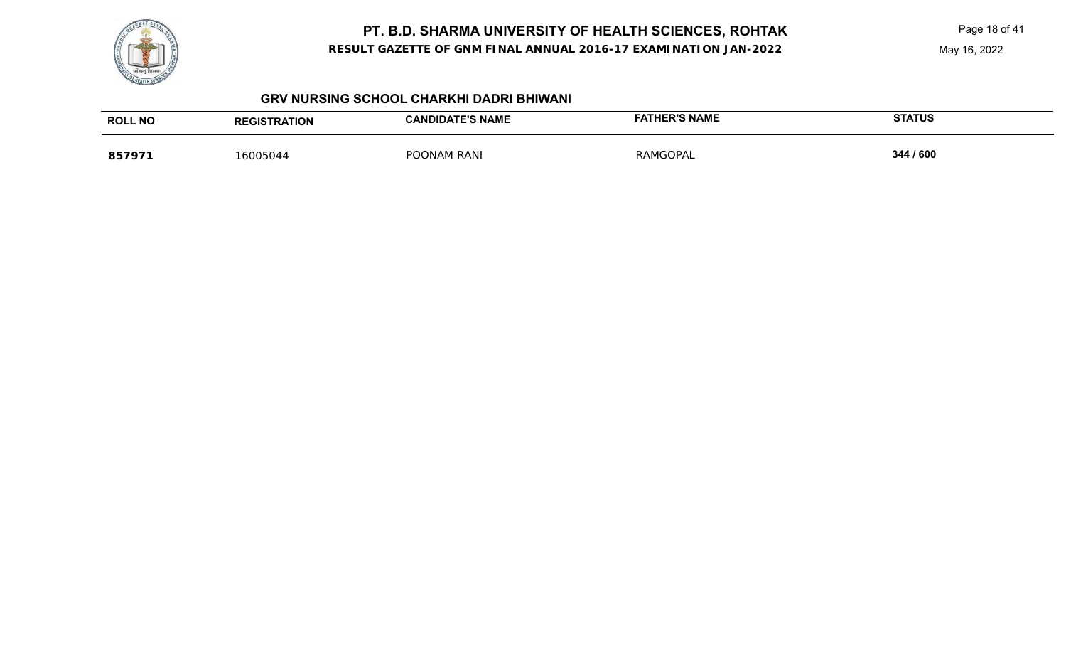

**RESULT GAZETTE OF GNM FINAL ANNUAL 2016-17 EXAMINATION JAN-2022**

Page 18 of 41

May 16, 2022

#### **GRV NURSING SCHOOL CHARKHI DADRI BHIWANI**

| <b>ROLL NO</b> | <b>REGISTRATION</b> | <b>CANDIDATE'S NAME</b> | <b>FATHER'S NAME</b> | <b>STATUS</b> |
|----------------|---------------------|-------------------------|----------------------|---------------|
| 85797'         | 16005044            | POONAM RANI             | RAMGOPAL             | 344 / 600     |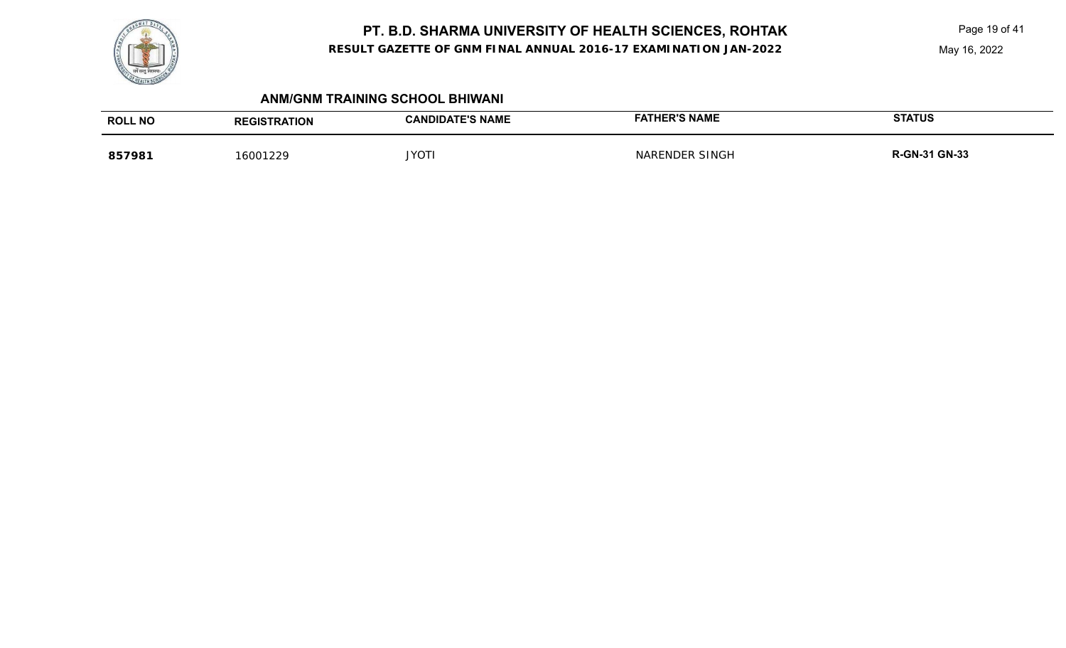**RESULT GAZETTE OF GNM FINAL ANNUAL 2016-17 EXAMINATION JAN-2022**

Page 19 of 41

May 16, 2022

#### **ANM/GNM TRAINING SCHOOL BHIWANI**

| <b>ROLL NO</b> | <b><i>FRATION</i></b> | <b>DATE'S NAME</b><br>:ANDIDA | <b>HER'S NAME</b>                | <b>STATUS</b> |
|----------------|-----------------------|-------------------------------|----------------------------------|---------------|
| 857981         | 6001229               | <b>JYOTI</b>                  | <b>SINGF</b><br>NAR<br>u⊔ DELP - | l GN-33       |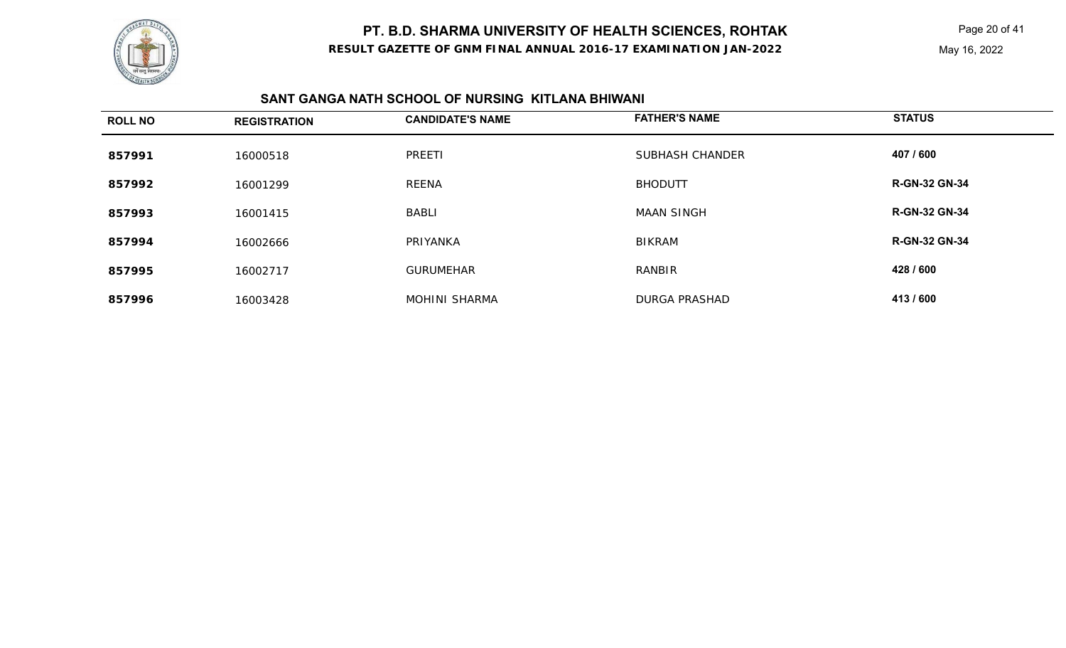#### **RESULT GAZETTE OF GNM FINAL ANNUAL 2016-17 EXAMINATION JAN-2022**

Page 20 of 41

May 16, 2022

# **SANT GANGA NATH SCHOOL OF NURSING KITLANA BHIWANI**

| <b>ROLL NO</b> | <b>REGISTRATION</b> | <b>CANDIDATE'S NAME</b> | <b>FATHER'S NAME</b> | <b>STATUS</b>        |
|----------------|---------------------|-------------------------|----------------------|----------------------|
| 857991         | 16000518            | PREETI                  | SUBHASH CHANDER      | 407 / 600            |
| 857992         | 16001299            | REENA                   | <b>BHODUTT</b>       | <b>R-GN-32 GN-34</b> |
| 857993         | 16001415            | <b>BABLI</b>            | <b>MAAN SINGH</b>    | <b>R-GN-32 GN-34</b> |
| 857994         | 16002666            | PRIYANKA                | <b>BIKRAM</b>        | <b>R-GN-32 GN-34</b> |
| 857995         | 16002717            | <b>GURUMEHAR</b>        | RANBIR               | 428 / 600            |
| 857996         | 16003428            | MOHINI SHARMA           | <b>DURGA PRASHAD</b> | 413/600              |

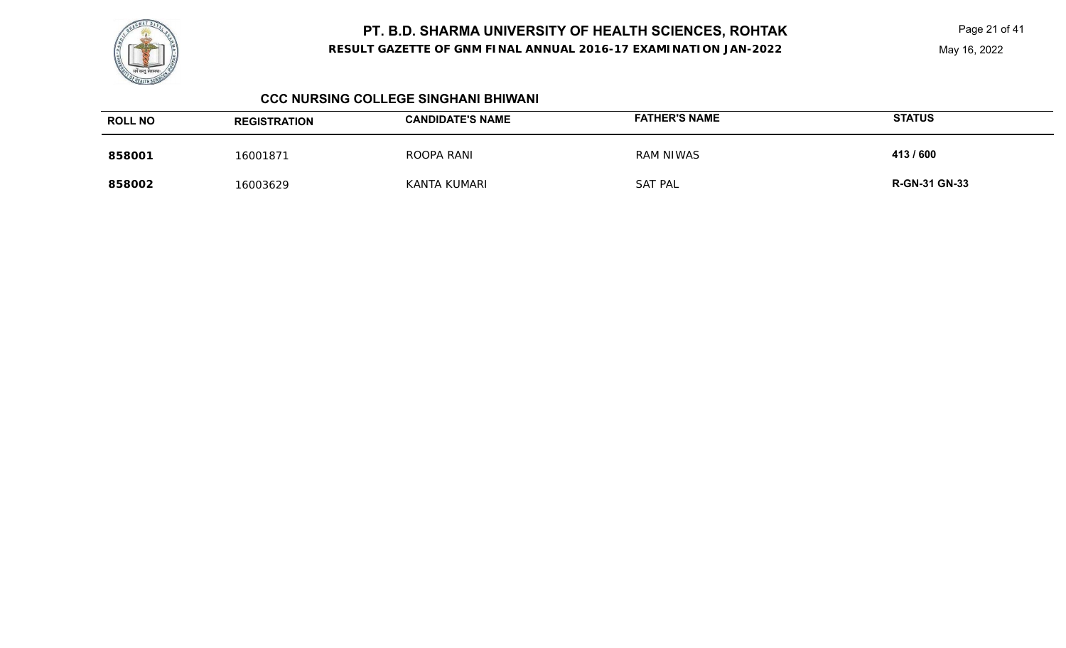

Page 21 of 41



#### **CCC NURSING COLLEGE SINGHANI BHIWANI**

| <b>ROLL NO</b> | <b>REGISTRATION</b> | <b>CANDIDATE'S NAME</b> | <b>FATHER'S NAME</b> | <b>STATUS</b>        |
|----------------|---------------------|-------------------------|----------------------|----------------------|
| 858001         | 16001871            | ROOPA RANI              | <b>RAM NIWAS</b>     | 413/600              |
| 858002         | 16003629            | KANTA KUMARI            | SAT PAL              | <b>R-GN-31 GN-33</b> |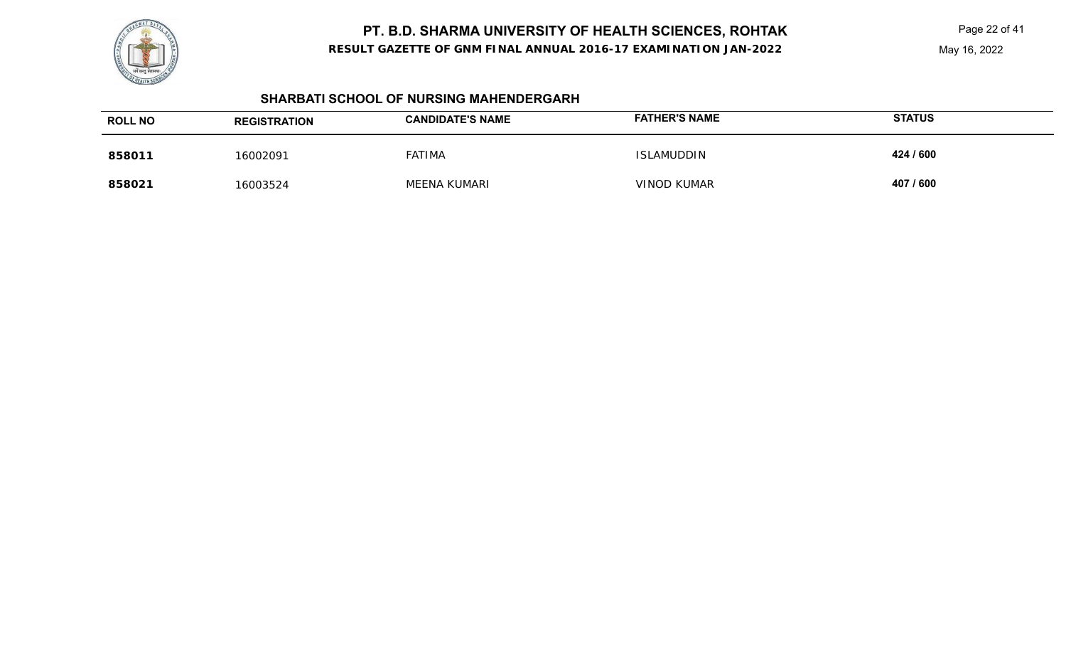

**RESULT GAZETTE OF GNM FINAL ANNUAL 2016-17 EXAMINATION JAN-2022**

Page 22 of 41

May 16, 2022

### **SHARBATI SCHOOL OF NURSING MAHENDERGARH**

| <b>ROLL NO</b> | <b>REGISTRATION</b> | <b>CANDIDATE'S NAME</b> | <b>FATHER'S NAME</b> | <b>STATUS</b> |
|----------------|---------------------|-------------------------|----------------------|---------------|
| 858011         | 16002091            | <b>FATIMA</b>           | ISLAMUDDIN           | 424 / 600     |
| 858021         | 16003524            | MEENA KUMARI            | <b>VINOD KUMAR</b>   | 407 / 600     |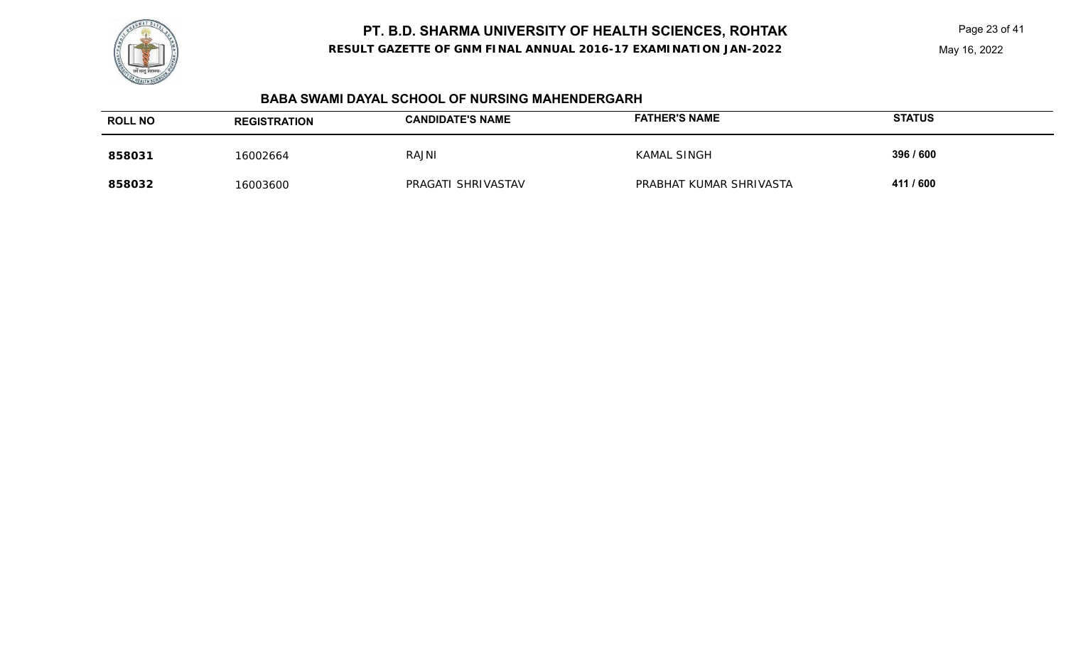**RESULT GAZETTE OF GNM FINAL ANNUAL 2016-17 EXAMINATION JAN-2022**

Page 23 of 41

#### **BABA SWAMI DAYAL SCHOOL OF NURSING MAHENDERGARH**

| <b>ROLL NO</b> | <b>REGISTRATION</b> | <b>CANDIDATE'S NAME</b> | <b>FATHER'S NAME</b>    | <b>STATUS</b> |
|----------------|---------------------|-------------------------|-------------------------|---------------|
| 858031         | 16002664            | <b>RAJNI</b>            | <b>KAMAL SINGH</b>      | 396 / 600     |
| 858032         | 16003600            | PRAGATI SHRIVASTAV      | PRABHAT KUMAR SHRIVASTA | 411 / 600     |

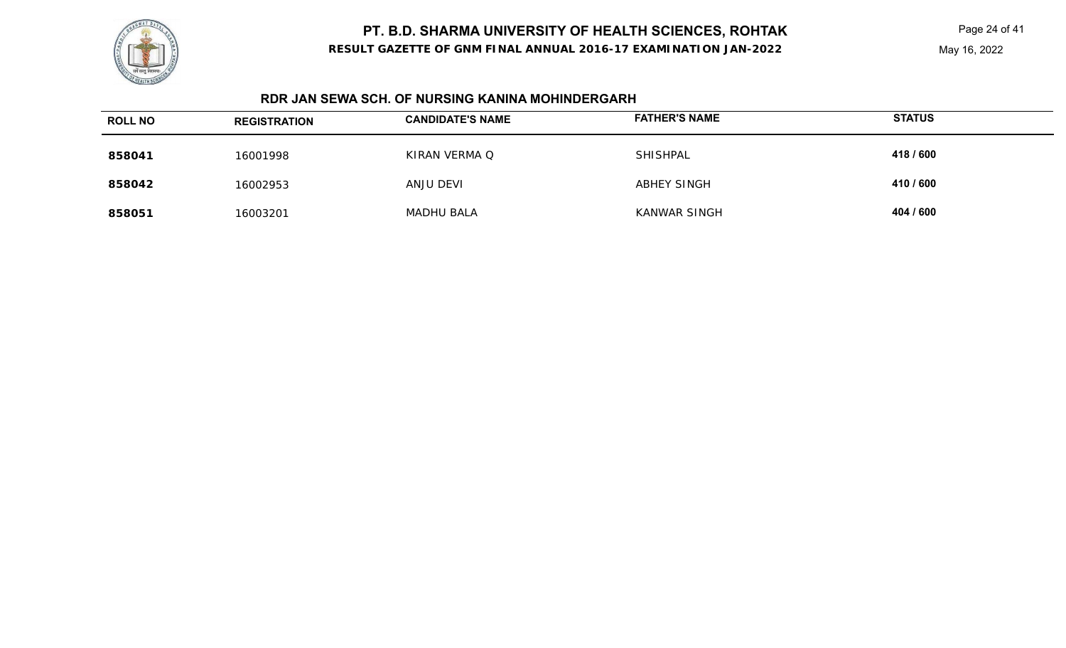**RESULT GAZETTE OF GNM FINAL ANNUAL 2016-17 EXAMINATION JAN-2022**

Page 24 of 41

May 16, 2022



### **RDR JAN SEWA SCH. OF NURSING KANINA MOHINDERGARH**

| <b>ROLL NO</b> | <b>REGISTRATION</b> | <b>CANDIDATE'S NAME</b> | <b>FATHER'S NAME</b> | <b>STATUS</b> |
|----------------|---------------------|-------------------------|----------------------|---------------|
| 858041         | 16001998            | KIRAN VERMA Q           | <b>SHISHPAL</b>      | 418 / 600     |
| 858042         | 16002953            | ANJU DEVI               | ABHEY SINGH          | 410 / 600     |
| 858051         | 16003201            | <b>MADHU BALA</b>       | KANWAR SINGH         | 404 / 600     |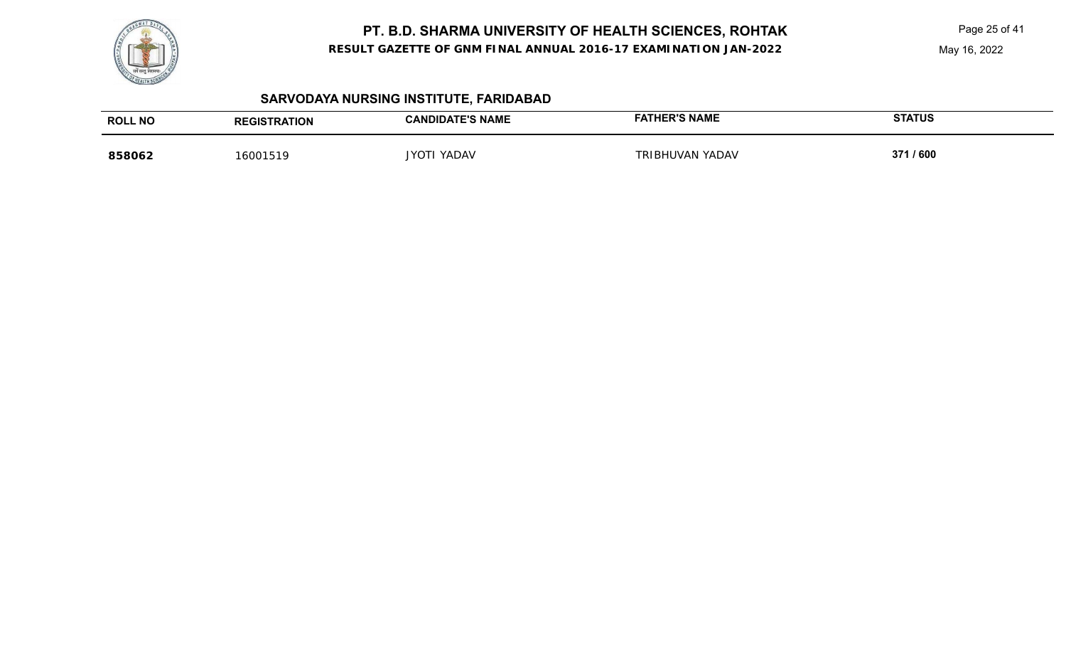

**RESULT GAZETTE OF GNM FINAL ANNUAL 2016-17 EXAMINATION JAN-2022**

Page 25 of 41

May 16, 2022

# **SARVODAYA NURSING INSTITUTE, FARIDABAD**

| <b>ROLL NO</b> | <b>REGISTRATION</b> | <b>CANDIDATE'S NAME</b> | <b>FATHER'S NAME</b> | <b>STATUS</b> |
|----------------|---------------------|-------------------------|----------------------|---------------|
| 858062         | 6001519             | JYOTI YADAV             | TRIBHUVAN YADAV      | 371/600       |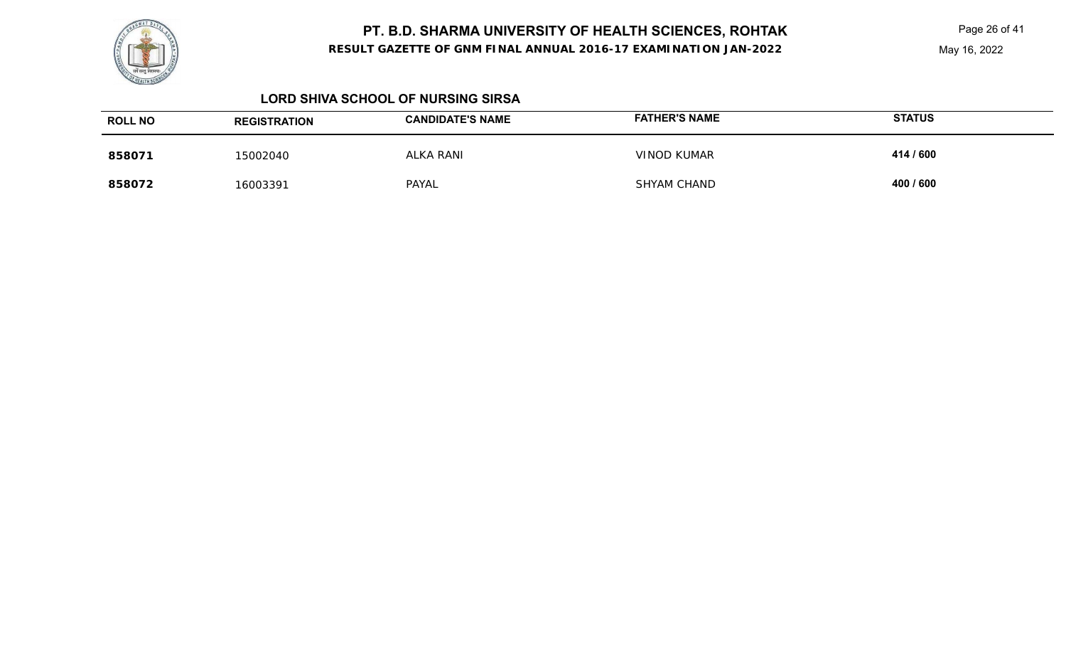

Page 26 of 41

May 16, 2022



#### **LORD SHIVA SCHOOL OF NURSING SIRSA**

| <b>ROLL NO</b> | <b>REGISTRATION</b> | <b>CANDIDATE'S NAME</b> | <b>FATHER'S NAME</b> | <b>STATUS</b> |
|----------------|---------------------|-------------------------|----------------------|---------------|
| 858071         | 15002040            | ALKA RANI               | <b>VINOD KUMAR</b>   | 414 / 600     |
| 858072         | 16003391            | PAYAL                   | <b>SHYAM CHAND</b>   | 400 / 600     |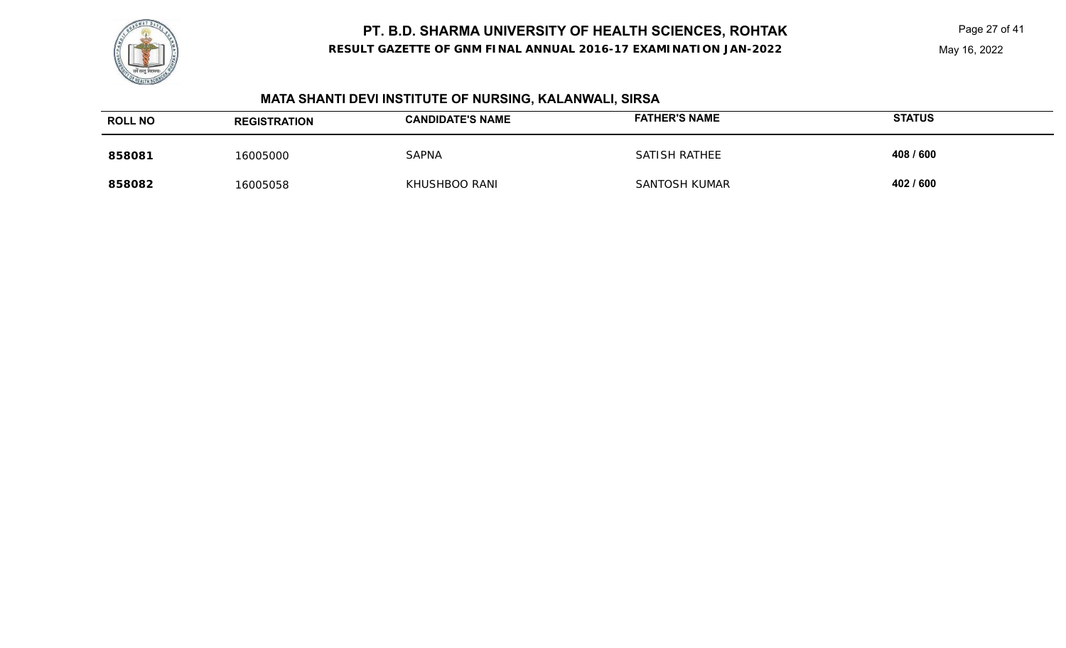**RESULT GAZETTE OF GNM FINAL ANNUAL 2016-17 EXAMINATION JAN-2022**

Page 27 of 41

# **MATA SHANTI DEVI INSTITUTE OF NURSING, KALANWALI, SIRSA**

| <b>ROLL NO</b> | <b>REGISTRATION</b> | <b>CANDIDATE'S NAME</b> | <b>FATHER'S NAME</b> | <b>STATUS</b> |
|----------------|---------------------|-------------------------|----------------------|---------------|
| 858081         | 16005000            | <b>SAPNA</b>            | SATISH RATHEE        | 408 / 600     |
| 858082         | 16005058            | KHUSHBOO RANI           | SANTOSH KUMAR        | 402 / 600     |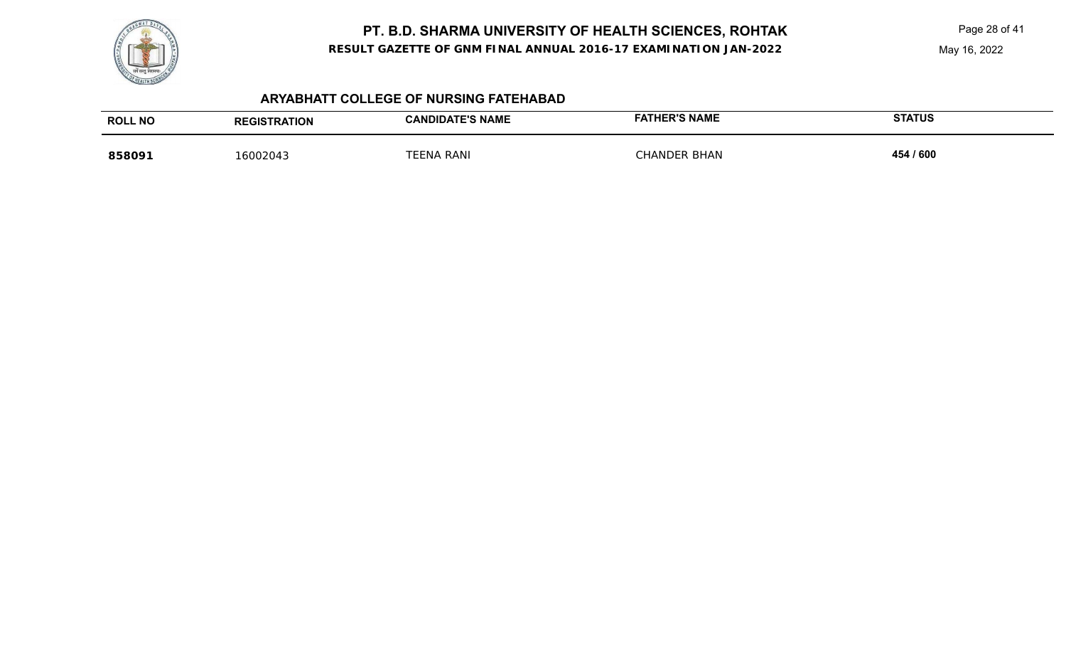

**RESULT GAZETTE OF GNM FINAL ANNUAL 2016-17 EXAMINATION JAN-2022**

Page 28 of 41

May 16, 2022

### **ARYABHATT COLLEGE OF NURSING FATEHABAD**

| <b>ROLL NO</b> | <b>REGISTRATION</b> | <b>CANDIDATE'S NAME</b> | <b>FATHER'S NAME</b> | <b>STATUS</b> |
|----------------|---------------------|-------------------------|----------------------|---------------|
| 858091         | 16002043            | . RANI<br><b>FFNA</b>   | BHAN ?<br>ົHANDER ∟  | 454 / 600     |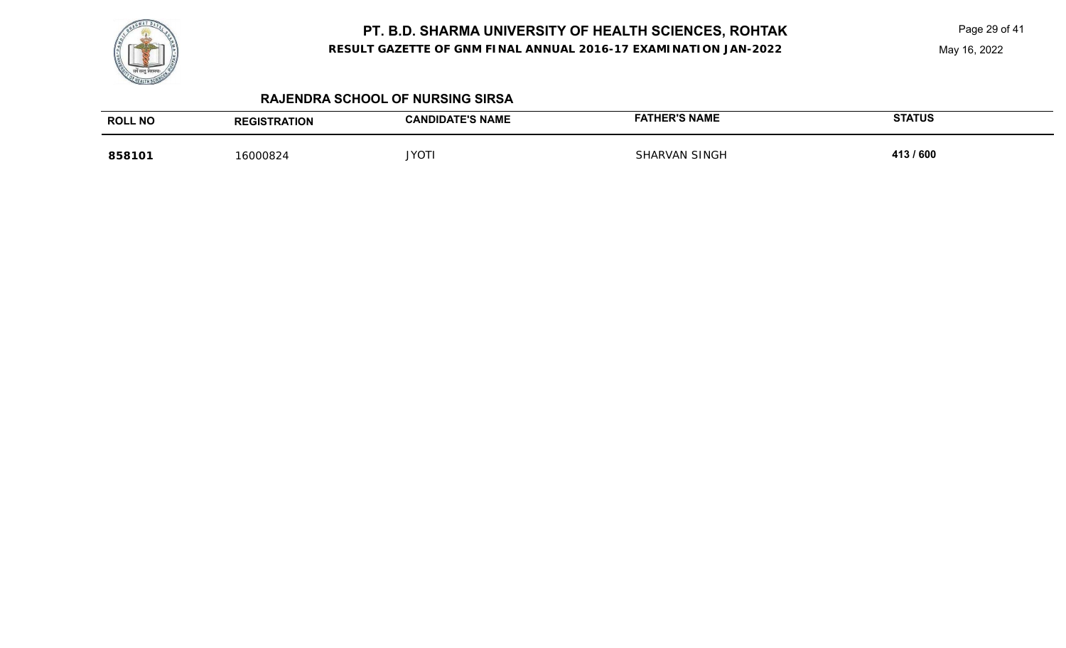

Page 29 of 41

May 16, 2022



#### **RAJENDRA SCHOOL OF NURSING SIRSA**

| <b>ROLL NO</b> | <b>REGISTRATION</b> | <b>CANDIDATE'S NAME</b> | <b>FATHER'S NAME</b> | <b>STATUS</b> |
|----------------|---------------------|-------------------------|----------------------|---------------|
| 858101         | 6000824             | <b>JYOT</b>             | SHARVAN SINGH        | 413/600       |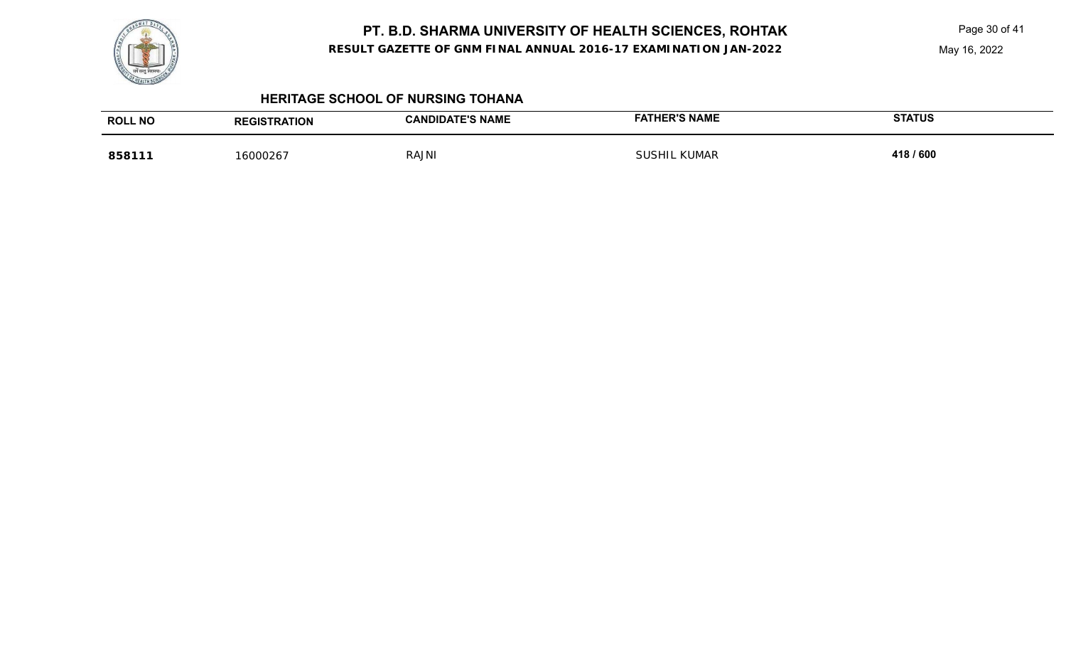

**RESULT GAZETTE OF GNM FINAL ANNUAL 2016-17 EXAMINATION JAN-2022**

Page 30 of 41

May 16, 2022

#### **HERITAGE SCHOOL OF NURSING TOHANA**

| <b>ROLL NO</b> | <b>REGISTRATION</b> | <b>CANDIDATE'S NAME</b> | <b>FATHER'S NAME</b> | <b>STATUS</b> |
|----------------|---------------------|-------------------------|----------------------|---------------|
| 858111         | 6000267             | <b>RAJNI</b>            | <b>SUSHIL KUMAR</b>  | 418 / 600     |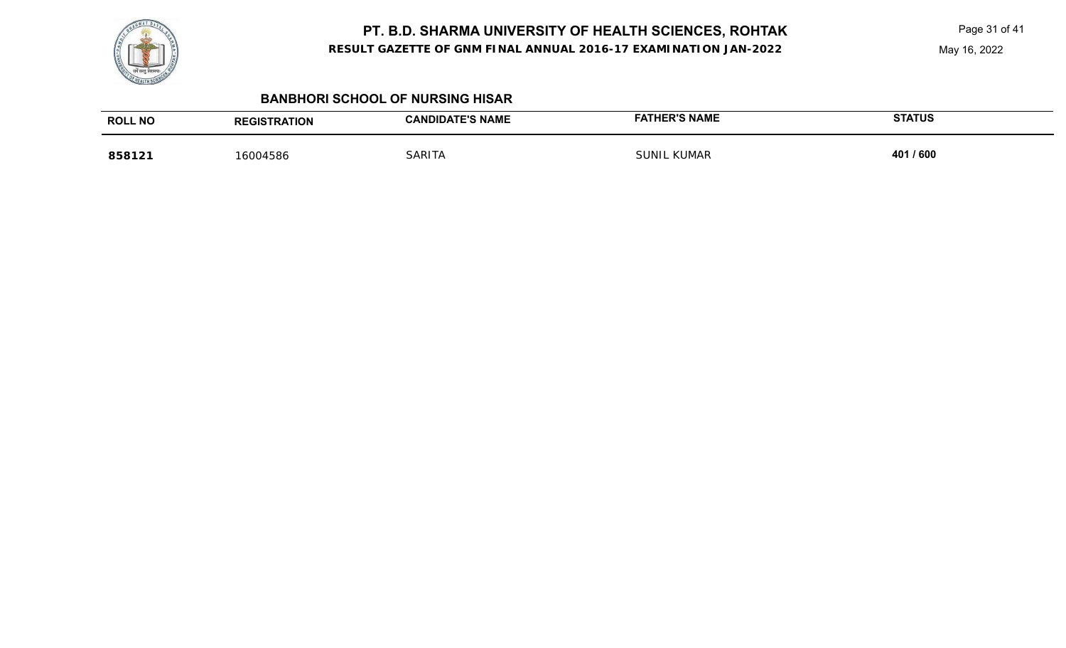**RESULT GAZETTE OF GNM FINAL ANNUAL 2016-17 EXAMINATION JAN-2022**

Page 31 of 41

May 16, 2022

#### **BANBHORI SCHOOL OF NURSING HISAR**

| <b>ROLL NO</b> | <b>REGISTRATION</b> | <b>CANDIDATE'S NAME</b> | <b>FATHER'S NAME</b> | <b>STATUS</b> |
|----------------|---------------------|-------------------------|----------------------|---------------|
| 858121         | 6004586             | <b>SARITA</b>           | KUMAR<br>SUNIL       | 401 / 600     |

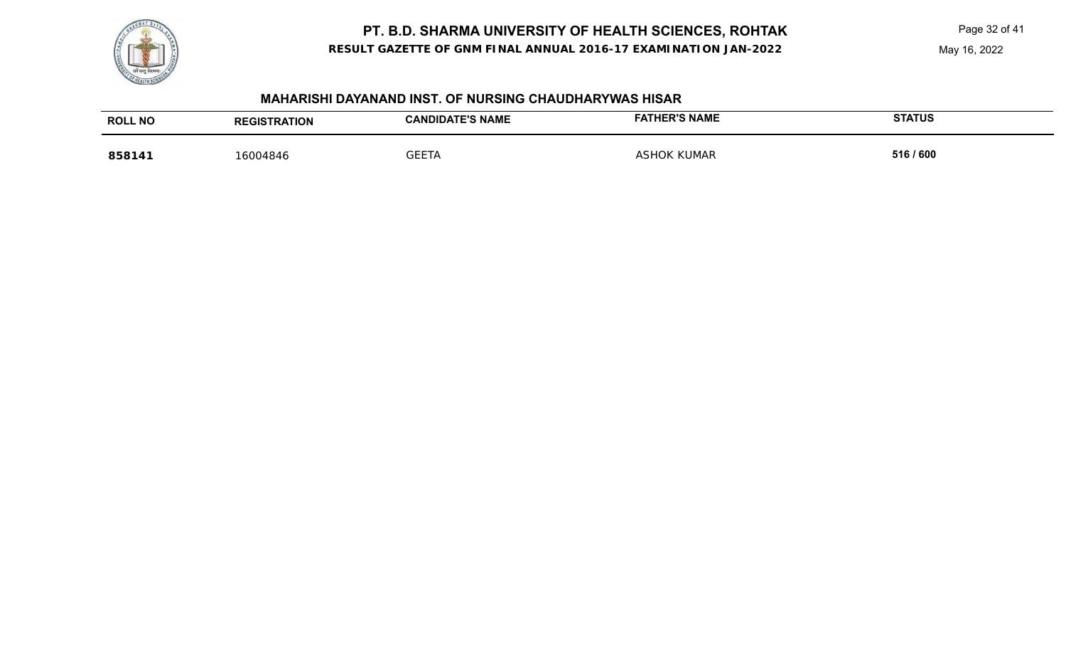**RESULT GAZETTE OF GNM FINAL ANNUAL 2016-17 EXAMINATION JAN-2022**

Page 32 of 41



#### **MAHARISHI DAYANAND INST. OF NURSING CHAUDHARYWAS HISAR**

| <b>ROLL NO</b> | <b>REGISTRATION</b> | <b>CANDIDATE'S NAME</b> | <b>FATHER'S NAME</b> | <b>STATUS</b> |
|----------------|---------------------|-------------------------|----------------------|---------------|
| 858141         | 16004846            | <b>GEETA</b>            | <b>ASHOK KUMAR</b>   | 516 / 600     |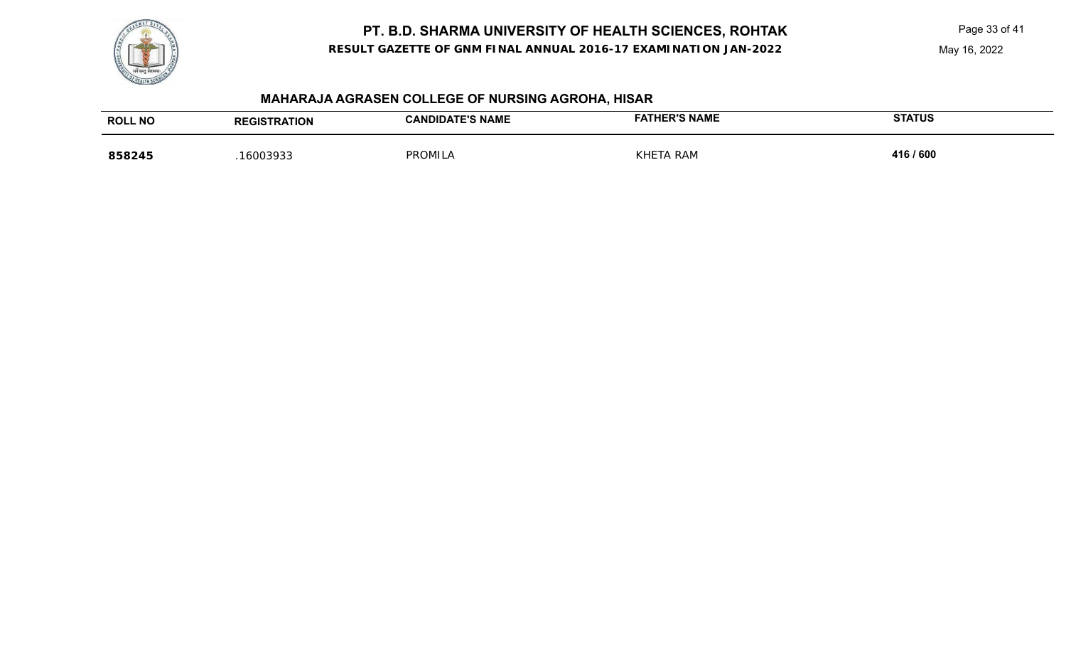

**RESULT GAZETTE OF GNM FINAL ANNUAL 2016-17 EXAMINATION JAN-2022**

Page 33 of 41

May 16, 2022

# **MAHARAJA AGRASEN COLLEGE OF NURSING AGROHA, HISAR**

| <b>ROLL NO</b> | <b>TRATION</b><br><b>REGIS1</b> | CANDIDATE'S NAME | <b>NAME</b><br>$C$ D'e | <b>STATUS</b> |
|----------------|---------------------------------|------------------|------------------------|---------------|
| 858245         | 16003933                        | <b>PROMILA</b>   | RAM<br>∴HF ∍           | 416 / 600     |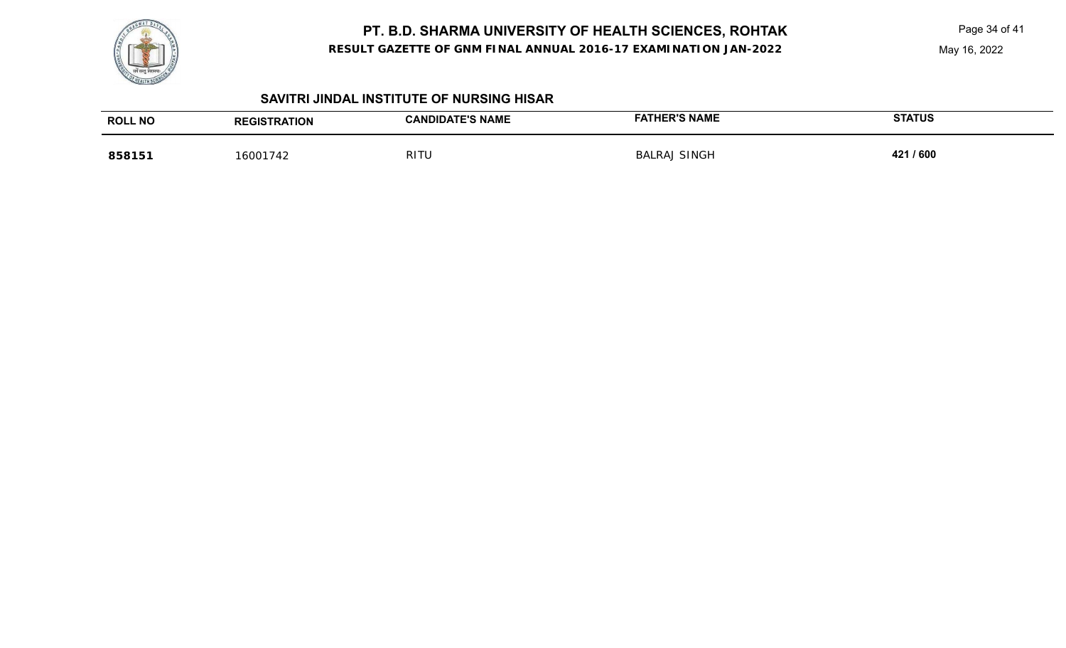

**RESULT GAZETTE OF GNM FINAL ANNUAL 2016-17 EXAMINATION JAN-2022**

Page 34 of 41

May 16, 2022

#### **SAVITRI JINDAL INSTITUTE OF NURSING HISAR**

| <b>ROLL NO</b> | <b>REGISTRATION</b> | <b>CANDIDATE'S NAME</b> | <b>FATHER'S NAME</b> | <b>STATUS</b> |
|----------------|---------------------|-------------------------|----------------------|---------------|
| 858151         | 16001742            | <b>RITU</b>             | SINGF<br>BAI RAT     | 421 / 600     |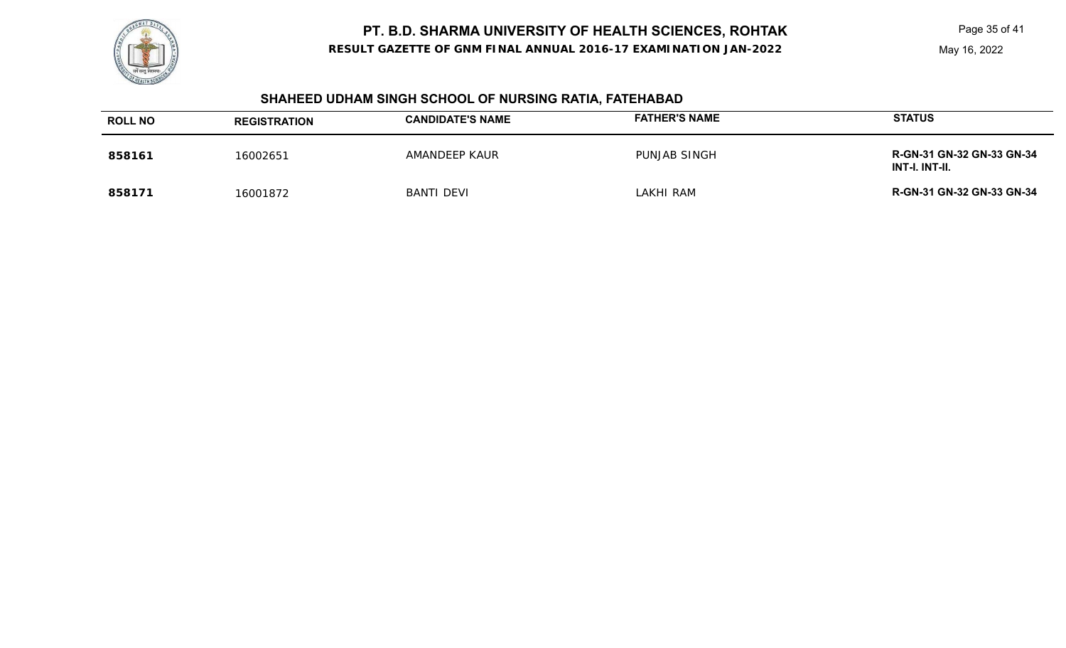**RESULT GAZETTE OF GNM FINAL ANNUAL 2016-17 EXAMINATION JAN-2022**

Page 35 of 41



#### **SHAHEED UDHAM SINGH SCHOOL OF NURSING RATIA, FATEHABAD**

| <b>ROLL NO</b> | <b>REGISTRATION</b> | <b>CANDIDATE'S NAME</b> | <b>FATHER'S NAME</b> | <b>STATUS</b>                                             |
|----------------|---------------------|-------------------------|----------------------|-----------------------------------------------------------|
| 858161         | 16002651            | AMANDEEP KAUR           | PUNJAB SINGH         | <b>R-GN-31 GN-32 GN-33 GN-34</b><br><b>INT-I. INT-II.</b> |
| 858171         | 16001872            | BANTI DEVI              | LAKHI RAM            | R-GN-31 GN-32 GN-33 GN-34                                 |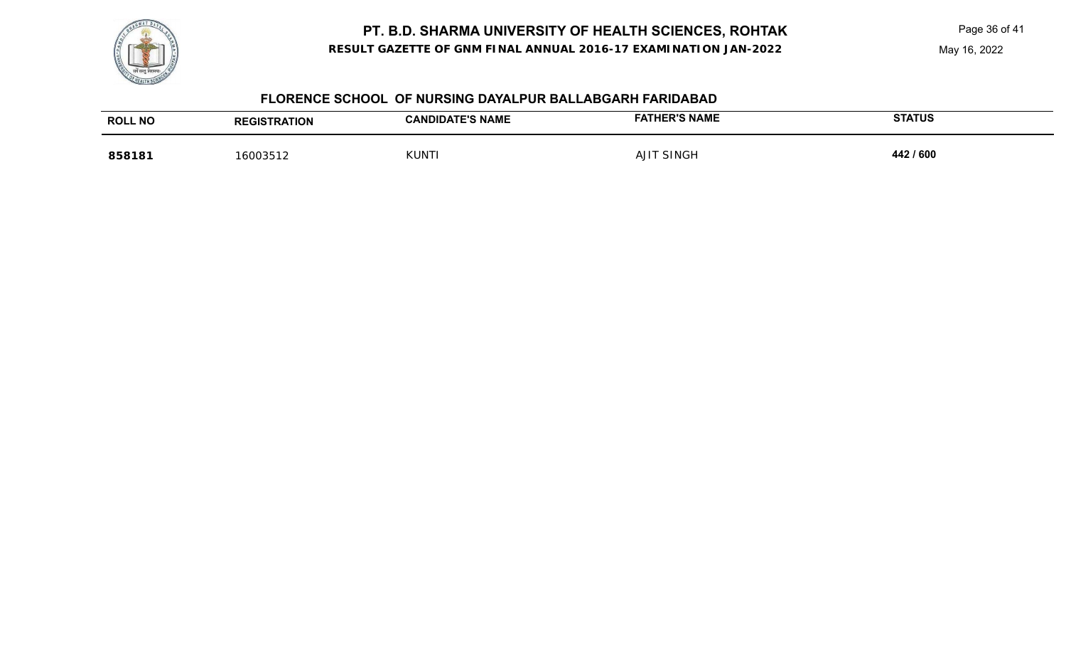

Page 36 of 41



#### **FLORENCE SCHOOL OF NURSING DAYALPUR BALLABGARH FARIDABAD**

| <b>ROLL NO</b> | <b>REGISTRATION</b> | <b>)ATE'S NAME</b><br>$\cap$ ANDIDA | <b>HER'S NAME</b><br>-AT' | <b>STATUS</b> |
|----------------|---------------------|-------------------------------------|---------------------------|---------------|
| 858181         | 6003512             | <b>KUNT</b>                         | $A$ JIT<br><b>SINGH</b>   | 442 / 600     |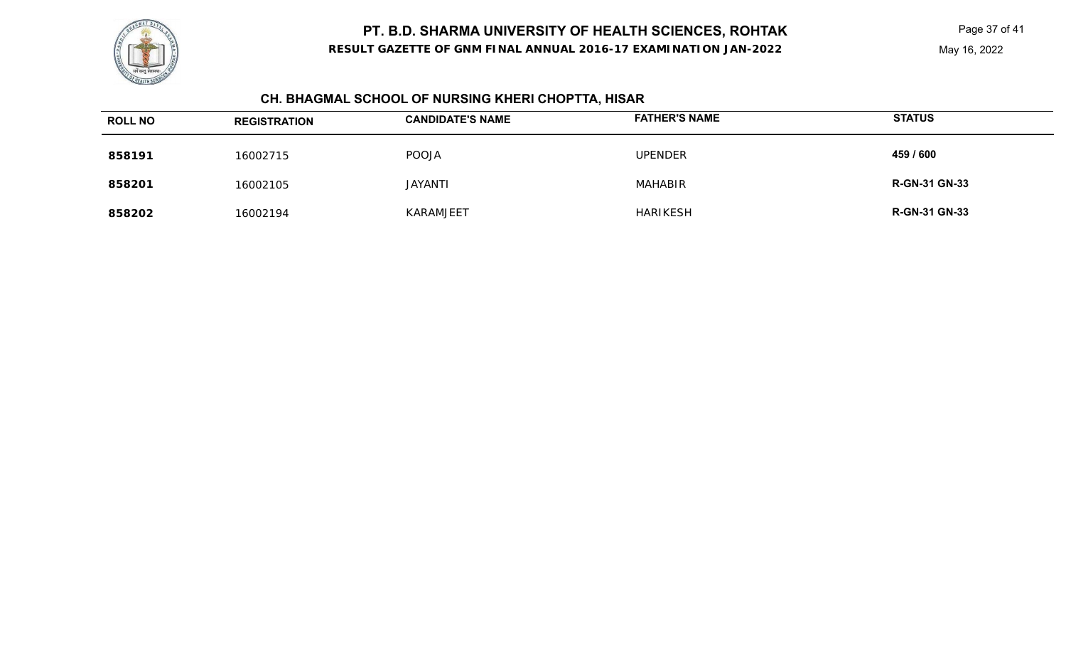**RESULT GAZETTE OF GNM FINAL ANNUAL 2016-17 EXAMINATION JAN-2022**

Page 37 of 41

# **CH. BHAGMAL SCHOOL OF NURSING KHERI CHOPTTA, HISAR**

| <b>ROLL NO</b> | <b>REGISTRATION</b> | <b>CANDIDATE'S NAME</b> | <b>FATHER'S NAME</b> | <b>STATUS</b>        |
|----------------|---------------------|-------------------------|----------------------|----------------------|
| 858191         | 16002715            | <b>POOJA</b>            | <b>UPENDER</b>       | 459 / 600            |
| 858201         | 16002105            | JAYANTI                 | <b>MAHABIR</b>       | <b>R-GN-31 GN-33</b> |
| 858202         | 16002194            | KARAMJEET               | <b>HARIKESH</b>      | <b>R-GN-31 GN-33</b> |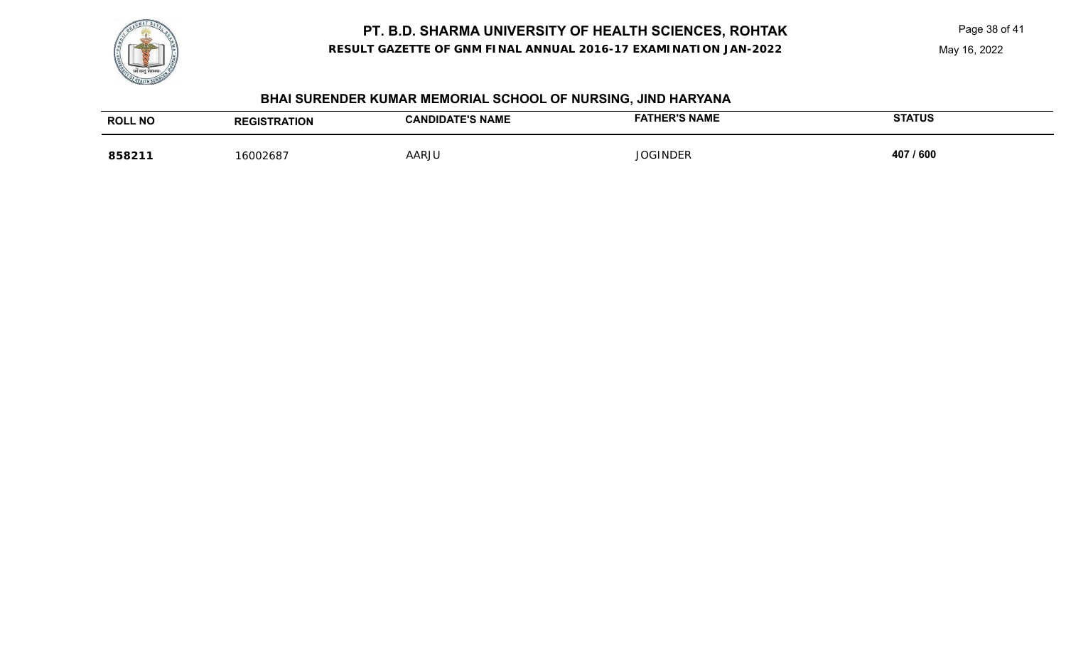

#### **RESULT GAZETTE OF GNM FINAL ANNUAL 2016-17 EXAMINATION JAN-2022**

Page 38 of 41

May 16, 2022

# **BHAI SURENDER KUMAR MEMORIAL SCHOOL OF NURSING, JIND HARYANA**

| <b>ROLL NO</b> | <b>.</b><br>11O). | <b>ANDIDATE'S NAME:</b> | <b>ATHER'S NAME</b><br>- 11 | <b>STATUS</b> |
|----------------|-------------------|-------------------------|-----------------------------|---------------|
| 85821          | 600268            | <b>AARJU</b>            | ነINDER<br>הראי '            | 407 / 600     |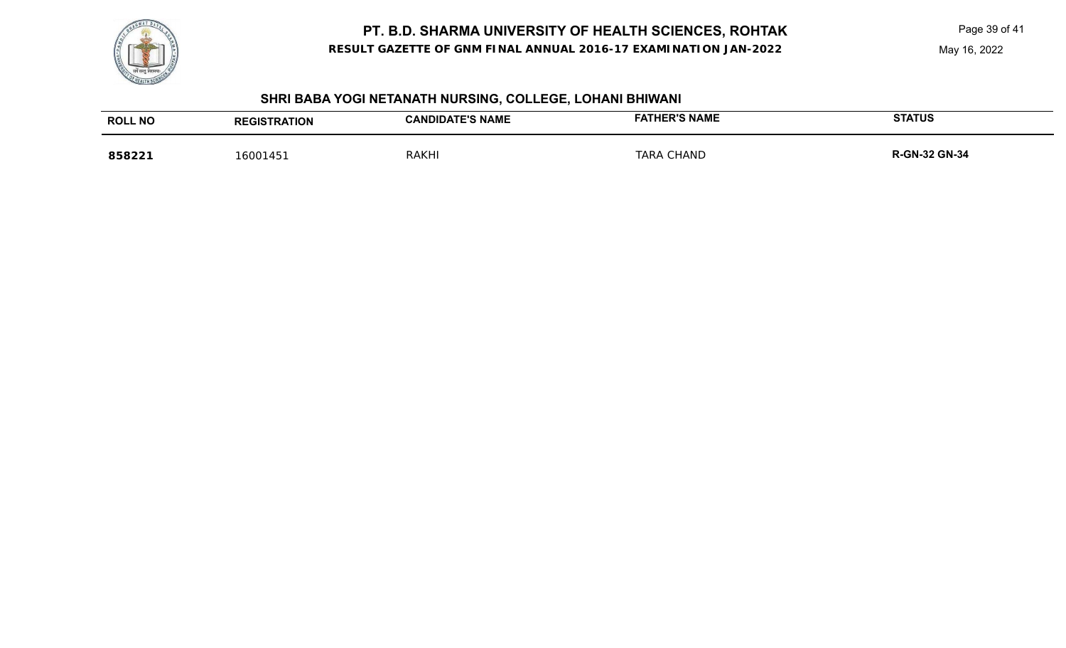

**RESULT GAZETTE OF GNM FINAL ANNUAL 2016-17 EXAMINATION JAN-2022**

Page 39 of 41

May 16, 2022

# **SHRI BABA YOGI NETANATH NURSING, COLLEGE, LOHANI BHIWANI**

| . NO        | TION    | <b>TE'S NAME</b> | <b>ATHER'S NAME</b> | <b>STATUS</b> |
|-------------|---------|------------------|---------------------|---------------|
| <b>ROLL</b> |         |                  |                     |               |
| 858221      | 1600145 | <b>RAKHI</b>     | HAND<br>™AR≀        | : GN-34       |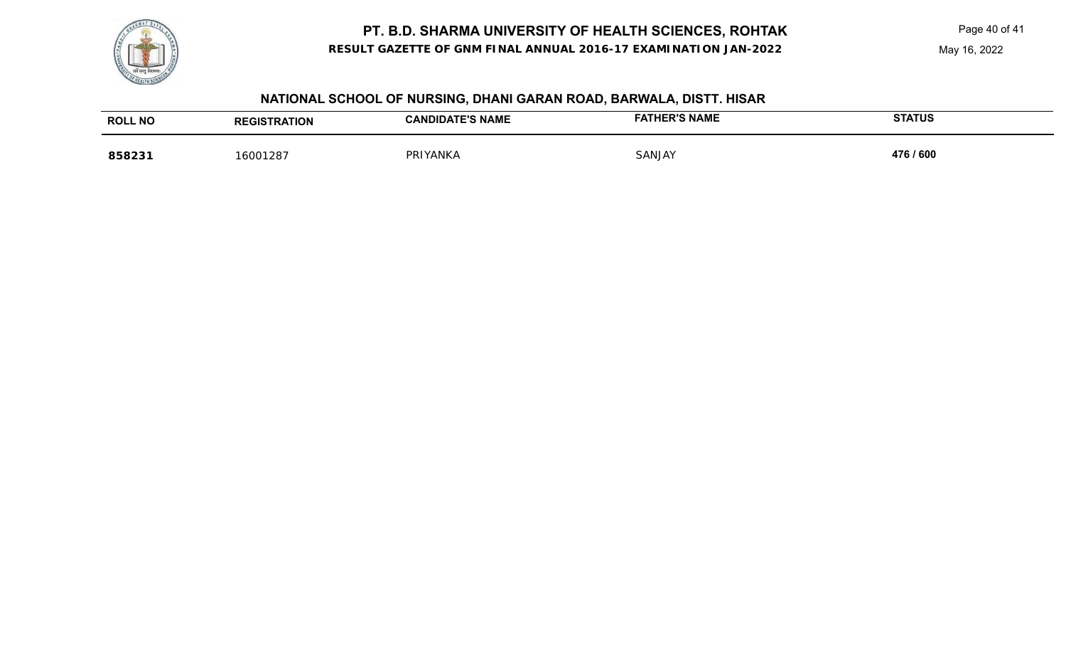**RESULT GAZETTE OF GNM FINAL ANNUAL 2016-17 EXAMINATION JAN-2022**

Page 40 of 41

May 16, 2022



# **NATIONAL SCHOOL OF NURSING, DHANI GARAN ROAD, BARWALA, DISTT. HISAR**

| <b>ROLL NO</b> | <b>ATION</b><br>REGIS<br>RA | <b>E'S NAME</b><br><b>CANL</b><br>DΆ | <b>FATHER'S NAME</b> | <b>STATUS</b> |
|----------------|-----------------------------|--------------------------------------|----------------------|---------------|
| 858231         | ،600128                     | PRIYANKA                             | SANJAY               | 476 / 600     |